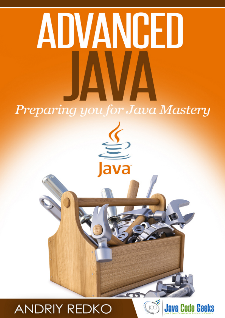# ADVANGED **Preparing you for Java Mastery**

va

# **ANDRIY REDKO**



**CO** 

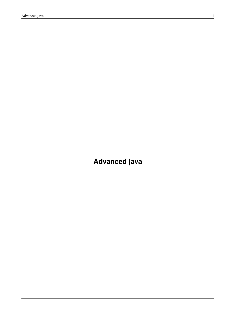<span id="page-1-0"></span>**Advanced java**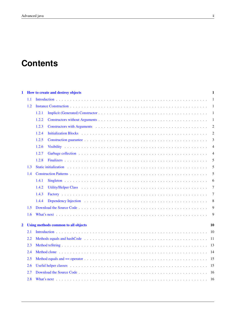# **Contents**

| 1                       |     | How to create and destroy objects                                                                                                                                                                                                       | 1              |
|-------------------------|-----|-----------------------------------------------------------------------------------------------------------------------------------------------------------------------------------------------------------------------------------------|----------------|
|                         | 1.1 |                                                                                                                                                                                                                                         | 1              |
|                         | 1.2 |                                                                                                                                                                                                                                         | 1              |
|                         |     | 1.2.1                                                                                                                                                                                                                                   | 1              |
|                         |     | 1.2.2                                                                                                                                                                                                                                   | $\mathbf{1}$   |
|                         |     | Constructors with Arguments (a) and a construction of the constructors with Arguments (a) and a construction of the constant of the constant of the constant of the constant of the constant of the constant of the constant o<br>1.2.3 | $\overline{2}$ |
|                         |     | 1.2.4                                                                                                                                                                                                                                   | $\overline{2}$ |
|                         |     | 1.2.5                                                                                                                                                                                                                                   | 3              |
|                         |     | 1.2.6                                                                                                                                                                                                                                   | 4              |
|                         |     | 1.2.7                                                                                                                                                                                                                                   | 4              |
|                         |     | 1.2.8                                                                                                                                                                                                                                   | 5              |
|                         | 1.3 | Static initialization experience in the contract of the contract of the contract of the contract of the contract of the contract of the contract of the contract of the contract of the contract of the contract of the contra          | 5              |
|                         | 1.4 |                                                                                                                                                                                                                                         | 5              |
|                         |     | 1.4.1                                                                                                                                                                                                                                   | 6              |
|                         |     | 1.4.2                                                                                                                                                                                                                                   | $\overline{7}$ |
|                         |     | 1.4.3                                                                                                                                                                                                                                   | 7              |
|                         |     | 1.4.4                                                                                                                                                                                                                                   | 8              |
|                         | 1.5 |                                                                                                                                                                                                                                         | 9              |
|                         | 1.6 |                                                                                                                                                                                                                                         | 9              |
|                         |     |                                                                                                                                                                                                                                         |                |
| $\overline{\mathbf{2}}$ |     | Using methods common to all objects                                                                                                                                                                                                     | 10             |
|                         | 2.1 |                                                                                                                                                                                                                                         |                |
|                         | 2.2 |                                                                                                                                                                                                                                         |                |
|                         | 2.3 |                                                                                                                                                                                                                                         |                |
|                         | 2.4 | Method clone (a) respectively. The contract of the contract of the contract of the contract of the contract of the contract of the contract of the contract of the contract of the contract of the contract of the contract of          |                |
|                         | 2.5 |                                                                                                                                                                                                                                         |                |
|                         | 2.6 |                                                                                                                                                                                                                                         |                |
|                         | 2.7 |                                                                                                                                                                                                                                         |                |
|                         | 2.8 |                                                                                                                                                                                                                                         |                |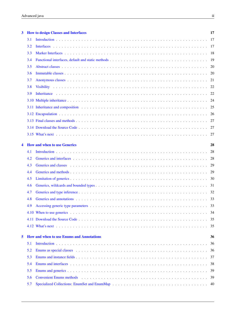| 3 |     | <b>How to design Classes and Interfaces</b>                                                                                                                                                                                    | 17 |
|---|-----|--------------------------------------------------------------------------------------------------------------------------------------------------------------------------------------------------------------------------------|----|
|   | 3.1 |                                                                                                                                                                                                                                | 17 |
|   | 3.2 |                                                                                                                                                                                                                                |    |
|   | 3.3 |                                                                                                                                                                                                                                |    |
|   | 3.4 |                                                                                                                                                                                                                                | 19 |
|   | 3.5 |                                                                                                                                                                                                                                | 20 |
|   | 3.6 |                                                                                                                                                                                                                                | 20 |
|   | 3.7 |                                                                                                                                                                                                                                |    |
|   | 3.8 |                                                                                                                                                                                                                                | 22 |
|   | 3.9 |                                                                                                                                                                                                                                |    |
|   |     |                                                                                                                                                                                                                                | 24 |
|   |     |                                                                                                                                                                                                                                | 25 |
|   |     |                                                                                                                                                                                                                                | 26 |
|   |     |                                                                                                                                                                                                                                | 27 |
|   |     |                                                                                                                                                                                                                                | 27 |
|   |     |                                                                                                                                                                                                                                | 27 |
| 4 |     | <b>How and when to use Generics</b>                                                                                                                                                                                            | 28 |
|   | 4.1 |                                                                                                                                                                                                                                | 28 |
|   | 4.2 |                                                                                                                                                                                                                                |    |
|   | 4.3 | Generics and classes entertainment in the contract of the contract of the contract of the contract of the contract of the contract of the contract of the contract of the contract of the contract of the contract of the cont | 29 |
|   | 4.4 |                                                                                                                                                                                                                                | 29 |
|   | 4.5 |                                                                                                                                                                                                                                |    |
|   | 4.6 |                                                                                                                                                                                                                                |    |
|   | 4.7 |                                                                                                                                                                                                                                |    |
|   | 4.8 |                                                                                                                                                                                                                                |    |
|   | 4.9 |                                                                                                                                                                                                                                | 33 |
|   |     |                                                                                                                                                                                                                                | 34 |
|   |     |                                                                                                                                                                                                                                | 35 |
|   |     |                                                                                                                                                                                                                                | 35 |
| 5 |     | <b>How and when to use Enums and Annotations</b>                                                                                                                                                                               | 36 |
|   | 5.1 |                                                                                                                                                                                                                                | 36 |
|   | 5.2 |                                                                                                                                                                                                                                | 36 |
|   | 5.3 |                                                                                                                                                                                                                                | 37 |
|   | 5.4 |                                                                                                                                                                                                                                | 38 |
|   | 5.5 |                                                                                                                                                                                                                                | 39 |
|   | 5.6 | Convenient Enums methods (a) respectively and the context of the convenient Enums methods (a) respectively and the context of the context of the context of the context of the context of the context of the context of the co | 39 |
|   | 5.7 |                                                                                                                                                                                                                                | 40 |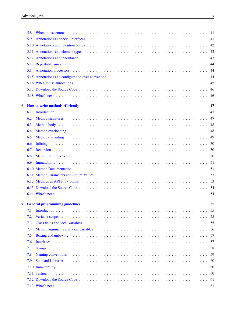|   | 5.8  |                                                                                                                                                                                                                                |     |
|---|------|--------------------------------------------------------------------------------------------------------------------------------------------------------------------------------------------------------------------------------|-----|
|   | 5.9  |                                                                                                                                                                                                                                |     |
|   |      |                                                                                                                                                                                                                                |     |
|   | 5.11 |                                                                                                                                                                                                                                |     |
|   |      | 5.12 Annotations and inheritance entries in the contract of the contract of the contract of the contract of the contract of the contract of the contract of the contract of the contract of the contract of the contract of th |     |
|   |      |                                                                                                                                                                                                                                |     |
|   |      |                                                                                                                                                                                                                                | 44  |
|   |      |                                                                                                                                                                                                                                | -44 |
|   |      | 5.16 When to use annotations experience in the contract of the contract of the contract of the contract of the contract of the contract of the contract of the contract of the contract of the contract of the contract of the |     |
|   |      |                                                                                                                                                                                                                                |     |
|   |      |                                                                                                                                                                                                                                | 46  |
| 6 |      | How to write methods efficiently                                                                                                                                                                                               | 47  |
|   | 6.1  |                                                                                                                                                                                                                                | 47  |
|   | 6.2  |                                                                                                                                                                                                                                |     |
|   | 6.3  |                                                                                                                                                                                                                                |     |
|   | 6.4  |                                                                                                                                                                                                                                | 48  |
|   | 6.5  |                                                                                                                                                                                                                                |     |
|   | 6.6  |                                                                                                                                                                                                                                |     |
|   | 6.7  |                                                                                                                                                                                                                                |     |
|   | 6.8  |                                                                                                                                                                                                                                |     |
|   | 6.9  |                                                                                                                                                                                                                                |     |
|   |      |                                                                                                                                                                                                                                |     |
|   |      |                                                                                                                                                                                                                                |     |
|   |      |                                                                                                                                                                                                                                |     |
|   |      |                                                                                                                                                                                                                                |     |
|   |      |                                                                                                                                                                                                                                |     |
| 7 |      | <b>General programming guidelines</b>                                                                                                                                                                                          | 55  |
|   | 7.1  |                                                                                                                                                                                                                                | 55  |
|   | 7.2  |                                                                                                                                                                                                                                | 55  |
|   | 7.3  |                                                                                                                                                                                                                                |     |
|   | 7.4  |                                                                                                                                                                                                                                |     |
|   | 7.5  |                                                                                                                                                                                                                                | 57  |
|   | 7.6  |                                                                                                                                                                                                                                |     |
|   | 7.7  |                                                                                                                                                                                                                                |     |
|   | 7.8  |                                                                                                                                                                                                                                |     |
|   | 7.9  |                                                                                                                                                                                                                                | -60 |
|   | 7.10 |                                                                                                                                                                                                                                | -60 |
|   |      |                                                                                                                                                                                                                                | -60 |
|   |      |                                                                                                                                                                                                                                | -61 |
|   |      |                                                                                                                                                                                                                                |     |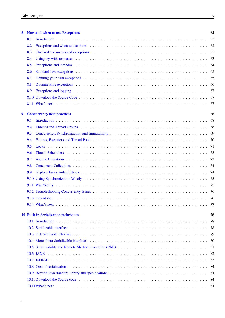| 8 |     | <b>How and when to use Exceptions</b>                                                                                                                                                                                          | 62  |
|---|-----|--------------------------------------------------------------------------------------------------------------------------------------------------------------------------------------------------------------------------------|-----|
|   | 8.1 |                                                                                                                                                                                                                                | 62  |
|   | 8.2 |                                                                                                                                                                                                                                | 62  |
|   | 8.3 | Checked and unchecked exceptions enterity and the set of the set of the set of the set of the set of the set of the set of the set of the set of the set of the set of the set of the set of the set of the set of the set of  | 62  |
|   | 8.4 |                                                                                                                                                                                                                                | 63  |
|   | 8.5 | Exceptions and lambdas enterprise on the contract of the contract of the contract of the contract of the contract of the contract of the contract of the contract of the contract of the contract of the contract of the contr | 64  |
|   | 8.6 |                                                                                                                                                                                                                                | 65  |
|   | 8.7 | Defining your own exceptions example.                                                                                                                                                                                          | 65  |
|   | 8.8 |                                                                                                                                                                                                                                | -66 |
|   | 8.9 |                                                                                                                                                                                                                                | 67  |
|   |     |                                                                                                                                                                                                                                | -67 |
|   |     |                                                                                                                                                                                                                                | 67  |
| 9 |     | <b>Concurrency best practices</b>                                                                                                                                                                                              | 68  |
|   | 9.1 |                                                                                                                                                                                                                                | 68  |
|   | 9.2 |                                                                                                                                                                                                                                | 68  |
|   | 9.3 |                                                                                                                                                                                                                                | 69  |
|   | 9.4 |                                                                                                                                                                                                                                | 70  |
|   | 9.5 |                                                                                                                                                                                                                                | 71  |
|   | 9.6 |                                                                                                                                                                                                                                | 73  |
|   | 9.7 |                                                                                                                                                                                                                                | 73  |
|   | 9.8 |                                                                                                                                                                                                                                | 74  |
|   | 9.9 |                                                                                                                                                                                                                                | 74  |
|   |     |                                                                                                                                                                                                                                | 75  |
|   |     |                                                                                                                                                                                                                                | -75 |
|   |     |                                                                                                                                                                                                                                | -76 |
|   |     | 9.13 Download.                                                                                                                                                                                                                 | 76  |
|   |     |                                                                                                                                                                                                                                | 77  |
|   |     |                                                                                                                                                                                                                                |     |
|   |     | <b>10 Built-in Serialization techniques</b>                                                                                                                                                                                    | 78  |
|   |     |                                                                                                                                                                                                                                | 78  |
|   |     |                                                                                                                                                                                                                                | 78  |
|   |     |                                                                                                                                                                                                                                | 79  |
|   |     |                                                                                                                                                                                                                                | -80 |
|   |     |                                                                                                                                                                                                                                | 81  |
|   |     |                                                                                                                                                                                                                                | 82  |
|   |     |                                                                                                                                                                                                                                | 83  |
|   |     |                                                                                                                                                                                                                                | 84  |
|   |     |                                                                                                                                                                                                                                | -84 |
|   |     |                                                                                                                                                                                                                                | -84 |
|   |     |                                                                                                                                                                                                                                | -84 |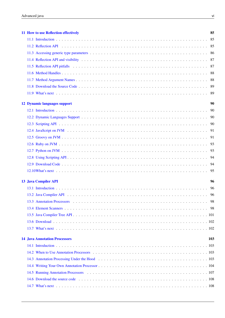|  | 11 How to use Reflection effectively | 85  |
|--|--------------------------------------|-----|
|  |                                      | 85  |
|  |                                      |     |
|  |                                      |     |
|  |                                      |     |
|  |                                      |     |
|  |                                      |     |
|  |                                      |     |
|  |                                      | -89 |
|  |                                      | -89 |
|  | <b>12 Dynamic languages support</b>  | 90  |
|  |                                      |     |
|  |                                      |     |
|  |                                      |     |
|  |                                      |     |
|  |                                      |     |
|  |                                      |     |
|  |                                      |     |
|  |                                      |     |
|  |                                      |     |
|  |                                      | 95  |
|  | <b>13 Java Compiler API</b>          | 96  |
|  |                                      | 96  |
|  |                                      | 96  |
|  |                                      | 98  |
|  |                                      |     |
|  |                                      |     |
|  |                                      |     |
|  |                                      |     |
|  | <b>14 Java Annotation Processors</b> | 103 |
|  |                                      |     |
|  |                                      |     |
|  |                                      |     |
|  |                                      |     |
|  |                                      |     |
|  |                                      |     |
|  |                                      |     |
|  |                                      |     |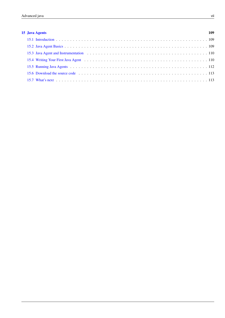# [15 Java Agents](#page-119-0) 109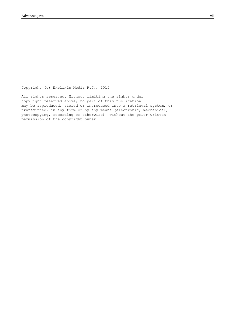Copyright (c) Exelixis Media P.C., 2015

All rights reserved. Without limiting the rights under copyright reserved above, no part of this publication may be reproduced, stored or introduced into a retrieval system, or transmitted, in any form or by any means (electronic, mechanical, photocopying, recording or otherwise), without the prior written permission of the copyright owner.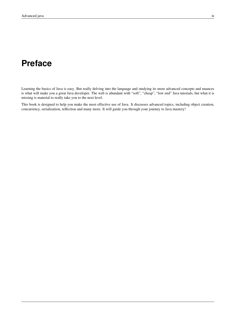# **Preface**

Learning the basics of Java is easy. But really delving into the language and studying its more advanced concepts and nuances is what will make you a great Java developer. The web is abundant with "soft", "cheap", "low end" Java tutorials, but what it is missing is material to really take you to the next level.

This book is designed to help you make the most effective use of Java. It discusses advanced topics, including object creation, concurrency, serialization, reflection and many more. It will guide you through your journey to Java mastery!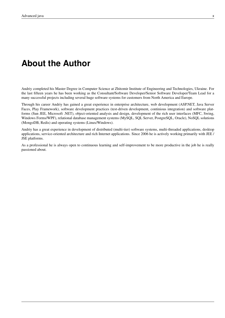# **About the Author**

Andriy completed his Master Degree in Computer Science at Zhitomir Institute of Engineering and Technologies, Ukraine. For the last fifteen years he has been working as the Consultant/Software Developer/Senior Software Developer/Team Lead for a many successful projects including several huge software systems for customers from North America and Europe.

Through his career Andriy has gained a great experience in enterprise architecture, web development (ASP.NET, Java Server Faces, Play Framework), software development practices (test-driven development, continious integration) and software platforms (Sun JEE, Microsoft .NET), object-oriented analysis and design, development of the rich user interfaces (MFC, Swing, Windows Forms/WPF), relational database management systems (MySQL, SQL Server, PostgreSQL, Oracle), NoSQL solutions (MongoDB, Redis) and operating systems (Linux/Windows).

Andriy has a great experience in development of distributed (multi-tier) software systems, multi-threaded applications, desktop applications, service-oriented architecture and rich Internet applications. Since 2006 he is actively working primarily with JEE / JSE platforms.

As a professional he is always open to continuous learning and self-improvement to be more productive in the job he is really passioned about.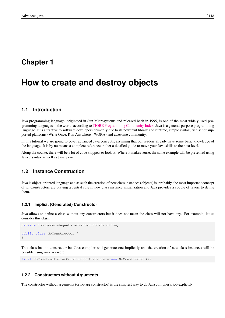# <span id="page-11-0"></span>**Chapter 1**

# **How to create and destroy objects**

# <span id="page-11-1"></span>**1.1 Introduction**

Java programming language, originated in Sun Microsystems and released back in 1995, is one of the most widely used programming languages in the world, according to [TIOBE Programming Community Index.](http://www.tiobe.com/index.php/content/paperinfo/tpci/index.html) Java is a general-purpose programming language. It is attractive to software developers primarily due to its powerful library and runtime, simple syntax, rich set of supported platforms (Write Once, Run Anywhere - WORA) and awesome community.

In this tutorial we are going to cover advanced Java concepts, assuming that our readers already have some basic knowledge of the language. It is by no means a complete reference, rather a detailed guide to move your Java skills to the next level.

Along the course, there will be a lot of code snippets to look at. Where it makes sense, the same example will be presented using Java 7 syntax as well as Java 8 one.

# <span id="page-11-2"></span>**1.2 Instance Construction**

Java is object-oriented language and as such the creation of new class instances (objects) is, probably, the most important concept of it. Constructors are playing a central role in new class instance initialization and Java provides a couple of favors to define them.

#### <span id="page-11-3"></span>**1.2.1 Implicit (Generated) Constructor**

Java allows to define a class without any constructors but it does not mean the class will not have any. For example, let us consider this class:

```
package com.javacodegeeks.advanced.construction;
public class NoConstructor {
}
```
This class has no constructor but Java compiler will generate one implicitly and the creation of new class instances will be possible using new keyword.

final NoConstructor noConstructorInstance = new NoConstructor();

#### <span id="page-11-4"></span>**1.2.2 Constructors without Arguments**

The constructor without arguments (or no-arg constructor) is the simplest way to do Java compiler's job explicitly.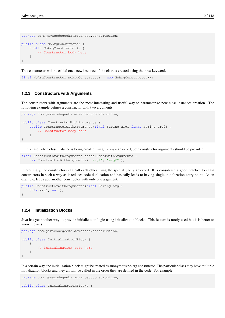```
package com.javacodegeeks.advanced.construction;
public class NoArgConstructor {
   public NoArgConstructor() {
       // Constructor body here
    }
}
```
This constructor will be called once new instance of the class is created using the new keyword.

final NoArgConstructor noArgConstructor = new NoArgConstructor();

#### <span id="page-12-0"></span>**1.2.3 Constructors with Arguments**

The constructors with arguments are the most interesting and useful way to parameterize new class instances creation. The following example defines a constructor with two arguments.

```
package com.javacodegeeks.advanced.construction;
public class ConstructorWithArguments {
   public ConstructorWithArguments(final String arg1,final String arg2) {
       // Constructor body here
    }
}
```
In this case, when class instance is being created using the new keyword, both constructor arguments should be provided.

```
final ConstructorWithArguments constructorWithArguments =
   new ConstructorWithArguments( "arg1", "arg2");
```
Interestingly, the constructors can call each other using the special this keyword. It is considered a good practice to chain constructors in such a way as it reduces code duplication and basically leads to having single initialization entry point. As an example, let us add another constructor with only one argument.

```
public ConstructorWithArguments(final String arg1) {
   this(arg1, null);
}
```
## <span id="page-12-1"></span>**1.2.4 Initialization Blocks**

Java has yet another way to provide initialization logic using initialization blocks. This feature is rarely used but it is better to know it exists.

```
package com.javacodegeeks.advanced.construction;
public class InitializationBlock {
    {
        // initialization code here
    }
}
```
In a certain way, the initialization block might be treated as anonymous no-arg constructor. The particular class may have multiple initialization blocks and they all will be called in the order they are defined in the code. For example:

```
package com.javacodegeeks.advanced.construction;
```

```
public class InitializationBlocks {
```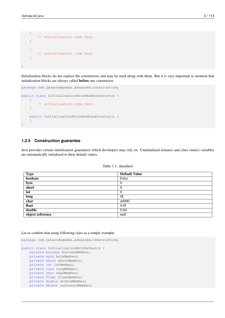```
{
        // initialization code here
    }
    {
        // initialization code here
    }
}
```
Initialization blocks do not replace the constructors and may be used along with them. But it is very important to mention that initialization blocks are always called before any constructor.

```
package com.javacodegeeks.advanced.construction;
public class InitializationBlockAndConstructor {
    {
        // initialization code here
    }
    public InitializationBlockAndConstructor() {
    }
}
```
## <span id="page-13-0"></span>**1.2.5 Construction guarantee**

Java provides certain initialization guarantees which developers may rely on. Uninitialized instance and class (static) variables are automatically initialized to their default values.

| <b>Type</b>      | Default Value  |
|------------------|----------------|
| boolean          | False          |
| byte             | $\overline{0}$ |
| short            | $\Omega$       |
| int              | $\overline{0}$ |
| long             | 0 <sub>L</sub> |
| char             | u0000          |
| float            | 0.0f           |
| double           | 0.0d           |
| object reference | null           |

```
Table 1.1: datasheet
```
Let us confirm that using following class as a simple example:

```
package com.javacodegeeks.advanced.construction;
public class InitializationWithDefaults {
   private boolean booleanMember;
   private byte byteMember;
   private short shortMember;
   private int intMember;
   private long longMember;
   private char charMember;
   private float floatMember;
   private double doubleMember;
  private Object referenceMember;
```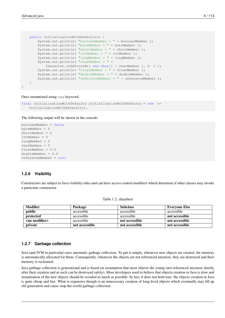}

```
public InitializationWithDefaults() {
    System.out.println( "booleanMember = " + booleanMember );
    System.out.println( "byteMember = " + byteMember );
    System.out.println( "shortMember = " + shortMember );
    System.out.println( "intMember = " + intMember );
    System.out.println( "longMember = " + longMember );
    System.out.println( "charMember = " +
        Character.codePointAt ( new char[] { charMember }, 0 ) );
    System.out.println( "floatMember = " + floatMember );
    System.out.println( "doubleMember = " + doubleMember );
    System.out.println( "referenceMember = " + referenceMember );
}
```
Once instantiated using new keyword:

```
final InitializationWithDefaults initializationWithDefaults = new
   InitializationWithDefaults(),
```
The following output will be shown in the console:

```
booleanMember = false
byteMember = 0
shortMember = 0
intMember = 0
longMember = 0
charMember = 0floatMember = 0.0
doubleMember = 0.0
referenceMember = null
```
## <span id="page-14-0"></span>**1.2.6 Visibility**

Constructors are subject to Java visibility rules and can have access control modifiers which determine if other classes may invoke a particular constructor.

| <b>Modifier</b>       | Package        | <b>Subclass</b> | <b>Evervone Else</b> |
|-----------------------|----------------|-----------------|----------------------|
| public                | accessible     | accessible      | accessible           |
| protected             | accessible     | accessible      | not accessible       |
| <no modifier=""></no> | accessible     | not accessible  | not accessible       |
| private               | not accessible | not accessible  | not accessible       |

Table 1.2: datasheet

#### <span id="page-14-1"></span>**1.2.7 Garbage collection**

Java (and JVM in particular) uses automatic garbage collection. To put it simply, whenever new objects are created, the memory is automatically allocated for them. Consequently, whenever the objects are not referenced anymore, they are destroyed and their memory is reclaimed.

Java garbage collection is generational and is based on assumption that most objects die young (not referenced anymore shortly after their creation and as such can be destroyed safely). Most developers used to believe that objects creation in Java is slow and instantiation of the new objects should be avoided as much as possible. In fact, it does not hold true: the objects creation in Java is quite cheap and fast. What is expensive though is an unnecessary creation of long-lived objects which eventually may fill up old generation and cause stop-the-world garbage collection.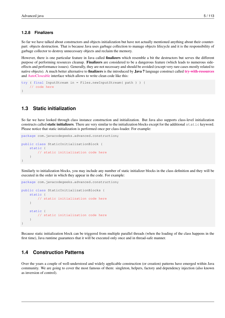#### <span id="page-15-0"></span>**1.2.8 Finalizers**

So far we have talked about constructors and objects initialization but have not actually mentioned anything about their counterpart: objects destruction. That is because Java uses garbage collection to manage objects lifecycle and it is the responsibility of garbage collector to destroy unnecessary objects and reclaim the memory.

However, there is one particular feature in Java called finalizers which resemble a bit the destructors but serves the different purpose of performing resources cleanup. Finalizers are considered to be a dangerous feature (which leads to numerous sideeffects and performance issues). Generally, they are not necessary and should be avoided (except very rare cases mostly related to native objects). A much better alternative to **finalizers** is the introduced by **Java 7** language construct called [try-with-resources](http://docs.oracle.com/javase/tutorial/essential/exceptions/tryResourceClose.html) and [AutoCloseable](http://docs.oracle.com/javase/7/docs/api/java/lang/AutoCloseable.html) interface which allows to write clean code like this:

```
try ( final InputStream in = Files.newInputStream( path ) ) {
    // code here
}
```
# <span id="page-15-1"></span>**1.3 Static initialization**

So far we have looked through class instance construction and initialization. But Java also supports class-level initialization constructs called **static initializers**. There are very similar to the initialization blocks except for the additional static keyword. Please notice that static initialization is performed once per class-loader. For example:

```
package com.javacodegeeks.advanced.construction;
public class StaticInitializationBlock {
    static {
        // static initialization code here
    }
}
```
Similarly to initialization blocks, you may include any number of static initializer blocks in the class definition and they will be executed in the order in which they appear in the code. For example:

package com.javacodegeeks.advanced.construction;

```
public class StaticInitializationBlocks {
   static {
        // static initialization code here
    }
    static {
        // static initialization code here
    }
}
```
Because static initialization block can be triggered from multiple parallel threads (when the loading of the class happens in the first time), Java runtime guarantees that it will be executed only once and in thread-safe manner.

## <span id="page-15-2"></span>**1.4 Construction Patterns**

Over the years a couple of well-understood and widely applicable construction (or creation) patterns have emerged within Java community. We are going to cover the most famous of them: singleton, helpers, factory and dependency injection (also known as inversion of control).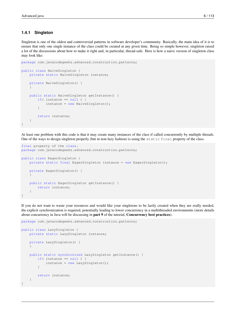## <span id="page-16-0"></span>**1.4.1 Singleton**

Singleton is one of the oldest and controversial patterns in software developer's community. Basically, the main idea of it is to ensure that only one single instance of the class could be created at any given time. Being so simple however, singleton raised a lot of the discussions about how to make it right and, in particular, thread-safe. Here is how a naive version of singleton class may look like:

```
package com.javacodegeeks.advanced.construction.patterns;
public class NaiveSingleton {
    private static NaiveSingleton instance;
    private NaiveSingleton() {
    }
    public static NaiveSingleton getInstance() {
        if( instance == null) {
            instance = new NaiveSingleton();
        }
        return instance;
    }
}
```
At least one problem with this code is that it may create many instances of the class if called concurrently by multiple threads. One of the ways to design singleton properly (but in non-lazy fashion) is using the static final property of the class.

```
final property of the class.
package com.javacodegeeks.advanced.construction.patterns;
public class EagerSingleton {
    private static final EagerSingleton instance = new EagerSingleton();
    private EagerSingleton() {
    }
    public static EagerSingleton getInstance() {
       return instance;
    }
}
```
If you do not want to waste your resources and would like your singletons to be lazily created when they are really needed, the explicit synchronization is required, potentially leading to lower concurrency in a multithreaded environments (more details about concurrency in Java will be discussing in part 9 of the tutorial, Concurrency best practices).

```
package com.javacodegeeks.advanced.construction.patterns;
```

```
public class LazySingleton {
   private static LazySingleton instance;
    private LazySingleton() {
    }
    public static synchronized LazySingleton getInstance() {
        if( instance == null) {
            instance = new LazySingleton();
        }
        return instance;
    }
}
```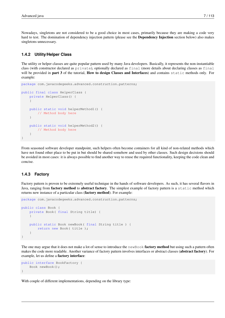Nowadays, singletons are not considered to be a good choice in most cases, primarily because they are making a code very hard to test. The domination of dependency injection pattern (please see the Dependency Injection section below) also makes singletons unnecessary.

## <span id="page-17-0"></span>**1.4.2 Utility/Helper Class**

The utility or helper classes are quite popular pattern used by many Java developers. Basically, it represents the non-instantiable class (with constructor declared as private), optionally declared as final (more details about declaring classes as final will be provided in **part 3** of the tutorial, **How to design Classes and Interfaces**) and contains static methods only. For example:

```
package com.javacodegeeks.advanced.construction.patterns;
public final class HelperClass {
    private HelperClass() {
    }
    public static void helperMethod1() {
       // Method body here
    }
    public static void helperMethod2() {
       // Method body here
    }
}
```
From seasoned software developer standpoint, such helpers often become containers for all kind of non-related methods which have not found other place to be put in but should be shared somehow and used by other classes. Such design decisions should be avoided in most cases: it is always possible to find another way to reuse the required functionality, keeping the code clean and concise.

#### <span id="page-17-1"></span>**1.4.3 Factory**

Factory pattern is proven to be extremely useful technique in the hands of software developers. As such, it has several flavors in Java, ranging from factory method to abstract factory. The simplest example of factory pattern is a static method which returns new instance of a particular class (factory method). For example:

```
package com.javacodegeeks.advanced.construction.patterns;
public class Book {
    private Book( final String title) {
    }
    public static Book newBook( final String title ) {
        return new Book( title );
    }
}
```
The one may argue that it does not make a lot of sense to introduce the newBook **factory method** but using such a pattern often makes the code more readable. Another variance of factory pattern involves interfaces or abstract classes (abstract factory). For example, let us define a factory interface:

```
public interface BookFactory {
    Book newBook();
}
```
With couple of different implementations, depending on the library type: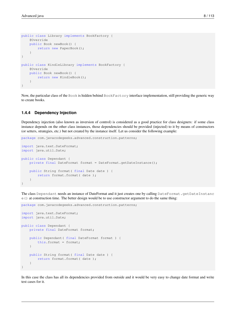```
public class Library implements BookFactory {
    @Override
    public Book newBook() {
        return new PaperBook();
    }
}
public class KindleLibrary implements BookFactory {
    @Override
    public Book newBook() {
        return new KindleBook();
    }
}
```
Now, the particular class of the Book is hidden behind BookFactory interface implementation, still providing the generic way to create books.

#### <span id="page-18-0"></span>**1.4.4 Dependency Injection**

Dependency injection (also known as inversion of control) is considered as a good practice for class designers: if some class instance depends on the other class instances, those dependencies should be provided (injected) to it by means of constructors (or setters, strategies, etc.) but not created by the instance itself. Let us consider the following example:

```
package com.javacodegeeks.advanced.construction.patterns;
import java.text.DateFormat;
import java.util.Date;
public class Dependant {
    private final DateFormat format = DateFormat.getDateInstance();
    public String format( final Date date ) {
        return format.format( date );
    }
}
```
The class Dependant needs an instance of DateFormat and it just creates one by calling DateFormat.getDateInstanc  $e$ () at construction time. The better design would be to use constructor argument to do the same thing:

```
package com.javacodegeeks.advanced.construction.patterns;
import java.text.DateFormat;
import java.util.Date;
public class Dependant {
    private final DateFormat format;
    public Dependant( final DateFormat format ) {
        this.format = format;
    }
    public String format( final Date date ) {
       return format.format( date );
    }
}
```
In this case the class has all its dependencies provided from outside and it would be very easy to change date format and write test cases for it.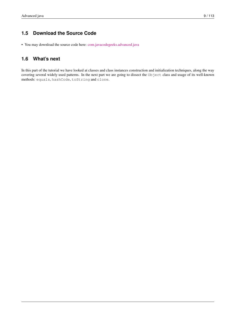# <span id="page-19-0"></span>**1.5 Download the Source Code**

• You may download the source code here: [com.javacodegeeks.advanced.java](http://www.javacodegeeks.com/wp-content/uploads/2015/09/com.javacodegeeks.advanced.java_.zip)

# <span id="page-19-1"></span>**1.6 What's next**

In this part of the tutorial we have looked at classes and class instances construction and initialization techniques, along the way covering several widely used patterns. In the next part we are going to dissect the Object class and usage of its well-known methods: equals, hashCode, toString and clone.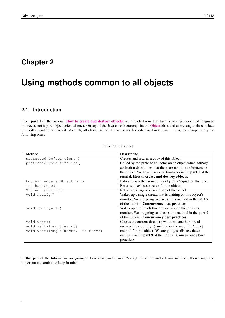# <span id="page-20-0"></span>**Chapter 2**

# **Using methods common to all objects**

# <span id="page-20-1"></span>**2.1 Introduction**

From part 1 of the tutorial, [How to create and destroy objects](http://www.javacodegeeks.com/2015/09/how-to-create-and-destroy-objects/), we already know that Java is an object-oriented language (however, not a pure object-oriented one). On top of the Java class hierarchy sits the [Object](http://docs.oracle.com/javase/7/docs/api/java/lang/Object.html) class and every single class in Java implicitly is inherited from it. As such, all classes inherit the set of methods declared in Object class, most importantly the following ones:

| Table 2.1: datasheet |  |
|----------------------|--|
|                      |  |

| <b>Method</b>                       | <b>Description</b>                                                   |  |
|-------------------------------------|----------------------------------------------------------------------|--|
| protected Object clone()            | Creates and returns a copy of this object.                           |  |
| protected void finalize()           | Called by the garbage collector on an object when garbage            |  |
|                                     | collection determines that there are no more references to           |  |
|                                     | the object. We have discussed finalizers in the <b>part 1</b> of the |  |
|                                     | tutorial, How to create and destroy objects.                         |  |
| boolean equals (Object obj)         | Indicates whether some other object is "equal to" this one.          |  |
| int hashCode()                      | Returns a hash code value for the object.                            |  |
| String toString()                   | Returns a string representation of the object.                       |  |
| void $notify()$                     | Wakes up a single thread that is waiting on this object's            |  |
|                                     | monitor. We are going to discuss this method in the part 9           |  |
|                                     | of the tutorial, Concurrency best practices.                         |  |
| void notifyAll()                    | Wakes up all threads that are waiting on this object's               |  |
|                                     | monitor. We are going to discuss this method in the part 9           |  |
|                                     | of the tutorial, Concurrency best practices.                         |  |
| void wait()                         | Causes the current thread to wait until another thread               |  |
| void wait (long timeout)            | invokes the notify () method or the notify $All()$                   |  |
| void wait (long timeout, int nanos) | method for this object. We are going to discuss these                |  |
|                                     | methods in the part 9 of the tutorial, Concurrency best              |  |
|                                     | practices.                                                           |  |

In this part of the tutorial we are going to look at equals,hashCode,toString and clone methods, their usage and important constraints to keep in mind.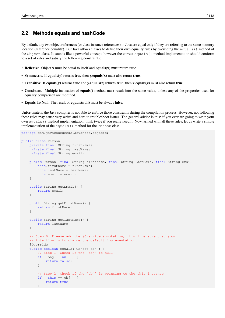# <span id="page-21-0"></span>**2.2 Methods equals and hashCode**

By default, any two object references (or class instance references) in Java are equal only if they are referring to the same memory location (reference equality). But Java allows classes to define their own equality rules by overriding the equals() method of the Object class. It sounds like a powerful concept, however the correct equals() method implementation should conform to a set of rules and satisfy the following constraints:

- Reflexive. Object x must be equal to itself and equals(x) must return true.
- Symmetric. If equals(y) returns true then y.equals(x) must also return true.
- Transitive. If equals(y) returns true and y.equals(z) returns true, then x.equals(z) must also return true.
- Consistent. Multiple invocation of equals() method must result into the same value, unless any of the properties used for equality comparison are modified.
- Equals To Null. The result of equals(null) must be always false.

Unfortunately, the Java compiler is not able to enforce those constraints during the compilation process. However, not following these rules may cause very weird and hard to troubleshoot issues. The general advice is this: if you ever are going to write your own equals() method implementation, think twice if you really need it. Now, armed with all these rules, let us write a simple implementation of the equals() method for the Person class.

```
package com.javacodegeeks.advanced.objects;
public class Person {
    private final String firstName;
    private final String lastName;
    private final String email;
    public Person( final String firstName, final String lastName, final String email ) {
        this.firstName = firstName;
        this.lastName = lastName;
        this.email = email;
    }
    public String getEmail() {
        return email;
    }
    public String getFirstName() {
        return firstName;
    }
    public String getLastName() {
        return lastName;
    }
    // Step 0: Please add the @Override annotation, it will ensure that your
    // intention is to change the default implementation.
    @Override
    public boolean equals( Object obj ) {
        // Step 1: Check if the 'obj' is null
        if ( obj == null ) {
            return false;
        }
        // Step 2: Check if the 'obj' is pointing to the this instance
        if ( this == obj ) {
            return true;
        }
```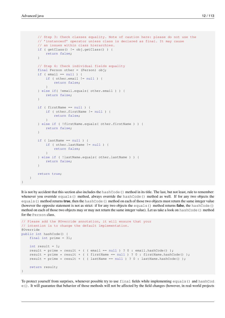}

```
// Step 3: Check classes equality. Note of caution here: please do not use the
    // 'instanceof' operator unless class is declared as final. It may cause
    // an issues within class hierarchies.
    if ( getClass() != obj.getClass() ) {
        return false;
    }
    // Step 4: Check individual fields equality
    final Person other = (Person) obj;
    if ( email == null ) {
        if ( other.email != null ) {
            return false;
        }
    } else if( !email.equals( other.email ) ) {
        return false;
    }
    if ( firstName == null ) {
        if ( other.firstName != null ) {
           return false;
        }
    } else if ( !firstName.equals( other.firstName ) ) {
        return false;
    }
    if ( lastName == null ) {
        if ( other.lastName != null ) {
           return false;
        }
    } else if ( !lastName.equals( other.lastName ) ) {
       return false;
    }
    return true;
}
```
It is not by accident that this section also includes the hashCode() method in its title. The last, but not least, rule to remember: whenever you override equals() method, always override the hashCode() method as well. If for any two objects the equals() method returns true, then the hashCode() method on each of those two objects must return the same integer value (however the opposite statement is not as strict: if for any two objects the equals () method returns **false**, the hashCode() method on each of those two objects may or may not return the same integer value). Let us take a look on hashCode() method for the Person class.

```
// Please add the @Override annotation, it will ensure that your
// intention is to change the default implementation.
@Override
public int hashCode() {
   final int prime = 31;
   int result = 1:
   result = prime * result + ( ( email == null ) ? 0 : email.hashCode() );
   result = prime * result + ( ( firstName == null ) ? 0 : firstName.hashCode() );
   result = prime * result + ( ( lastName == null ) ? 0 : lastName.hashCode() );
   return result;
}
```
To protect yourself from surprises, whenever possible try to use final fields while implementing equals() and hashCod e(). It will guarantee that behavior of those methods will not be affected by the field changes (however, in real-world projects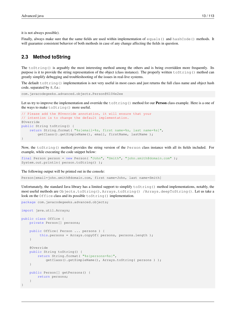it is not always possible).

Finally, always make sure that the same fields are used within implementation of equals() and hashCode() methods. It will guarantee consistent behavior of both methods in case of any change affecting the fields in question.

# <span id="page-23-0"></span>**2.3 Method toString**

The toString() is arguably the most interesting method among the others and is being overridden more frequently. Its purpose is it to provide the string representation of the object (class instance). The properly written toString() method can greatly simplify debugging and troubleshooting of the issues in real-live systems.

The default tostring () implementation is not very useful in most cases and just returns the full class name and object hash code, separated by @, f.e.:

com.javacodegeeks.advanced.objects.Person@6104e2ee

Let us try to improve the implementation and override the toString() method for our **Person** class example. Here is a one of the ways to make toString() more useful.

```
// Please add the @Override annotation, it will ensure that your
// intention is to change the default implementation.
@Override
public String toString() {
    return String.format( "%s[email=%s, first name=%s, last name=%s]",
        getClass().getSimpleName(), email, firstName, lastName );
}
```
Now, the toString() method provides the string version of the Person class instance with all its fields included. For example, while executing the code snippet below:

```
final Person person = new Person( "John", "Smith", "john.smith@domain.com" );
System.out.println( person.toString() );
```
The following output will be printed out in the console:

Person[email=john.smith@domain.com, first name=John, last name=Smith]

Unfortunately, the standard Java library has a limited support to simplify toString() method implementations, notably, the most useful methods are Objects.toString(), Arrays.toString() /Arrays.deepToString(). Let us take a look on the Office class and its possible toString() implementation.

```
package com.javacodegeeks.advanced.objects;
import java.util.Arrays;
public class Office {
   private Person[] persons;
    public Office( Person ... persons ) {
         this.persons = Arrays.copyOf( persons, persons.length );
    }
    @Override
    public String toString() {
        return String.format( "%s{persons=%s}",
            getClass().getSimpleName(), Arrays.toString( persons ) );
    }
    public Person[] getPersons() {
        return persons;
    }
}
```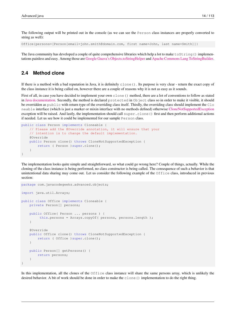The following output will be printed out in the console (as we can see the Person class instances are properly converted to string as well):

Office{persons=[Person[email=john.smith@domain.com, first name=John, last name=Smith]]}

The Java community has developed a couple of quite comprehensive libraries which help a lot to make  $\text{toString}$  () implementations painless and easy. Among those are [Google Guava's](http://code.google.com/p/guava-libraries/) [Objects.toStringHelper](http://docs.guava-libraries.googlecode.com/git/javadoc/com/google/common/base/Objects.ToStringHelper.html) and [Apache Commons Lang](http://commons.apache.org/proper/commons-lang/) [ToStringBuilder.](http://commons.apache.org/proper/commons-lang/apidocs/org/apache/commons/lang3/builder/ToStringBuilder.html)

# <span id="page-24-0"></span>**2.4 Method clone**

If there is a method with a bad reputation in Java, it is definitely clone(). Its purpose is very clear - return the exact copy of the class instance it is being called on, however there are a couple of reasons why it is not as easy as it sounds.

First of all, in case you have decided to implement your own clone() method, there are a lot of conventions to follow as stated in [Java documentation.](http://docs.oracle.com/javase/7/docs/api/java/lang/Object.html#clone()) Secondly, the method is declared protected in Object class so in order to make it visible, it should be overridden as public with return type of the overriding class itself. Thirdly, the overriding class should implement the Clo neable interface (which is just a marker or mixin interface with no methods defined) otherwise [CloneNotSupportedException](http://docs.oracle.com/javase/7/docs/api/java/lang/CloneNotSupportedException.html) exception will be raised. And lastly, the implementation should call super.clone() first and then perform additional actions if needed. Let us see how it could be implemented for our sample Person class.

```
public class Person implements Cloneable {
    // Please add the @Override annotation, it will ensure that your
    // intention is to change the default implementation.
    @Override
    public Person clone() throws CloneNotSupportedException {
        return ( Person )super.clone();
    }
}
```
The implementation looks quite simple and straightforward, so what could go wrong here? Couple of things, actually. While the cloning of the class instance is being performed, no class constructor is being called. The consequence of such a behavior is that unintentional data sharing may come out. Let us consider the following example of the  $\text{Office class}$ , introduced in previous section:

```
package com.javacodegeeks.advanced.objects;
import java.util.Arrays;
public class Office implements Cloneable {
    private Person[] persons;
    public Office( Person ... persons ) {
         this.persons = Arrays.copyOf( persons, persons.length );
    }
    @Override
    public Office clone() throws CloneNotSupportedException {
        return ( Office ) super.clone();
    }
    public Person[] getPersons() {
        return persons;
    }
}
```
In this implementation, all the clones of the Office class instance will share the same persons array, which is unlikely the desired behavior. A bit of work should be done in order to make the clone() implementation to do the right thing.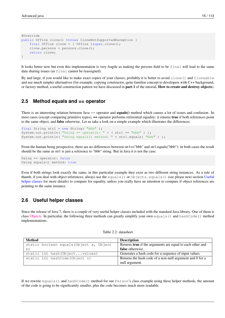```
@Override
public Office clone() throws CloneNotSupportedException {
    final Office clone = ( Office ) super.clone();
    clone.persons = persons.clone();
    return clone;
}
```
It looks better now but even this implementation is very fragile as making the persons field to be final will lead to the same data sharing issues (as final cannot be reassigned).

By and large, if you would like to make exact copies of your classes, probably it is better to avoid clone() and Cloneable and use much simpler alternatives (for example, copying constructor, quite familiar concept to developers with C++ background, or factory method, a useful construction pattern we have discussed in part 1 of the tutorial, How to create and destroy objects).

# <span id="page-25-0"></span>**2.5 Method equals and == operator**

There is an interesting relation between Java == operator and **equals**() method which causes a lot of issues and confusion. In most cases (except comparing primitive types), == operator performs referential equality: it returns **true** if both references point to the same object, and false otherwise. Let us take a look on a simple example which illustrates the differences:

```
final String str1 = new String( "bbb" ):
System.out.println( "Using == operator: " + ( strl == "bbb" ));
System.out.println( "Using equals() method: " + str1.equals( "bbb" ) );
```
From the human being prospective, there are no differences between str1=="bbb" and str1.equals("bbb"): in both cases the result should be the same as str1 is just a reference to "bbb" string. But in Java it is not the case:

Using == operator: false Using equals() method: true

Even if both strings look exactly the same, in this particular example they exist as two different string instances. As a rule of thumb, if you deal with object references, always use the equals() or Objects, equals() (see please next section [Useful](#page-1-0) [helper classes](#page-1-0) for more details) to compare for equality, unless you really have an intention to compare if object references are pointing to the same instance.

# <span id="page-25-1"></span>**2.6 Useful helper classes**

Since the release of Java 7, there is a couple of very useful helper classes included with the standard Java library. One of them is class [Objects.](http://docs.oracle.com/javase/7/docs/api/java/util/Objects.html) In particular, the following three methods can greatly simplify your own equals() and hashCode() method implementations.

| Method                                  | <b>Description</b>                                               |
|-----------------------------------------|------------------------------------------------------------------|
| static boolean equals (Object a, Object | Returns <b>true</b> if the arguments are equal to each other and |
| b)                                      | false otherwise.                                                 |
| static int hash (Objectvalues)          | Generates a hash code for a sequence of input values.            |
| static int hashCode (Object o)          | Returns the hash code of a non-null argument and 0 for a         |
|                                         | null argument.                                                   |

Table 2.2: datasheet

If we rewrite equals() and hashCode() method for our Person's class example using these helper methods, the amount of the code is going to be significantly smaller, plus the code becomes much more readable.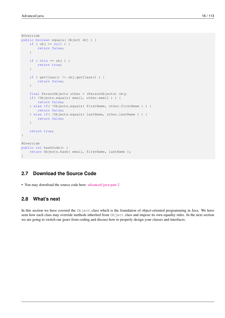```
@Override
public boolean equals( Object obj ) {
    if ( obj == null ) {
        return false;
    }
    if ( this == obj ) {
        return true;
    }
    if ( getClass() != obj.getClass() ) {
        return false;
    }
    final PersonObjects other = (PersonObjects) obj;
    if( !Objects.equals( email, other.email ) ) {
        return false;
    } else if( !Objects.equals( firstName, other.firstName ) ) {
        return false;
    } else if( !Objects.equals( lastName, other.lastName ) ) {
        return false;
    }
    return true;
}
@Override
public int hashCode() {
    return Objects.hash( email, firstName, lastName );
}
```
# <span id="page-26-0"></span>**2.7 Download the Source Code**

• You may download the source code here: [advanced-java-part-2](http://www.javacodegeeks.com/wp-content/uploads/2015/09/advanced-java-part-2.zip)

## <span id="page-26-1"></span>**2.8 What's next**

In this section we have covered the Object class which is the foundation of object-oriented programming in Java. We have seen how each class may override methods inherited from Object class and impose its own equality rules. In the next section we are going to switch our gears from coding and discuss how to properly design your classes and interfaces.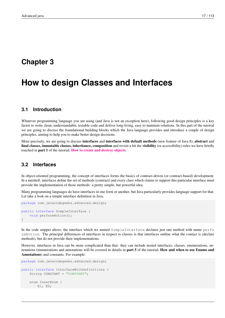# <span id="page-27-0"></span>**Chapter 3**

# **How to design Classes and Interfaces**

# <span id="page-27-1"></span>**3.1 Introduction**

Whatever programming language you are using (and Java is not an exception here), following good design principles is a key factor to write clean, understandable, testable code and deliver long-living, easy to maintain solutions. In this part of the tutorial we are going to discuss the foundational building blocks which the Java language provides and introduce a couple of design principles, aiming to help you to make better design decisions.

More precisely, we are going to discuss interfaces and interfaces with default methods (new feature of Java 8), abstract and final classes, immutable classes, inheritance, composition and revisit a bit the visibility (or accessibility) rules we have briefly touched in part 1 of the tutorial, [How to create and destroy objects](http://www.javacodegeeks.com/2015/09/how-to-create-and-destroy-objects/).

## <span id="page-27-2"></span>**3.2 Interfaces**

In object-oriented programming, the concept of interfaces forms the basics of contract-driven (or contract-based) development. In a nutshell, interfaces define the set of methods (contract) and every class which claims to support this particular interface must provide the implementation of those methods: a pretty simple, but powerful idea.

Many programming languages do have interfaces in one form or another, but Java particularly provides language support for that. Let take a look on a simple interface definition in Java.

```
package com.javacodegeeks.advanced.design;
public interface SimpleInterface {
   void performAction();
}
```
In the code snippet above, the interface which we named SimpleInterface declares just one method with name perfo rmAction. The principal differences of interfaces in respect to classes is that interfaces outline what the contact is (declare methods), but do not provide their implementations.

However, interfaces in Java can be more complicated than that: they can include nested interfaces, classes, enumerations, annotations (enumerations and annotations will be covered in details in part 5 of the tutorial, How and when to use Enums and Annotations) and constants. For example:

```
package com.javacodegeeks.advanced.design;
public interface InterfaceWithDefinitions {
   String CONSTANT = "CONSTANT";
   enum InnerEnum {
        E1, E2;
```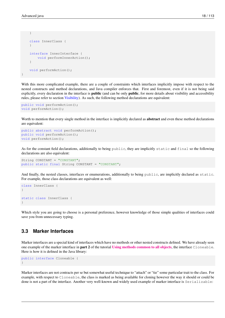```
}
    class InnerClass {
    }
    interface InnerInterface {
        void performInnerAction();
    }
    void performAction();
}
```
With this more complicated example, there are a couple of constraints which interfaces implicitly impose with respect to the nested constructs and method declarations, and Java compiler enforces that. First and foremost, even if it is not being said explicitly, every declaration in the interface is **public** (and can be only **public**, for more details about visibility and accessibility rules, please refer to section [Visibility\)](#page-1-0). As such, the following method declarations are equivalent:

```
public void performAction();
void performAction();
```
Worth to mention that every single method in the interface is implicitly declared as **abstract** and even these method declarations are equivalent:

```
public abstract void performAction();
public void performAction();
void performAction();
```
As for the constant field declarations, additionally to being public, they are implicitly static and final so the following declarations are also equivalent:

```
String CONSTANT = "CONSTANT";
public static final String CONSTANT = "CONSTANT";
```
And finally, the nested classes, interfaces or enumerations, additionally to being public, are implicitly declared as static. For example, those class declarations are equivalent as well:

```
class InnerClass {
}
static class InnerClass {
}
```
Which style you are going to choose is a personal preference, however knowledge of those simple qualities of interfaces could save you from unnecessary typing.

# <span id="page-28-0"></span>**3.3 Marker Interfaces**

Marker interfaces are a special kind of interfaces which have no methods or other nested constructs defined. We have already seen one example of the marker interface in part 2 of the tutorial [Using methods common to all objects](http://www.javacodegeeks.com/2015/09/using-methods-common-to-all-objects/), the interface Cloneable. Here is how it is defined in the Java library:

```
public interface Cloneable {
}
```
Marker interfaces are not contracts per se but somewhat useful technique to "attach" or "tie" some particular trait to the class. For example, with respect to Cloneable, the class is marked as being available for cloning however the way it should or could be done is not a part of the interface. Another very well-known and widely used example of marker interface is Serializable: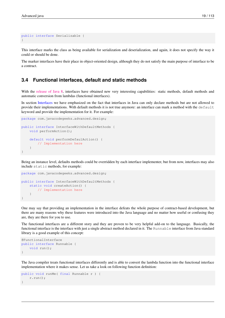```
public interface Serializable {
}
```
This interface marks the class as being available for serialization and deserialization, and again, it does not specify the way it could or should be done.

The marker interfaces have their place in object-oriented design, although they do not satisfy the main purpose of interface to be a contract.

## <span id="page-29-0"></span>**3.4 Functional interfaces, default and static methods**

With the [release of Java 8,](http://www.javacodegeeks.com/2014/05/java-8-features-tutorial.html) interfaces have obtained new very interesting capabilities: static methods, default methods and automatic conversion from lambdas (functional interfaces).

In section [Interfaces](#page-1-0) we have emphasized on the fact that interfaces in Java can only declare methods but are not allowed to provide their implementations. With default methods it is not true anymore: an interface can mark a method with the default keyword and provide the implementation for it. For example:

```
package com.javacodegeeks.advanced.design;
public interface InterfaceWithDefaultMethods {
    void performAction();
    default void performDefaulAction() {
        // Implementation here
    }
}
```
Being an instance level, defaults methods could be overridden by each interface implementer, but from now, interfaces may also include static methods, for example:

```
package com.javacodegeeks.advanced.design;
public interface InterfaceWithDefaultMethods {
    static void createAction() {
        // Implementation here
    }
}
```
One may say that providing an implementation in the interface defeats the whole purpose of contract-based development, but there are many reasons why these features were introduced into the Java language and no matter how useful or confusing they are, they are there for you to use.

The functional interfaces are a different story and they are proven to be very helpful add-on to the language. Basically, the functional interface is the interface with just a single abstract method declared in it. The Runnable interface from Java standard library is a good example of this concept:

```
@FunctionalInterface
public interface Runnable {
    void run();
}
```
The Java compiler treats functional interfaces differently and is able to convert the lambda function into the functional interface implementation where it makes sense. Let us take a look on following function definition:

```
public void runMe( final Runnable r ) {
    r.run();
}
```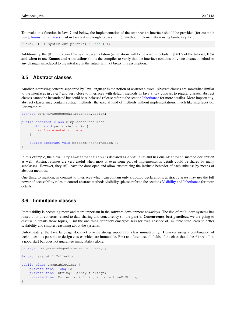To invoke this function in Java 7 and below, the implementation of the Runnable interface should be provided (for example using [Anonymous classes\)](#page-1-0), but in Java 8 it is enough to pass run() method implementation using lambda syntax:

```
runMe( () -> System.out.println( "Run!" ) );
```
Additionally, the  $\&$ FunctionalInterface annotation (annotations will be covered in details in part 5 of the tutorial, How and when to use Enums and Annotations) hints the compiler to verify that the interface contains only one abstract method so any changes introduced to the interface in the future will not break this assumption.

# <span id="page-30-0"></span>**3.5 Abstract classes**

Another interesting concept supported by Java language is the notion of abstract classes. Abstract classes are somewhat similar to the interfaces in Java 7 and very close to interfaces with default methods in Java 8. By contrast to regular classes, abstract classes cannot be instantiated but could be subclassed (please refer to the section [Inheritance](#page-1-0) for more details). More importantly, abstract classes may contain abstract methods: the special kind of methods without implementations, much like interfaces do. For example:

```
package com.javacodegeeks.advanced.design;
public abstract class SimpleAbstractClass {
    public void performAction() {
        // Implementation here
    }
    public abstract void performAnotherAction();
}
```
In this example, the class SimpleAbstractClass is declared as abstract and has one abstract method declaration as well. Abstract classes are very useful when most or even some part of implementation details could be shared by many subclasses. However, they still leave the door open and allow customizing the intrinsic behavior of each subclass by means of abstract methods.

One thing to mention, in contrast to interfaces which can contain only public declarations, abstract classes may use the full power of accessibility rules to control abstract methods visibility (please refer to the sections [Visibility](#page-1-0) and [Inheritance](#page-1-0) for more details).

# <span id="page-30-1"></span>**3.6 Immutable classes**

Immutability is becoming more and more important in the software development nowadays. The rise of multi-core systems has raised a lot of concerns related to data sharing and concurrency (in the part 9, Concurrency best practices, we are going to discuss in details those topics). But the one thing definitely emerged: less (or even absence of) mutable state leads to better scalability and simpler reasoning about the systems.

Unfortunately, the Java language does not provide strong support for class immutability. However using a combination of techniques it is possible to design classes which are immutable. First and foremost, all fields of the class should be final. It is a good start but does not guarantee immutability alone.

package com.javacodegeeks.advanced.design;

```
import java.util.Collection;
public class ImmutableClass {
    private final long id;
    private final String[] arrayOfStrings;
    private final Collection< String > collectionOfString;
}
```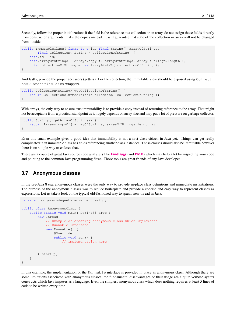Secondly, follow the proper initialization: if the field is the reference to a collection or an array, do not assign those fields directly from constructor arguments, make the copies instead. It will guarantee that state of the collection or array will not be changed from outside.

```
public ImmutableClass( final long id, final String[] arrayOfStrings,
        final Collection< String > collectionOfString) {
   this.id = id;
   this.arrayOfStrings = Arrays.copyOf( arrayOfStrings, arrayOfStrings.length );
   this.collectionOfString = new ArrayList<>( collectionOfString );
}
```
And lastly, provide the proper accessors (getters). For the collection, the immutable view should be exposed using Collecti ons.unmodifiableXxx wrappers.

```
public Collection<String> getCollectionOfString() {
   return Collections.unmodifiableCollection( collectionOfString );
}
```
With arrays, the only way to ensure true immutability is to provide a copy instead of returning reference to the array. That might not be acceptable from a practical standpoint as it hugely depends on array size and may put a lot of pressure on garbage collector.

```
public String[] getArrayOfStrings() {
    return Arrays.copyOf( arrayOfStrings, arrayOfStrings.length );
}
```
Even this small example gives a good idea that immutability is not a first class citizen in Java yet. Things can get really complicated if an immutable class has fields referencing another class instances. Those classes should also be immutable however there is no simple way to enforce that.

There are a couple of great Java source code analyzers like **[FindBugs](http://findbugs.sourceforge.net/)**) and **[PMD](http://pmd.sourceforge.net/)**) which may help a lot by inspecting your code and pointing to the common Java programming flaws. Those tools are great friends of any Java developer.

# <span id="page-31-0"></span>**3.7 Anonymous classes**

In the pre-Java 8 era, anonymous classes were the only way to provide in-place class definitions and immediate instantiations. The purpose of the anonymous classes was to reduce boilerplate and provide a concise and easy way to represent classes as expressions. Let us take a look on the typical old-fashioned way to spawn new thread in Java:

```
package com.javacodegeeks.advanced.design;
public class AnonymousClass {
    public static void main( String[] args ) {
        new Thread(
            // Example of creating anonymous class which implements
            // Runnable interface
            new Runnable() {
                @Override
                public void run() {
                    // Implementation here
                }
            }
        ).start();
    }
}
```
In this example, the implementation of the Runnable interface is provided in place as anonymous class. Although there are some limitations associated with anonymous classes, the fundamental disadvantages of their usage are a quite verbose syntax constructs which Java imposes as a language. Even the simplest anonymous class which does nothing requires at least 5 lines of code to be written every time.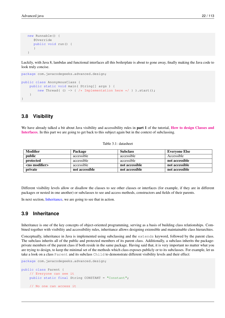```
new Runnable() {
   @Override
   public void run() {
   }
}
```
Luckily, with Java 8, lambdas and functional interfaces all this boilerplate is about to gone away, finally making the Java code to look truly concise.

```
package com.javacodegeeks.advanced.design;
public class AnonymousClass {
    public static void main( String[] args ) {
        new Thread( () -> { /* Implementation here */ } ).start();
    }
}
```
# <span id="page-32-0"></span>**3.8 Visibility**

We have already talked a bit about Java visibility and accessibility rules in **part 1** of the tutorial, **[How to design Classes and](http://www.javacodegeeks.com/2015/09/how-to-create-and-destroy-objects/)** [Interfaces](http://www.javacodegeeks.com/2015/09/how-to-create-and-destroy-objects/). In this part we are going to get back to this subject again but in the context of subclassing.

| <b>Modifier</b>       | Package        | <b>Subclass</b> | <b>Everyone Else</b> |
|-----------------------|----------------|-----------------|----------------------|
| public                | accessible     | accessible      | Accessible           |
| protected             | accessible     | accessible      | not accessible       |
| <no modifier=""></no> | accessible     | not accessible  | not accessible       |
| private               | not accessible | not accessible  | not accessible       |

Table 3.1: datasheet

Different visibility levels allow or disallow the classes to see other classes or interfaces (for example, if they are in different packages or nested in one another) or subclasses to see and access methods, constructors and fields of their parents.

In next section, [Inheritance,](#page-1-0) we are going to see that in action.

# <span id="page-32-1"></span>**3.9 Inheritance**

Inheritance is one of the key concepts of object-oriented programming, serving as a basis of building class relationships. Combined together with visibility and accessibility rules, inheritance allows designing extensible and maintainable class hierarchies.

Conceptually, inheritance in Java is implemented using subclassing and the extends keyword, followed by the parent class. The subclass inherits all of the public and protected members of its parent class. Additionally, a subclass inherits the packageprivate members of the parent class if both reside in the same package. Having said that, it is very important no matter what you are trying to design, to keep the minimal set of the methods which class exposes publicly or to its subclasses. For example, let us take a look on a class Parent and its subclass Child to demonstrate different visibility levels and their effect:

package com.javacodegeeks.advanced.design;

```
public class Parent {
    // Everyone can see it
   public static final String CONSTANT = "Constant";
    // No one can access it
```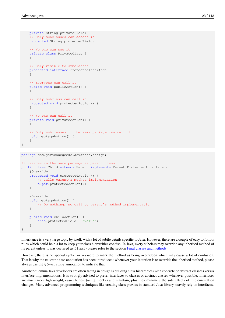```
private String privateField;
   // Only subclasses can access it
   protected String protectedField;
   // No one can see it
   private class PrivateClass {
   }
   // Only visible to subclasses
   protected interface ProtectedInterface {
   }
   // Everyone can call it
   public void publicAction() {
   }
   // Only subclass can call it
   protected void protectedAction() {
   }
   // No one can call it
   private void privateAction() {
   }
   // Only subclasses in the same package can call it
   void packageAction() {
   }
}
```
package com.javacodegeeks.advanced.design;

```
// Resides in the same package as parent class
public class Child extends Parent implements Parent.ProtectedInterface {
    @Override
    protected void protectedAction() {
        // Calls parent's method implementation
        super.protectedAction();
    }
    @Override
    void packageAction() {
        // Do nothing, no call to parent's method implementation
    }
    public void childAction() {
       this.protectedField = "value";
    }
}
```
Inheritance is a very large topic by itself, with a lot of subtle details specific to Java. However, there are a couple of easy to follow rules which could help a lot to keep your class hierarchies concise. In Java, every subclass may override any inherited method of its parent unless it was declared as final (please refer to the section [Final classes and methods\)](#page-1-0).

However, there is no special syntax or keyword to mark the method as being overridden which may cause a lot of confusion. That is why the @Override annotation has been introduced: whenever your intention is to override the inherited method, please always use the @Override annotation to indicate that.

Another dilemma Java developers are often facing in design is building class hierarchies (with concrete or abstract classes) versus interface implementations. It is strongly advised to prefer interfaces to classes or abstract classes whenever possible. Interfaces are much more lightweight, easier to test (using mocks) and maintain, plus they minimize the side effects of implementation changes. Many advanced programming techniques like creating class proxies in standard Java library heavily rely on interfaces.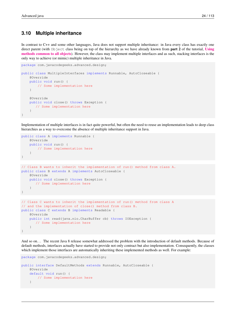# <span id="page-34-0"></span>**3.10 Multiple inheritance**

In contrast to C++ and some other languages, Java does not support multiple inheritance: in Java every class has exactly one direct parent (with  $Ob$  ject class being on top of the hierarchy as we have already known from **part 2** of the tutorial, [Using](http://www.javacodegeeks.com/2015/09/using-methods-common-to-all-objects/) [methods common to all objects](http://www.javacodegeeks.com/2015/09/using-methods-common-to-all-objects/)). However, the class may implement multiple interfaces and as such, stacking interfaces is the only way to achieve (or mimic) multiple inheritance in Java.

```
package com.javacodegeeks.advanced.design;
public class MultipleInterfaces implements Runnable, AutoCloseable {
    @Override
    public void run() {
        // Some implementation here
    }
    @Override
    public void close() throws Exception {
      // Some implementation here
    }
}
```
Implementation of multiple interfaces is in fact quite powerful, but often the need to reuse an implementation leads to deep class hierarchies as a way to overcome the absence of multiple inheritance support in Java.

```
public class A implements Runnable {
   @Override
    public void run() {
      // Some implementation here
    }
}
// Class B wants to inherit the implementation of run() method from class A.
public class B extends A implements AutoCloseable {
    @Override
   public void close() throws Exception {
       // Some implementation here
    }
}
// Class C wants to inherit the implementation of run() method from class A
// and the implementation of close() method from class B.
public class C extends B implements Readable {
   @Override
    public int read(java.nio.CharBuffer cb) throws IOException {
       // Some implementation here
    }
}
```
And so on... The recent Java 8 release somewhat addressed the problem with the introduction of default methods. Because of default methods, interfaces actually have started to provide not only contract but also implementation. Consequently, the classes which implement those interfaces are automatically inheriting these implemented methods as well. For example:

```
package com.javacodegeeks.advanced.design;
public interface DefaultMethods extends Runnable, AutoCloseable {
    @Override
    default void run() {
        // Some implementation here
    }
```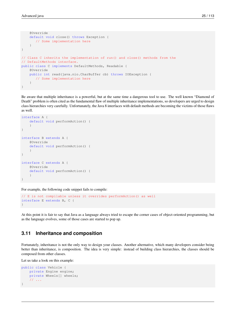}

```
@Override
    default void close() throws Exception {
       // Some implementation here
    }
}
// Class C inherits the implementation of run() and close() methods from the
// DefaultMethods interface.
public class C implements DefaultMethods, Readable {
    @Override
    public int read(java.nio.CharBuffer cb) throws IOException {
       // Some implementation here
    }
```
Be aware that multiple inheritance is a powerful, but at the same time a dangerous tool to use. The well known "Diamond of Death" problem is often cited as the fundamental flaw of multiple inheritance implementations, so developers are urged to design class hierarchies very carefully. Unfortunately, the Java 8 interfaces with default methods are becoming the victims of those flaws as well.

```
interface A {
    default void performAction() {
    }
}
interface B extends A {
    @Override
    default void performAction() {
    }
}
interface C extends A {
    @Override
    default void performAction() {
    }
}
```
For example, the following code snippet fails to compile:

```
// E is not compilable unless it overrides performAction() as well
interface E extends B, C {
}
```
At this point it is fair to say that Java as a language always tried to escape the corner cases of object-oriented programming, but as the language evolves, some of those cases are started to pop up.

# <span id="page-35-0"></span>**3.11 Inheritance and composition**

Fortunately, inheritance is not the only way to design your classes. Another alternative, which many developers consider being better than inheritance, is composition. The idea is very simple: instead of building class hierarchies, the classes should be composed from other classes.

Let us take a look on this example:

```
public class Vehicle {
   private Engine engine;
   private Wheels[] wheels;
    // ...
}
```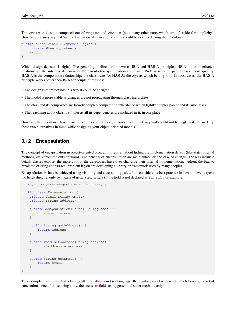The Vehicle class is composed out of engine and wheels (plus many other parts which are left aside for simplicity). However, one may say that Vehicle class is also an engine and so could be designed using the inheritance.

```
public class Vehicle extends Engine {
    private Wheels[] wheels;
    // ...
}
```
Which design decision is right? The general guidelines are known as **IS-A** and **HAS-A** principles. **IS-A** is the inheritance relationship: the subclass also satisfies the parent class specification and a such IS-A variation of parent class. Consequently, HAS-A is the composition relationship: the class owns (or HAS-A) the objects which belong to it. In most cases, the HAS-A principle works better then IS-A for couple of reasons:

- The design is more flexible in a way it could be changed
- The model is more stable as changes are not propagating through class hierarchies
- The class and its composites are loosely coupled compared to inheritance which tightly couples parent and its subclasses
- The reasoning about class is simpler as all its dependencies are included in it, in one place

However, the inheritance has its own place, solves real design issues in different way and should not be neglected. Please keep those two alternatives in mind while designing your object-oriented models.

### **3.12 Encapsulation**

The concept of encapsulation in object-oriented programming is all about hiding the implementation details (like state, internal methods, etc.) from the outside world. The benefits of encapsulation are maintainability and ease of change. The less intrinsic details classes expose, the more control the developers have over changing their internal implementation, without the fear to break the existing code (a real problem if you are developing a library or framework used by many people).

Encapsulation in Java is achieved using visibility and accessibility rules. It is considered a best practice in Java to never expose the fields directly, only by means of getters and setters (if the field is not declared as final). For example:

```
package com.javacodegeeks.advanced.design;
public class Encapsulation {
    private final String email;
    private String address;
    public Encapsulation( final String email ) {
        this.email = email;
    }
    public String getAddress() {
        return address;
    }
    public void setAddress(String address) {
        this.address = address;
    }
    public String getEmail() {
        return email;
    }
}
```
This example resembles what is being called [JavaBeans](http://docs.oracle.com/javase/tutorial/javabeans/) in Java language: the regular Java classes written by following the set of conventions, one of those being allow the access to fields using getter and setter methods only.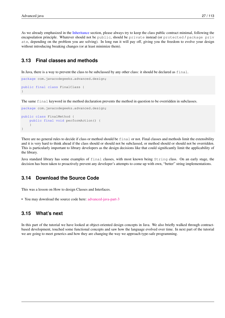As we already emphasized in the [Inheritance](#page-1-0) section, please always try to keep the class public contract minimal, following the encapsulation principle. Whatever should not be public, should be private instead (or protected / package priv ate, depending on the problem you are solving). In long run it will pay off, giving you the freedom to evolve your design without introducing breaking changes (or at least minimize them).

# **3.13 Final classes and methods**

In Java, there is a way to prevent the class to be subclassed by any other class: it should be declared as final.

```
package com.javacodegeeks.advanced.design;
public final class FinalClass {
}
```
The same final keyword in the method declaration prevents the method in question to be overridden in subclasses.

```
package com.javacodegeeks.advanced.design;
public class FinalMethod {
    public final void performAction() {
    }
}
```
There are no general rules to decide if class or method should be final or not. Final classes and methods limit the extensibility and it is very hard to think ahead if the class should or should not be subclassed, or method should or should not be overridden. This is particularly important to library developers as the design decisions like that could significantly limit the applicability of the library.

Java standard library has some examples of final classes, with most known being String class. On an early stage, the decision has been taken to proactively prevent any developer's attempts to come up with own, "better" string implementations.

# **3.14 Download the Source Code**

This was a lesson on How to design Classes and Interfaces.

• You may download the source code here: [advanced-java-part-3](http://www.javacodegeeks.com/wp-content/uploads/2015/09/advanced-java-part-3.zip)

# **3.15 What's next**

In this part of the tutorial we have looked at object-oriented design concepts in Java. We also briefly walked through contractbased development, touched some functional concepts and saw how the language evolved over time. In next part of the tutorial we are going to meet generics and how they are changing the way we approach type-safe programming.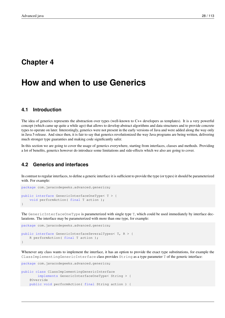# **Chapter 4**

# **How and when to use Generics**

# **4.1 Introduction**

The idea of generics represents the abstraction over types (well-known to C++ developers as templates). It is a very powerful concept (which came up quite a while ago) that allows to develop abstract algorithms and data structures and to provide concrete types to operate on later. Interestingly, generics were not present in the early versions of Java and were added along the way only in Java 5 release. And since then, it is fair to say that generics revolutionized the way Java programs are being written, delivering much stronger type guaranties and making code significantly safer.

In this section we are going to cover the usage of generics everywhere, starting from interfaces, classes and methods. Providing a lot of benefits, generics however do introduce some limitations and side-effects which we also are going to cover.

# **4.2 Generics and interfaces**

In contrast to regular interfaces, to define a generic interface it is sufficient to provide the type (or types) it should be parameterized with. For example:

```
package com.javacodegeeks.advanced.generics;
public interface GenericInterfaceOneType< T > {
    void performAction ( final T action );
}
```
The GenericInterfaceOneType is parameterized with single type T, which could be used immediately by interface declarations. The interface may be parameterized with more than one type, for example:

```
package com.javacodegeeks.advanced.generics;
public interface GenericInterfaceSeveralTypes< T, R > {
    R performAction( final T action );
}
```
Whenever any class wants to implement the interface, it has an option to provide the exact type substitutions, for example the ClassImplementingGenericInterface class provides String as a type parameter T of the generic interface:

```
package com.javacodegeeks.advanced.generics;
```

```
public class ClassImplementingGenericInterface
       implements GenericInterfaceOneType< String > {
   @Override
   public void performAction( final String action ) {
```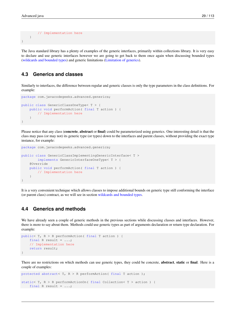```
// Implementation here
    }
}
```
The Java standard library has a plenty of examples of the generic interfaces, primarily within collections library. It is very easy to declare and use generic interfaces however we are going to get back to them once again when discussing bounded types [\(wildcards and bounded types\)](#page-1-0) and generic limitations [\(Limitation of generics\)](#page-1-0).

## **4.3 Generics and classes**

Similarly to interfaces, the difference between regular and generic classes is only the type parameters in the class definitions. For example:

```
package com.javacodegeeks.advanced.generics;
public class GenericClassOneType< T > {
    public void performAction( final T action ) {
        // Implementation here
    }
}
```
Please notice that any class (**concrete, abstract** or **final**) could be parameterized using generics. One interesting detail is that the class may pass (or may not) its generic type (or types) down to the interfaces and parent classes, without providing the exact type instance, for example:

```
package com.javacodegeeks.advanced.generics;
public class GenericClassImplementingGenericInterface< T >
       implements GenericInterfaceOneType< T > {
    @Override
    public void performAction( final T action ) {
        // Implementation here
    }
}
```
It is a very convenient technique which allows classes to impose additional bounds on generic type still conforming the interface (or parent class) contract, as we will see in section [wildcards and bounded types.](#page-1-0)

# **4.4 Generics and methods**

We have already seen a couple of generic methods in the previous sections while discussing classes and interfaces. However, there is more to say about them. Methods could use generic types as part of arguments declaration or return type declaration. For example:

```
public< T, R > R performAction( final T action ) {
   final R result = \ldots;
    // Implementation here
    return result;
}
```
There are no restrictions on which methods can use generic types, they could be concrete, **abstract**, **static** or **final**. Here is a couple of examples:

```
protected abstract< T, R > R performAction( final T action );
static< T, R > R performActionOn( final Collection< T > action ) {
    final R result = \ldots;
```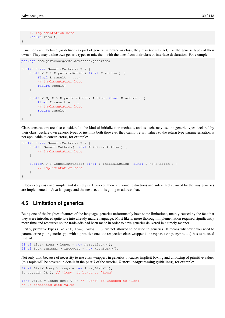}

```
// Implementation here
return result;
```
If methods are declared (or defined) as part of generic interface or class, they may (or may not) use the generic types of their owner. They may define own generic types or mix them with the ones from their class or interface declaration. For example:

```
package com.javacodegeeks.advanced.generics;
public class GenericMethods< T > {
    public< R > R performAction( final T action ) {
        final R result = \dots;
        // Implementation here
        return result;
    }
    public< U, R > R performAnotherAction( final U action ) {
        final R result = \ldots;
        // Implementation here
        return result;
    }
}
```
Class constructors are also considered to be kind of initialization methods, and as such, may use the generic types declared by their class, declare own generic types or just mix both (however they cannot return values so the return type parameterization is not applicable to constructors), for example:

```
public class GenericMethods< T > {
    public GenericMethods( final T initialAction ) {
        // Implementation here
    }
    public< J > GenericMethods( final T initialAction, final J nextAction ) {
        // Implementation here
    }
}
```
It looks very easy and simple, and it surely is. However, there are some restrictions and side-effects caused by the way generics are implemented in Java language and the next section is going to address that.

#### **4.5 Limitation of generics**

Being one of the brightest features of the language, generics unfortunately have some limitations, mainly caused by the fact that they were introduced quite late into already mature language. Most likely, more thorough implementation required significantly more time and resources so the trade-offs had been made in order to have generics delivered in a timely manner.

Firstly, primitive types (like int, long, byte, ...) are not allowed to be used in generics. It means whenever you need to parameterize your generic type with a primitive one, the respective class wrapper (Integer, Long, Byte, . . . ) has to be used instead.

```
final List< Long > longs = new ArrayList<>();
final Set< Integer > integers = new HashSet<>();
```
Not only that, because of necessity to use class wrappers in generics, it causes implicit boxing and unboxing of primitive values (this topic will be covered in details in the part 7 of the tutorial, General programming guidelines), for example:

```
final List< Long > longs = new ArrayList<>();
longs.add( 0L ); // 'long' is boxed to 'Long'
long value = longs.get( 0 ); // 'Long' is unboxed to 'long'
// Do something with value
```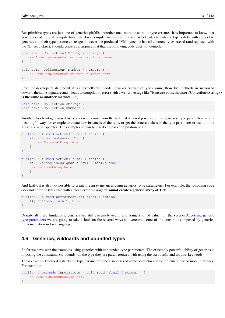But primitive types are just one of generics pitfalls. Another one, more obscure, is type erasure. It is important to know that generics exist only at compile time: the Java compiler uses a complicated set of rules to enforce type safety with respect to generics and their type parameters usage, however the produced JVM bytecode has all concrete types erased (and replaced with the Object class). It could come as a surprise first that the following code does not compile:

```
void sort( Collection< String > strings ) {
    // Some implementation over strings heres
}
void sort( Collection< Number > numbers ) {
    // Some implementation over numbers here
}
```
From the developer's standpoint, it is a perfectly valid code, however because of type erasure, those two methods are narrowed down to the same signature and it leads to compilation error (with a weird message like "Erasure of method sort(Collection<String>) is the same as another method  $\ldots$ "):

```
void sort( Collection strings )
void sort( Collection numbers )
```
Another disadvantage caused by type erasure come from the fact that it is not possible to use generics' type parameters in any meaningful way, for example to create new instances of the type, or get the concrete class of the type parameter or use it in the instanceof operator. The examples shown below do no pass compilation phase:

```
public< T > void action( final T action ) {
   if( action instanceof T ) {
        // Do something here
    }
}
public< T > void action( final T action ) {
    if( T.class.isAssignableFrom( Number.class ) ) {
     // Do something here
    }
}
```
And lastly, it is also not possible to create the array instances using generics' type parameters. For example, the following code does not compile (this time with a clean error message "Cannot create a generic array of T"):

```
public< T > void performAction( final T action ) {
   T[] actions = new T[0];
}
```
Despite all these limitations, generics are still extremely useful and bring a lot of value. In the section [Accessing generic](#page-1-0) [type parameters](#page-1-0) we are going to take a look on the several ways to overcome some of the constraints imposed by generics implementation in Java language.

# **4.6 Generics, wildcards and bounded types**

So far we have seen the examples using generics with unbounded type parameters. The extremely powerful ability of generics is imposing the constraints (or bounds) on the type they are parameterized with using the extends and super keywords.

The extends keyword restricts the type parameter to be a subclass of some other class or to implement one or more interfaces. For example:

```
public< T extends InputStream > void read( final T stream ) {
   // Some implementation here
}
```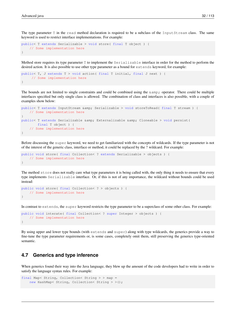The type parameter T in the read method declaration is required to be a subclass of the InputStream class. The same keyword is used to restrict interface implementations. For example:

```
public< T extends Serializable > void store( final T object ) {
    // Some implementation here
}
```
Method store requires its type parameter T to implement the Serializable interface in order for the method to perform the desired action. It is also possible to use other type parameter as a bound for extends keyword, for example:

```
public< T, J extends T > void action( final T initial, final J next ) {
     // Some implementation here
}
```
The bounds are not limited to single constraints and could be combined using the  $\&z$ ; operator. There could be multiple interfaces specified but only single class is allowed. The combination of class and interfaces is also possible, with a couple of examples show below:

```
public< T extends InputStream & amp; Serializable > void storeToRead( final T stream ) {
    // Some implementation here
}
public< T extends Serializable & amp; Externalizable & amp; Cloneable > void persist (
        final T object ) {
    // Some implementation here
}
```
Before discussing the super keyword, we need to get familiarized with the concepts of wildcards. If the type parameter is not of the interest of the generic class, interface or method, it could be replaced by the ? wildcard. For example:

```
public void store( final Collection< ? extends Serializable > objects ) {
    // Some implementation here
}
```
The method store does not really care what type parameters it is being called with, the only thing it needs to ensure that every type implements Serializable interface. Or, if this is not of any importance, the wildcard without bounds could be used instead:

```
public void store( final Collection< ? > objects ) {
    // Some implementation here
}
```
In contrast to extends, the super keyword restricts the type parameter to be a superclass of some other class. For example:

```
public void interate( final Collection< ? super Integer > objects ) {
   // Some implementation here
}
```
By using upper and lower type bounds (with extends and super) along with type wildcards, the generics provide a way to fine-tune the type parameter requirements or, is some cases, completely omit them, still preserving the generics type-oriented semantic.

# **4.7 Generics and type inference**

When generics found their way into the Java language, they blew up the amount of the code developers had to write in order to satisfy the language syntax rules. For example:

```
final Map< String, Collection< String > > map =
   new HashMap< String, Collection< String > >();
```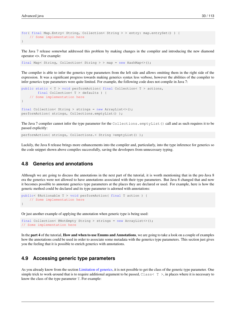```
for( final Map.Entry< String, Collection< String > > entry: map.entrySet() ) {
   // Some implementation here
}
```
The Java 7 release somewhat addressed this problem by making changes in the compiler and introducing the new diamond operator <>. For example:

final Map< String, Collection< String > > map = new HashMap<>();

The compiler is able to infer the generics type parameters from the left side and allows omitting them in the right side of the expression. It was a significant progress towards making generics syntax less verbose, however the abilities of the compiler to infer generics type parameters were quite limited. For example, the following code does not compile in Java 7:

```
public static < T > void performAction( final Collection< T > actions,
        final Collection< T > defaults ) {
    // Some implementation here
}
final Collection< String > strings = new ArrayList<>();
performAction( strings, Collections.emptyList() );
```
The Java 7 compiler cannot infer the type parameter for the Collections. emptyList() call and as such requires it to be passed explicitly:

performAction( strings, Collections.< String >emptyList() );

Luckily, the Java 8 release brings more enhancements into the compiler and, particularly, into the type inference for generics so the code snippet shown above compiles successfully, saving the developers from unnecessary typing.

#### **4.8 Generics and annotations**

Although we are going to discuss the annotations in the next part of the tutorial, it is worth mentioning that in the pre-Java 8 era the generics were not allowed to have annotations associated with their type parameters. But Java 8 changed that and now it becomes possible to annotate generics type parameters at the places they are declared or used. For example, here is how the generic method could be declared and its type parameter is adorned with annotations:

```
public< @Actionable T > void performAction( final T action ) {
    // Some implementation here
}
```
Or just another example of applying the annotation when generic type is being used:

```
final Collection< @NotEmpty String > strings = new ArrayList<>();
// Some implementation here
```
In the part 4 of the tutorial, How and when to use Enums and Annotations, we are going to take a look on a couple of examples how the annotations could be used in order to associate some metadata with the generics type parameters. This section just gives you the feeling that it is possible to enrich generics with annotations.

# **4.9 Accessing generic type parameters**

As you already know from the section [Limitation of generics,](#page-1-0) it is not possible to get the class of the generic type parameter. One simple trick to work-around that is to require additional argument to be passed, Class < T >, in places where it is necessary to know the class of the type parameter T. For example: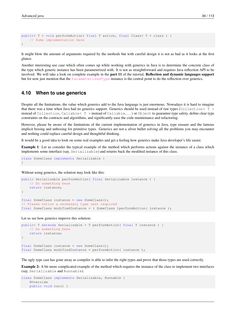```
public< T > void performAction( final T action, final Class< T > clazz ) {
    // Some implementation here
}
```
It might blow the amount of arguments required by the methods but with careful design it is not as bad as it looks at the first glance.

Another interesting use case which often comes up while working with generics in Java is to determine the concrete class of the type which generic instance has been parameterized with. It is not as straightforward and requires Java reflection API to be involved. We will take a look on complete example in the part 11 of the tutorial, Reflection and dynamic languages support but for now just mention that the [ParameterizedType](http://docs.oracle.com/javase/7/docs/api/java/lang/reflect/ParameterizedType.html) instance is the central point to do the reflection over generics.

# **4.10 When to use generics**

Despite all the limitations, the value which generics add to the Java language is just enormous. Nowadays it is hard to imagine that there was a time when Java had no generics support. Generics should be used instead of raw types (Collection< T > instead of Collection, Callable< T > instead of Callable, . . . ) or Object to guarantee type safety, define clear type constraints on the contracts and algorithms, and significantly ease the code maintenance and refactoring.

However, please be aware of the limitations of the current implementation of generics in Java, type erasure and the famous implicit boxing and unboxing for primitive types. Generics are not a silver bullet solving all the problems you may encounter and nothing could replace careful design and thoughtful thinking.

It would be a good idea to look on some real examples and get a feeling how generics make Java developer's life easier.

Example 1: Let us consider the typical example of the method which performs actions against the instance of a class which implements some interface (say, Serializable) and returns back the modified instance of this class.

```
class SomeClass implements Serializable {
}
```
Without using generics, the solution may look like this:

```
public Serializable performAction( final Serializable instance ) {
   // Do something here
   return instance;
}
final SomeClass instance = new SomeClass();
// Please notice a necessary type cast required
final SomeClass modifiedInstance = ( SomeClass )performAction( instance );
```
Let us see how generics improve this solution:

```
public< T extends Serializable > T performAction( final T instance ) {
   // Do something here
   return instance;
}
final SomeClass instance = new SomeClass();
final SomeClass modifiedInstance = performAction( instance );
```
The ugly type cast has gone away as compiler is able to infer the right types and prove that those types are used correctly.

Example 2: A bit more complicated example of the method which requires the instance of the class to implement two interfaces (say, Serializable and Runnable).

```
class SomeClass implements Serializable, Runnable {
   @Override
   public void run() {
```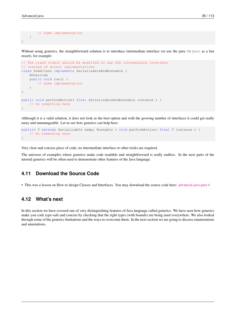```
// Some implementation
    }
}
```
Without using generics, the straightforward solution is to introduce intermediate interface (or use the pure Object as a last resort), for example:

```
// The class itself should be modified to use the intermediate interface
// instead of direct implementations
class SomeClass implements SerializableAndRunnable {
    @Override
    public void run() {
        // Some implementation
    }
}
public void performAction( final SerializableAndRunnable instance ) {
    // Do something here
}
```
Although it is a valid solution, it does not look as the best option and with the growing number of interfaces it could get really nasty and unmanageable. Let us see how generics can help here:

```
public< T extends Serializable & amp; Runnable > void performAction( final T instance ) {
    // Do something here
}
```
Very clear and concise piece of code, no intermediate interface or other tricks are required.

The universe of examples where generics make code readable and straightforward is really endless. In the next parts of the tutorial generics will be often used to demonstrate other features of the Java language.

#### **4.11 Download the Source Code**

• This was a lesson on How to design Classes and Interfaces. You may download the source code here: [advanced-java-part-4](http://www.javacodegeeks.com/wp-content/uploads/2015/09/advanced-java-part-4.zip)

# **4.12 What's next**

In this section we have covered one of very distinguishing features of Java language called generics. We have seen how generics make you code type-safe and concise by checking that the right types (with bounds) are being used everywhere. We also looked through some of the generics limitations and the ways to overcome them. In the next section we are going to discuss enumerations and annotations.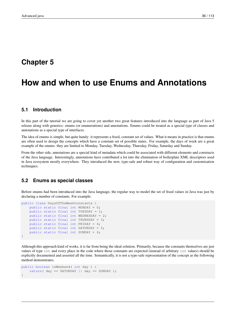# **Chapter 5**

# **How and when to use Enums and Annotations**

# **5.1 Introduction**

In this part of the tutorial we are going to cover yet another two great features introduced into the language as part of Java 5 release along with generics: enums (or enumerations) and annotations. Enums could be treated as a special type of classes and annotations as a special type of interfaces.

The idea of enums is simple, but quite handy: it represents a fixed, constant set of values. What it means in practice is that enums are often used to design the concepts which have a constant set of possible states. For example, the days of week are a great example of the enums: they are limited to Monday, Tuesday, Wednesday, Thursday, Friday, Saturday and Sunday.

From the other side, annotations are a special kind of metadata which could be associated with different elements and constructs of the Java language. Interestingly, annotations have contributed a lot into the elimination of boilerplate XML descriptors used in Java ecosystem mostly everywhere. They introduced the new, type-safe and robust way of configuration and customization techniques.

#### **5.2 Enums as special classes**

Before enums had been introduced into the Java language, the regular way to model the set of fixed values in Java was just by declaring a number of constants. For example:

```
public class DaysOfTheWeekConstants {
   public static final int MONDAY = 0;
   public static final int TUESDAY = 1;
   public static final int WEDNESDAY = 2;
   public static final int THURSDAY = 3;
   public static final int FRIDAY = 4;
   public static final int SATURDAY = 5;
   public static final int SUNDAY = 6;
}
```
Although this approach kind of works, it is far from being the ideal solution. Primarily, because the constants themselves are just values of type int and every place in the code where those constants are expected (instead of arbitrary int values) should be explicitly documented and asserted all the time. Semantically, it is not a type-safe representation of the concept as the following method demonstrates.

```
public boolean isWeekend( int day ) {
   return( day == SATURDAY || day == SUNDAY );
}
```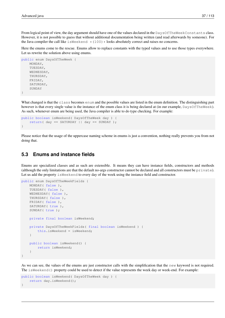From logical point of view, the day argument should have one of the values declared in the DaysOfTheWeekConstants class. However, it is not possible to guess that without additional documentation being written (and read afterwards by someone). For the Java compiler the call like is Weekend  $\star$  (100)  $\star$  looks absolutely correct and raises no concerns.

Here the enums come to the rescue. Enums allow to replace constants with the typed values and to use those types everywhere. Let us rewrite the solution above using enums.

```
public enum DaysOfTheWeek {
    MONDAY,
    TUESDAY,
    WEDNESDAY,
    THURSDAY,
    FRIDAY,
    SATURDAY,
    SUNDAY
}
```
What changed is that the class becomes enum and the possible values are listed in the enum definition. The distinguishing part however is that every single value is the instance of the enum class it is being declared at (in our example,  $DaySOfTheWeek)$ ). As such, whenever enum are being used, the Java compiler is able to do type checking. For example:

```
public boolean isWeekend( DaysOfTheWeek day ) {
    return ( day == SATURDAY || day == SUMDAY);
}
```
Please notice that the usage of the uppercase naming scheme in enums is just a convention, nothing really prevents you from not doing that.

## **5.3 Enums and instance fields**

Enums are specialized classes and as such are extensible. It means they can have instance fields, constructors and methods (although the only limitations are that the default no-args constructor cannot be declared and all constructors must be private). Let us add the property is Weekend to every day of the week using the instance field and constructor.

```
public enum DaysOfTheWeekFields {
   MONDAY( false ),
   TUESDAY( false ),
   WEDNESDAY ( false ),
   THURSDAY( false ),
   FRIDAY (false),
    SATURDAY ( true ),
    SUNDAY( true );
   private final boolean isWeekend;
    private DaysOfTheWeekFields( final boolean isWeekend ) {
        this.isWeekend = isWeekend;
    }
    public boolean isWeekend() {
        return isWeekend;
    }
}
```
As we can see, the values of the enums are just constructor calls with the simplification that the new keyword is not required. The isWeekend() property could be used to detect if the value represents the week day or week-end. For example:

```
public boolean isWeekend( DaysOfTheWeek day ) {
    return day.isWeekend();
}
```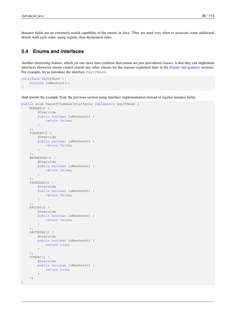Instance fields are an extremely useful capability of the enums in Java. They are used very often to associate some additional details with each value, using regular class declaration rules.

# **5.4 Enums and interfaces**

Another interesting feature, which yet one more time confirms that enums are just specialized classes, is that they can implement interfaces (however enums cannot extend any other classes for the reasons explained later in the [Enums and generics](#page-1-0) section). For example, let us introduce the interface DayOfWeek.

```
interface DayOfWeek {
    boolean isWeekend();
}
```
And rewrite the example from the previous section using interface implementation instead of regular instance fields.

```
public enum DaysOfTheWeekInterfaces implements DayOfWeek {
    MONDAY() {
        @Override
        public boolean isWeekend() {
            return false;
        }
    },
    TUESDAY() {
        @Override
        public boolean isWeekend() {
            return false;
        }
    },
    WEDNESDAY() {
        @Override
        public boolean isWeekend() {
            return false;
        }
    },
    THURSDAY() {
        @Override
        public boolean isWeekend() {
            return false;
        }
    },
    FRIDAY() {
        @Override
        public boolean isWeekend() {
            return false;
        }
    },
    SATURDAY() {
        @Override
        public boolean isWeekend() {
            return true;
        }
    },
    SUNDAY() {
        @Override
        public boolean isWeekend() {
            return true;
        }
    };
}
```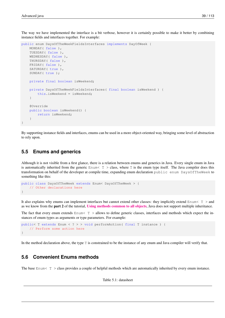The way we have implemented the interface is a bit verbose, however it is certainly possible to make it better by combining instance fields and interfaces together. For example:

```
public enum DaysOfTheWeekFieldsInterfaces implements DayOfWeek {
   MONDAY (false),
   TUESDAY( false ),
   WEDNESDAY ( false ),
   THURSDAY( false ),
   FRIDAY( false ),
    SATURDAY ( true ),
    SUNDAY( true );
    private final boolean isWeekend;
    private DaysOfTheWeekFieldsInterfaces( final boolean isWeekend ) {
        this.isWeekend = isWeekend;
    }
    @Override
    public boolean isWeekend() {
        return isWeekend;
    }
}
```
By supporting instance fields and interfaces, enums can be used in a more object-oriented way, bringing some level of abstraction to rely upon.

#### **5.5 Enums and generics**

Although it is not visible from a first glance, there is a relation between enums and generics in Java. Every single enum in Java is automatically inherited from the generic  $\text{Enum} < T > \text{class}$ , where T is the enum type itself. The Java compiler does this transformation on behalf of the developer at compile time, expanding enum declaration public enum DaysOfTheWeek to something like this:

```
public class DaysOfTheWeek extends Enum< DaysOfTheWeek > {
    // Other declarations here
}
```
It also explains why enums can implement interfaces but cannot extend other classes: they implicitly extend  $\text{Enum} < T > \text{and}$ as we know from the part 2 of the tutorial, [Using methods common to all objects](http://www.javacodegeeks.com/2015/09/using-methods-common-to-all-objects/), Java does not support multiple inheritance.

The fact that every enum extends  $\text{Enum}$   $\tau$  > allows to define generic classes, interfaces and methods which expect the instances of enum types as arguments or type parameters. For example:

```
public< T extends Enum < ? > > void performAction( final T instance ) {
    // Perform some action here
}
```
In the method declaration above, the type T is constrained to be the instance of any enum and Java compiler will verify that.

# **5.6 Convenient Enums methods**

The base Enum< T > class provides a couple of helpful methods which are automatically inherited by every enum instance.

Table 5.1: datasheet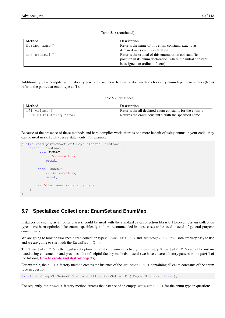| Method        | <b>Description</b>                                           |
|---------------|--------------------------------------------------------------|
| String name() | Returns the name of this enum constant, exactly as           |
|               | declared in its enum declaration.                            |
| int ordinal() | Returns the ordinal of this enumeration constant (its        |
|               | position in its enum declaration, where the initial constant |
|               | is assigned an ordinal of zero).                             |

Table 5.1: (continued)

Additionally, Java compiler automatically generates two more helpful `static `methods for every enum type it encounters (let us refer to the particular enum type as T).

| Method                   | <b>Description</b>                                      |
|--------------------------|---------------------------------------------------------|
| $ T $ values ()          | Returns the all declared enum constants for the enum T. |
| T value Of (String name) | Returns the enum constant $T$ with the specified name.  |

Because of the presence of these methods and hard compiler work, there is one more benefit of using enums in your code: they can be used in switch/case statements. For example:

```
public void performAction( DaysOfTheWeek instance ) {
    switch( instance ) {
        case MONDAY:
            // Do something
            break;
        case TUESDAY:
            // Do something
            break;
        // Other enum constants here
    }
}
```
# **5.7 Specialized Collections: EnumSet and EnumMap**

Instances of enums, as all other classes, could be used with the standard Java collection library. However, certain collection types have been optimized for enums specifically and are recommended in most cases to be used instead of general-purpose counterparts.

We are going to look on two specialized collection types: EnumSet <  $T >$  and EnumMap <  $T$ , ?>. Both are very easy to use and we are going to start with the EnumSet  $\langle T \rangle$ .

The EnumSet  $\tau$  > is the regular set optimized to store enums effectively. Interestingly, EnumSet  $\tau$  > cannot be instantiated using constructors and provides a lot of helpful factory methods instead (we have covered factory pattern in the part 1 of the tutorial, [How to create and destroy objects](http://www.javacodegeeks.com/2015/09/how-to-create-and-destroy-objects/)).

For example, the allOf factory method creates the instance of the EnumSet  $\langle T \rangle$  containing all enum constants of the enum type in question:

final Set< DaysOfTheWeek > enumSetAll = EnumSet.allOf( DaysOfTheWeek.class );

Consequently, the none Of factory method creates the instance of an empty EnumSet  $\lt T >$  for the enum type in question: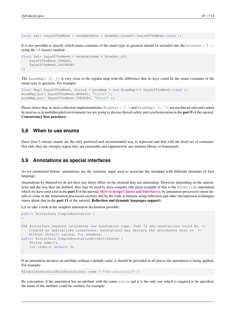final Set< DaysOfTheWeek > enumSetNone = EnumSet.noneOf( DaysOfTheWeek.class );

It is also possible to specify which enum constants of the enum type in question should be included into the EnumSet< T >, using the of factory method:

```
final Set< DaysOfTheWeek > enumSetSome = EnumSet.of(
    DaysOfTheWeek.SUNDAY,
    DaysOfTheWeek.SATURDAY
);
```
The EnumMap $\langle T, ? \rangle$  is very close to the regular map with the difference that its keys could be the enum constants of the enum type in question. For example:

```
final Map< DaysOfTheWeek, String > enumMap = new EnumMap<>( DaysOfTheWeek.class );
enumMap.put( DaysOfTheWeek.MONDAY, "Lundi" );
enumMap.put( DaysOfTheWeek.TUESDAY, "Mardi" );
```
Please notice that, as most collection implementations, EnumSet  $\langle T \rangle$  and EnumMap $\langle T \rangle$  ? are not thread-safe and cannot be used as-is in multithreaded environment (we are going to discuss thread-safety and synchronization in the **part 9** of the tutorial, Concurrency best practices).

#### **5.8 When to use enums**

Since Java 5 release enums are the only preferred and recommended way to represent and dial with the fixed set of constants. Not only they are strongly-typed, they are extensible and supported by any modern library or framework.

#### **5.9 Annotations as special interfaces**

As we mentioned before, annotations are the syntactic sugar used to associate the metadata with different elements of Java language.

Annotations by themselves do not have any direct effect on the element they are annotating. However, depending on the annotations and the way they are defined, they may be used by Java compiler (the great example of that is the @Override annotation which we have seen a lot in the **part 3** of the tutorial, **[How to design Classes and Interfaces](http://www.javacodegeeks.com/2015/09/how-to-design-classes-and-interfaces/)**), by annotation processors (more details to come in the Annotation processors section) and by the code at runtime using reflection and other introspection techniques (more about that in the part 11 of the tutorial, Reflection and dynamic languages support).

Let us take a look at the simplest annotation declaration possible:

```
public @interface SimpleAnnotation {
}
The @interface keyword introduces new annotation type. That is why annotations could be \leftrightarrowtreated as specialized interfaces. Annotations may declare the attributes with or \leftrightarrowwithout default values, for example:
public @interface SimpleAnnotationWithAttributes {
    String name();
    int order() default 0;
}
```
If an annotation declares an attribute without a default value, it should be provided in all places the annotation is being applied. For example:

@SimpleAnnotationWithAttributes( name = "new annotation" )

By convention, if the annotation has an attribute with the name value and it is the only one which is required to be specified, the name of the attribute could be omitted, for example: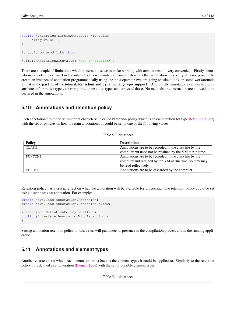```
public @interface SimpleAnnotationWithValue {
    String value();
}
It could be used like this:
@SimpleAnnotationWithValue( "new annotation" )
```
There are a couple of limitations which in certain use cases make working with annotations not very convenient. Firstly, annotations do not support any kind of inheritance: one annotation cannot extend another annotation. Secondly, it is not possible to create an instance of annotation programmatically using the new operator (we are going to take a look on some workarounds to that in the part 11 of the tutorial, Reflection and dynamic languages support). And thirdly, annotations can declare only attributes of primitive types, String or Class< ?> types and arrays of those. No methods or constructors are allowed to be declared in the annotations.

# **5.10 Annotations and retention policy**

Each annotation has the very important characteristic called retention policy which is an enumeration (of type [RetentionPolicy\)](http://docs.oracle.com/javase/7/docs/api/java/lang/annotation/RetentionPolicy.html) with the set of policies on how to retain annotations. It could be set to one of the following values.

| Table 5.3: datasheet |  |
|----------------------|--|
|----------------------|--|

| <b>Policy</b> | <b>Description</b>                                       |
|---------------|----------------------------------------------------------|
| CLASS         | Annotations are to be recorded in the class file by the  |
|               | compiler but need not be retained by the VM at run time  |
| RUNTIME       | Annotations are to be recorded in the class file by the  |
|               | compiler and retained by the VM at run time, so they may |
|               | be read reflectively.                                    |
| SOURCE        | Annotations are to be discarded by the compiler.         |

Retention policy has a crucial effect on when the annotation will be available for processing. The retention policy could be set using @Retention annotation. For example:

```
import java.lang.annotation.Retention;
import java.lang.annotation.RetentionPolicy;
@Retention( RetentionPolicy.RUNTIME )
public @interface AnnotationWithRetention {
}
```
Setting annotation retention policy to RUNTIME will guarantee its presence in the compilation process and in the running application.

# **5.11 Annotations and element types**

Another characteristic which each annotation must have is the element types it could be applied to. Similarly to the retention policy, it is defined as enumeration [\(ElementType\)](http://docs.oracle.com/javase/7/docs/api/java/lang/annotation/ElementType.html) with the set of possible element types.

Table 5.4: datasheet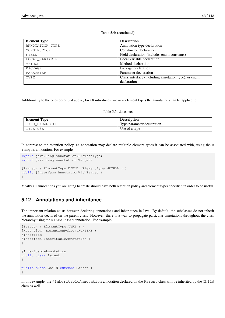#### Table 5.4: (continued)

| <b>Element Type</b> | <b>Description</b>                                    |
|---------------------|-------------------------------------------------------|
| ANNOTATION_TYPE     | Annotation type declaration                           |
| CONSTRUCTOR         | Constructor declaration                               |
| FIELD               | Field declaration (includes enum constants)           |
| LOCAL VARIABLE      | Local variable declaration                            |
| METHOD              | Method declaration                                    |
| PACKAGE             | Package declaration                                   |
| PARAMETER           | Parameter declaration                                 |
| TYPE                | Class, interface (including annotation type), or enum |
|                     | declaration                                           |

Additionally to the ones described above, Java 8 introduces two new element types the annotations can be applied to.

#### Table 5.5: datasheet

| Element Type   | <b>Description</b>         |
|----------------|----------------------------|
| TYPE PARAMETER | Type parameter declaration |
| TYPE USE       | Use of a type              |

In contrast to the retention policy, an annotation may declare multiple element types it can be associated with, using the @ Target annotation. For example:

```
import java.lang.annotation.ElementType;
import java.lang.annotation.Target;
@Target( { ElementType.FIELD, ElementType.METHOD } )
public @interface AnnotationWithTarget {
}
```
Mostly all annotations you are going to create should have both retention policy and element types specified in order to be useful.

# **5.12 Annotations and inheritance**

The important relation exists between declaring annotations and inheritance in Java. By default, the subclasses do not inherit the annotation declared on the parent class. However, there is a way to propagate particular annotations throughout the class hierarchy using the @Inherited annotation. For example:

```
@Target( { ElementType.TYPE } )
@Retention( RetentionPolicy.RUNTIME )
@Inherited
@interface InheritableAnnotation {
}
@InheritableAnnotation
public class Parent {
}
public class Child extends Parent {
}
```
In this example, the @InheritableAnnotation annotation declared on the Parent class will be inherited by the Child class as well.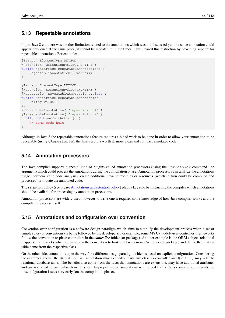# **5.13 Repeatable annotations**

In pre-Java 8 era there was another limitation related to the annotations which was not discussed yet: the same annotation could appear only once at the same place, it cannot be repeated multiple times. Java 8 eased this restriction by providing support for repeatable annotations. For example:

```
@Target( ElementType.METHOD )
@Retention( RetentionPolicy.RUNTIME )
public @interface RepeatableAnnotations {
    RepeatableAnnotation[] value();
}
@Target( ElementType.METHOD )
@Retention( RetentionPolicy.RUNTIME )
@Repeatable( RepeatableAnnotations.class )
public @interface RepeatableAnnotation {
    String value();
};
@RepeatableAnnotation( "repeatition 1" )
@RepeatableAnnotation( "repeatition 2" )
public void performAction() {
    // Some code here
}
```
Although in Java 8 the repeatable annotations feature requires a bit of work to be done in order to allow your annotation to be repeatable (using @Repeatable), the final result is worth it: more clean and compact annotated code.

### **5.14 Annotation processors**

The Java compiler supports a special kind of plugins called annotation processors (using the -processor command line argument) which could process the annotations during the compilation phase. Annotation processors can analyze the annotations usage (perform static code analysis), create additional Java source files or resources (which in turn could be compiled and processed) or mutate the annotated code.

The retention policy (see please [Annotations and retention policy\)](#page-1-0) plays a key role by instructing the compiler which annotations should be available for processing by annotation processors.

Annotation processors are widely used, however to write one it requires some knowledge of how Java compiler works and the compilation process itself.

#### **5.15 Annotations and configuration over convention**

Convention over configuration is a software design paradigm which aims to simplify the development process when a set of simple rules (or conventions) is being followed by the developers. For example, some MVC (model-view-controller) frameworks follow the convention to place controllers in the *controller* folder (or package). Another example is the ORM (object-relational mappers) frameworks which often follow the convention to look up classes in *model* folder (or package) and derive the relation table name from the respective class.

On the other side, annotations open the way for a different design paradigm which is based on explicit configuration. Considering the examples above, the @Controller annotation may explicitly mark any class as controller and @Entity may refer to relational database table. The benefits also come from the facts that annotations are extensible, may have additional attributes and are restricted to particular element types. Improper use of annotations is enforced by the Java compiler and reveals the misconfiguration issues very early (on the compilation phase).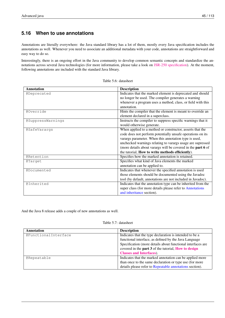# **5.16 When to use annotations**

Annotations are literally everywhere: the Java standard library has a lot of them, mostly every Java specification includes the annotations as well. Whenever you need to associate an additional metadata with your code, annotations are straightforward and easy way to do so.

Interestingly, there is an ongoing effort in the Java community to develop common semantic concepts and standardize the annotations across several Java technologies (for more information, please take a look on [JSR-250 specification\)](https://jcp.org/en/jsr/detail?id=250). At the moment, following annotations are included with the standard Java library.

| <b>Annotation</b>  | <b>Description</b>                                           |
|--------------------|--------------------------------------------------------------|
| <b>@Deprecated</b> | Indicates that the marked element is deprecated and should   |
|                    | no longer be used. The compiler generates a warning          |
|                    | whenever a program uses a method, class, or field with this  |
|                    | annotation.                                                  |
| @Override          | Hints the compiler that the element is meant to override an  |
|                    | element declared in a superclass.                            |
| @SuppressWarnings  | Instructs the compiler to suppress specific warnings that it |
|                    | would otherwise generate.                                    |
| @SafeVarargs       | When applied to a method or constructor, asserts that the    |
|                    | code does not perform potentially unsafe operations on its   |
|                    | varargs parameter. When this annotation type is used,        |
|                    | unchecked warnings relating to varargs usage are supressed   |
|                    | (more details about varargs will be covered in the part 6 of |
|                    | the tutorial, How to write methods efficiently).             |
| @Retention         | Specifies how the marked annotation is retained.             |
| <b>@Target</b>     | Specifies what kind of Java elements the marked              |
|                    | annotation can be applied to.                                |
| <b>@Documented</b> | Indicates that whenever the specified annotation is used     |
|                    | those elements should be documented using the Javadoc        |
|                    | tool (by default, annotations are not included in Javadoc).  |
| @Inherited         | Indicates that the annotation type can be inherited from the |
|                    | super class (for more details please refer to Annotations    |
|                    | and inheritance section).                                    |

Table 5.6: datasheet

And the Java 8 release adds a couple of new annotations as well.

#### Table 5.7: datasheet

| <b>Annotation</b>    | <b>Description</b>                                          |
|----------------------|-------------------------------------------------------------|
| @FunctionalInterface | Indicates that the type declaration is intended to be a     |
|                      | functional interface, as defined by the Java Language       |
|                      | Specification (more details about functional interfaces are |
|                      | covered in the part 3 of the tutorial, How to design        |
|                      | <b>Classes and Interfaces</b> ).                            |
| @Repeatable          | Indicates that the marked annotation can be applied more    |
|                      | than once to the same declaration or type use (for more     |
|                      | details please refer to Repeatable annotations section).    |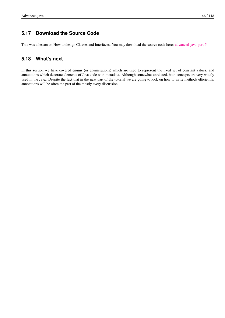# **5.17 Download the Source Code**

This was a lesson on How to design Classes and Interfaces. You may download the source code here: [advanced-java-part-5](http://www.javacodegeeks.com/wp-content/uploads/2015/09/advanced-java-part-5.zip)

# **5.18 What's next**

In this section we have covered enums (or enumerations) which are used to represent the fixed set of constant values, and annotations which decorate elements of Java code with metadata. Although somewhat unrelated, both concepts are very widely used in the Java. Despite the fact that in the next part of the tutorial we are going to look on how to write methods efficiently, annotations will be often the part of the mostly every discussion.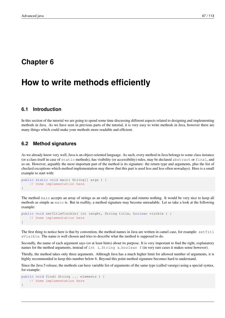# **Chapter 6**

# **How to write methods efficiently**

### **6.1 Introduction**

In this section of the tutorial we are going to spend some time discussing different aspects related to designing and implementing methods in Java. As we have seen in previous parts of the tutorial, it is very easy to write methods in Java, however there are many things which could make your methods more readable and efficient.

# **6.2 Method signatures**

As we already know very well, Java is an object-oriented language. As such, every method in Java belongs to some class instance (or a class itself in case of static methods), has visibility (or accessibility) rules, may be declared abstract or final, and so on. However, arguably the most important part of the method is its signature: the return type and arguments, plus the list of checked exceptions which method implementation may throw (but this part is used less and less often nowadays). Here is a small example to start with:

```
public static void main( String[] args ) {
    // Some implementation here
}
```
The method main accepts an array of strings as an only argument args and returns nothing. It would be very nice to keep all methods as simple as main is. But in reallity, a method signature may become unreadable. Let us take a look at the following example:

```
public void setTitleVisible( int lenght, String title, boolean visible ) {
    // Some implementation here
}
```
The first thing to notice here is that by convention, the method names in Java are written in camel case, for example:  $setTitl$ eVisible. The name is well chosen and tries to describe what the method is supposed to do.

Secondly, the name of each argument says (or at least hints) about its purpose. It is very important to find the right, explanatory names for the method arguments, instead of int i, String s, boolean f (in very rare cases it makes sense however).

Thirdly, the method takes only three arguments. Although Java has a much higher limit for allowed number of arguments, it is highly recommended to keep this number below 6. Beyond this point method signature becomes hard to understand.

Since the Java 5 release, the methods can have variable list of arguments of the same type (called varargs) using a special syntax, for example:

```
public void find( String ... elements ) {
    // Some implementation here
}
```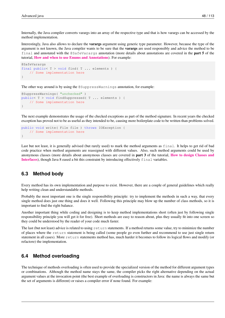Internally, the Java compiler converts varargs into an array of the respective type and that is how varargs can be accessed by the method implementation.

Interestingly, Java also allows to declare the varargs argument using generic type parameter. However, because the type of the argument is not known, the Java compiler wants to be sure that the **varargs** are used responsibly and advice the method to be final and annotated with the @SafeVarargs annotation (more details about annotations are covered in the part 5 of the tutorial, [How and when to use Enums and Annotations](http://www.javacodegeeks.com/2015/09/how-and-when-to-use-enums-and-annotations/)). For example:

```
@SafeVarargs
final public< T > void find(T... elements) {
   // Some implementation here
}
```
The other way around is by using the @SuppressWarnings annotation, for example:

```
@SuppressWarnings( "unchecked" )
public< T > void findSuppressed( T ... elements ) {
    // Some implementation here
}
```
The next example demonstrates the usage of the checked exceptions as part of the method signature. In recent years the checked exception has proved not to be as useful as they intended to be, causing more boilerplate code to be written than problems solved.

```
public void write( File file ) throws IOException {
    // Some implementation here
}
```
Last but not least, it is generally advised (but rarely used) to mark the method arguments as final. It helps to get rid of bad code practice when method arguments are reassigned with different values. Also, such method arguments could be used by anonymous classes (more details about anonymous classes are covered in part 3 of the tutorial, [How to design Classes and](http://www.javacodegeeks.com/2015/09/how-to-design-classes-and-interfaces/) [Interfaces](http://www.javacodegeeks.com/2015/09/how-to-design-classes-and-interfaces/)), though Java 8 eased a bit this constraint by introducing effectively final variables.

# **6.3 Method body**

Every method has its own implementation and purpose to exist. However, there are a couple of general guidelines which really help writing clean and understandable methods.

Probably the most important one is the single responsibility principle: try to implement the methods in such a way, that every single method does just one thing and does it well. Following this principle may blow up the number of class methods, so it is important to find the right balance.

Another important thing while coding and designing is to keep method implementations short (often just by following single responsibility principle you will get it for free). Short methods are easy to reason about, plus they usually fit into one screen so they could be understood by the reader of your code much faster.

The last (but not least) advice is related to using return statements. If a method returns some value, try to minimize the number of places where the return statement is being called (some people go even further and recommend to use just single return statement in all cases). More return statements method has, much harder it becomes to follow its logical flows and modify (or refactore) the implementation.

#### **6.4 Method overloading**

The technique of methods overloading is often used to provide the specialized version of the method for different argument types or combinations. Although the method name stays the same, the compiler picks the right alternative depending on the actual argument values at the invocation point (the best example of overloading is constructors in Java: the name is always the same but the set of arguments is different) or raises a compiler error if none found. For example: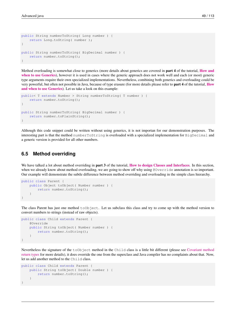```
public String numberToString( Long number ) {
    return Long.toString( number );
}
public String numberToString( BigDecimal number ) {
    return number.toString();
}
```
Method overloading is somewhat close to generics (more details about generics are covered in **part 4** of the tutorial, **[How and](http://www.javacodegeeks.com/2015/09/how-and-when-to-use-generics/)** [when to use Generics](http://www.javacodegeeks.com/2015/09/how-and-when-to-use-generics/)), however it is used in cases where the generic approach does not work well and each (or most) generic type arguments require their own specialized implementations. Nevertheless, combining both generics and overloading could be very powerful, but often not possible in Java, because of type erasure (for more details please refer to **part 4** of the tutorial, **[How](http://www.javacodegeeks.com/2015/09/how-and-when-to-use-generics/)** [and when to use Generics](http://www.javacodegeeks.com/2015/09/how-and-when-to-use-generics/)). Let us take a look on this example:

```
public< T extends Number > String numberToString( T number ) {
    return number.toString();
}
public String numberToString( BigDecimal number ) {
    return number.toPlainString();
}
```
Although this code snippet could be written without using generics, it is not importan for our demonstration purposes. The interesting part is that the method numberToString is overloaded with a specialized implementation for BigDecimal and a generic version is provided for all other numbers.

### **6.5 Method overriding**

We have talked a lot about method overriding in **part 3** of the tutorial, **[How to design Classes and Interfaces](http://www.javacodegeeks.com/2015/09/how-to-design-classes-and-interfaces/)**. In this section, when we already know about method overloading, we are going to show off why using @Override annotation is so important. Our example will demonstrate the subtle difference between method overriding and overloading in the simple class hierarchy.

```
public class Parent {
    public Object toObject( Number number ) {
        return number.toString();
    }
}
```
The class Parent has just one method  $\text{to}$  Object. Let us subclass this class and try to come up with the method version to convert numbers to strings (instead of raw objects).

```
public class Child extends Parent {
    @Override
    public String toObject( Number number ) {
        return number.toString();
    }
}
```
Nevertheless the signature of the toObject method in the Child class is a little bit different (please see [Covariant method](http://en.wikipedia.org/wiki/Covariance_and_contravariance_(computer_science)) [return types](http://en.wikipedia.org/wiki/Covariance_and_contravariance_(computer_science)) for more details), it does override the one from the superclass and Java compiler has no complaints about that. Now, let us add another method to the Child class.

```
public class Child extends Parent {
    public String toObject( Double number ) {
        return number.toString();
    }
}
```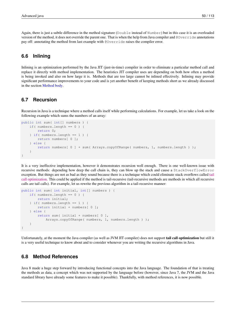Again, there is just a subtle difference in the method signature (Double instead of Number) but in this case it is an overloaded version of the method, it does not override the parent one. That is when the help from Java compiler and @Override annotations pay off: annotating the method from last example with @Override raises the compiler error.

# **6.6 Inlining**

Inlining is an optimization performed by the Java JIT (just-in-time) compiler in order to eliminate a particular method call and replace it directly with method implementation. The heuristics JIT compiler uses are depending on both how often a method is being invoked and also on how large it is. Methods that are too large cannot be inlined effectively. Inlining may provide significant performance improvements to your code and is yet another benefit of keeping methods short as we already discussed in the section [Method body.](#page-1-0)

# **6.7 Recursion**

Recursion in Java is a technique where a method calls itself while performing calculations. For example, let us take a look on the following example which sums the numbers of an array:

```
public int sum( int[] numbers ) {
   if( numbers.length == 0 ) {
        return 0;
    \} if( numbers.length == 1 ) {
        return numbers[ 0 ];
    } else {
        return numbers[ 0 ] + sum( Arrays.copyOfRange( numbers, 1, numbers.length ) );
    }
}
```
It is a very ineffective implementation, however it demonstrates recursion well enough. There is one well-known issue with recursive methods: depending how deep the call chain is, they can blow up the stack and cause a StackOverflowError exception. But things are not as bad as they sound because there is a technique which could eliminate stack overflows called [tail](http://en.wikipedia.org/wiki/Recursion_(computer_science)) [call optimization.](http://en.wikipedia.org/wiki/Recursion_(computer_science)) This could be applied if the method is tail-recursive (tail-recursive methods are methods in which all recursive calls are tail calls). For example, let us rewrite the previous algorithm in a tail-recursive manner:

```
public int sum( int initial, int[] numbers ) {
   if( numbers.length == 0 ) {
        return initial;
    } if( numbers.length == 1 ) {
        return initial + numbers[ 0 ];
    } else {
        return sum( initial + numbers[ 0 ],
            Arrays.copyOfRange( numbers, 1, numbers.length ) );
    }
}
```
Unfortunately, at the moment the Java compiler (as well as JVM JIT compiler) does not support tail call optimization but still it is a very useful technique to know about and to consider whenever you are writing the recursive algorithms in Java.

## **6.8 Method References**

Java 8 made a huge step forward by introducing functional concepts into the Java language. The foundation of that is treating the methods as data, a concept which was not supported by the language before (however, since Java 7, the JVM and the Java standard library have already some features to make it possible). Thankfully, with method references, it is now possible.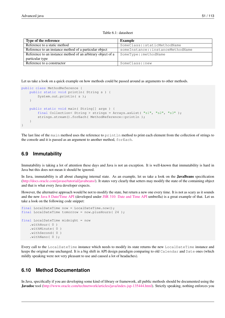#### Table 6.1: datasheet

| Type of the reference                                       | Example                          |
|-------------------------------------------------------------|----------------------------------|
| Reference to a static method                                | SomeClass::staticMethodName      |
| Reference to an instance method of a particular object      | someInstance::instanceMethodName |
| Reference to an instance method of an arbitrary object of a | SomeType::methodName             |
| particular type                                             |                                  |
| Reference to a constructor                                  | SomeClass::new                   |

Let us take a look on a quick example on how methods could be passed around as arguments to other methods.

```
public class MethodReference {
    public static void println( String s ) {
        System.out.println( s );
    }
    public static void main( String[] args ) {
        final Collection< String > strings = Arrays.asList( "s1", "s2", "s3" );
        strings.stream().forEach( MethodReference::println );
    }
}
```
The last line of the main method uses the reference to println method to print each element from the collection of strings to the console and it is passed as an argument to another method, forEach.

### **6.9 Immutability**

Immutability is taking a lot of attention these days and Java is not an exception. It is well-known that immutability is hard in Java but this does not mean it should be ignored.

In Java, immutability is all about changing internal state. As an example, let us take a look on the **JavaBeans** specification [\(http://docs.oracle.com/javase/tutorial/javabeans/\)](http://docs.oracle.com/javase/tutorial/javabeans/). It states very clearly that setters may modify the state of the containing object and that is what every Java developer expects.

However, the alternative approach would be not to modify the state, but return a new one every time. It is not as scary as it sounds and the new [Java 8 Date/Time API](http://docs.oracle.com/javase/8/docs/api/java/time/package-summary.html) (developed under [JSR 310: Date and Time API](https://jcp.org/en/jsr/detail?id=310) umbrella) is a great example of that. Let us take a look on the following code snippet:

```
final LocalDateTime now = LocalDateTime.now();
final LocalDateTime tomorrow = now.plusHours( 24 );
final LocalDateTime midnight = now
    .withHour( 0 )
    .withMinute( 0 )
    .withSecond( 0 )
    .withNano( 0 );
```
Every call to the LocalDateTime instance which needs to modify its state returns the new LocalDateTime instance and keeps the original one unchanged. It is a big shift in API design paradigm comparing to old Calendar and Date ones (which mildly speaking were not very pleasant to use and caused a lot of headaches).

# **6.10 Method Documentation**

In Java, specifically if you are developing some kind of library or framework, all public methods should be documented using the Javadoc tool [\(http://www.oracle.com/technetwork/articles/java/index-jsp-135444.html\)](http://www.oracle.com/technetwork/articles/java/index-jsp-135444.html). Strictly speaking, nothing enforces you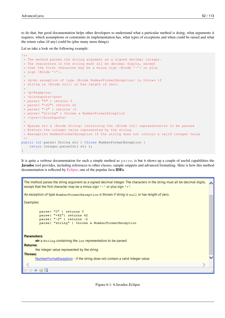to do that, but good documentation helps other developers to understand what a particular method is doing, what arguments it requires, which assumptions or constraints its implementation has, what types of exceptions and when could be raised and what the return value (if any) could be (plus many more things).

Let us take a look on the following example:

```
7*** The method parses the string argument as a signed decimal integer.
 * The characters in the string must all be decimal digits, except
 * that the first character may be a minus sign {@code '-'} or plus
 * sign {@code '+'}.
 *
 * <p>An exception of type {@code NumberFormatException} is thrown if
 * string is {@code null} or has length of zero.
 *
 * <p>Examples:
 * <blockquote><pre>
 * parse( "0" ) returns 0
 * parse( "+42") returns 42
 * parse( "-2" ) returns -2
 * parse( "string" ) throws a NumberFormatException
 * </pre></blockquote>
 *
 * @param str a {@code String} containing the {@code int} representation to be parsed
 * @return the integer value represented by the string
 * @exception NumberFormatException if the string does not contain a valid integer value
 \star/public int parse( String str ) throws NumberFormatException {
   return Integer.parseInt( str );
}
```
It is quite a verbose documentation for such a simple method as parse, is but it shows up a couple of useful capabilities the Javadoc tool provides, including references to other classes, sample snippets and advanced formatting. Here is how this method documentation is reflected by [Eclipse,](http://eclipse.org/) one of the popular Java IDEs.

The method parses the string argument as a signed decimal integer. The characters in the string must all be decimal digits, except that the first character may be a minus sign  $\cdot$  or plus sign  $+$   $\cdot$ . An exception of type NumberFormatException is thrown if string is null or has length of zero. Examples: parse( "0" ) returns 0 parse ( "+42") returns 42 parse ( "-2" ) returns -2 parse ( "string" ) throws a NumberFormatException **Parameters:** str a string containing the int representation to be parsed **Returns:** the integer value represented by the string **Throws:** NumberFormatException - if the string does not contain a valid integer value  $\ni \; \Leftrightarrow \; \pmb{a} \; \; \pmb{\lhd} \; \; \pmb{\overline{a}}$ 

Figure 6.1: 6.Javadoc.Eclipse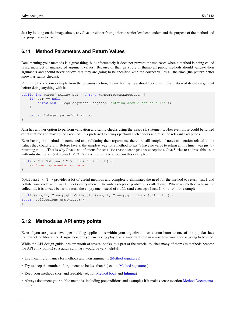Just by looking on the image above, any Java developer from junior to senior level can understand the purpose of the method and the proper way to use it.

# **6.11 Method Parameters and Return Values**

Documenting your methods is a great thing, but unfortunately it does not prevent the use cases when a method is being called using incorrect or unexpected argument values. Because of that, as a rule of thumb all public methods should validate their arguments and should never believe that they are going to be specified with the correct values all the time (the pattern better known as sanity checks).

Returning back to our example from the previous section, the method parse should perform the validation of its only argument before doing anything with it:

```
public int parse( String str ) throws NumberFormatException {
    if( str == null ) {
        throw new IllegalArgumentException( "String should not be null" );
    }
    return Integer.parseInt( str );
}
```
Java has another option to perform validation and sanity checks using the assert statements. However, those could be turned off at runtime and may not be executed. It is preferred to always perform such checks and raise the relevant exceptions.

Even having the methods documented and validating their arguments, there are still couple of notes to mention related to the values they could return. Before Java 8, the simplest way for a method to say "I have no value to return at this time" was just by returning null. That is why Java is so infamous for NullPointerException exceptions. Java 8 tries to address this issue with introduction of  $\Diamond$ ptional  $\langle T \rangle$  class. Let us take a look on this example:

```
public< T > Optional< T > find( String id ) {
    // Some implementation here
}
```
Optional  $\leq$  T  $>$  provides a lot of useful methods and completely eliminates the need for the method to return null and pollute your code with null checks everywhere. The only exception probably is collections. Whenever method returns the collection, it is always better to return the empty one instead of  $null$  (and even  $Optional < T >$ ), for example:

```
public< T &amp;gt; Collection&amp;lt; T &amp;gt; find( String id ) {
return Collections.emptyList();
}
```
#### **6.12 Methods as API entry points**

Even if you are just a developer building applications within your organization or a contributor to one of the popular Java framework or library, the design decisions you are taking play a very important role in a way how your code is going to be used.

While the API design guidelines are worth of several books, this part of the tutorial touches many of them (as methods become the API entry points) so a quick summary would be very helpful:

- Use meaningful names for methods and their arguments [\(Method signatures\)](#page-1-0)
- Try to keep the number of arguments to be less than 6 (section [Method signatures\)](#page-1-0)
- Keep your methods short and readable (section [Method body](#page-1-0) and [Inlining\)](#page-1-0)
- Always document your public methods, including preconditions and examples if it makes sense (section [Method Documenta](#page-1-0)[tion\)](#page-1-0)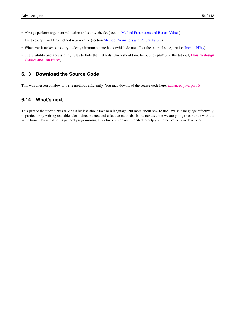- Always perform argument validation and sanity checks (section [Method Parameters and Return Values\)](#page-1-0)
- Try to escape null as method return value (section [Method Parameters and Return Values\)](#page-1-0)
- Whenever it makes sense, try to design immutable methods (which do not affect the internal state, section [Immutability\)](#page-1-0)
- Use visibility and accessibility rules to hide the methods which should not be public (part 3 of the tutorial, [How to design](http://www.javacodegeeks.com/2015/09/how-to-design-classes-and-interfaces/) [Classes and Interfaces](http://www.javacodegeeks.com/2015/09/how-to-design-classes-and-interfaces/))

# **6.13 Download the Source Code**

This was a lesson on How to write methods efficiently. You may download the source code here: [advanced-java-part-6](http://www.javacodegeeks.com/wp-content/uploads/2015/09/advanced-java-part-6.zip)

# **6.14 What's next**

This part of the tutorial was talking a bit less about Java as a language, but more about how to use Java as a language effectively, in particular by writing readable, clean, documented and effective methods. In the next section we are going to continue with the same basic idea and discuss general programming guidelines which are intended to help you to be better Java developer.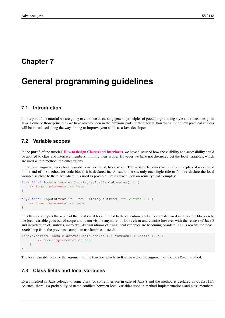# **Chapter 7**

# **General programming guidelines**

# **7.1 Introduction**

In this part of the tutorial we are going to continue discussing general principles of good programming style and robust design in Java. Some of those principles we have already seen in the previous parts of the tutorial, however a lot of new practical advices will be introduced along the way aiming to improve your skills as a Java developer.

# **7.2 Variable scopes**

In the part 3 of the tutorial, [How to design Classes and Interfaces](http://www.javacodegeeks.com/2015/09/how-to-design-classes-and-interfaces/), we have discussed how the visibility and accessibility could be applied to class and interface members, limiting their scope. However we have not discussed yet the local variables, which are used within method implementations.

In the Java language, every local variable, once declared, has a scope. The variable becomes visible from the place it is declared to the end of the method (or code block) it is declared in. As such, there is only one single rule to follow: declare the local variable as close to the place where it is used as possible. Let us take a look on some typical examples:

```
for( final Locale locale: Locale.getAvailableLocales() ) {
    // Some implementation here
}
try( final InputStream in = new FileInputStream( "file.txt" ) ) {
    // Some implementation here
}
```
In both code snippets the scope of the local variables is limited to the execution blocks they are declared in. Once the block ends, the local variable goes out of scope and is not visible anymore. It looks clean and concise however with the release of Java 8 and introduction of lambdas, many well-known idioms of using local variables are becoming obsolete. Let us rewrite the **foreach** loop from the previous example to use lambdas instead:

```
Arrays.stream( Locale.getAvailableLocales() ).forEach( ( locale ) -> {
        // Some implementation here
    }
);
```
The local variable became the argument of the function which itself is passed as the argument of the  $\epsilon$ orEach method.

# **7.3 Class fields and local variables**

Every method in Java belongs to some class (or some interface in case of Java 8 and the method is declared as default). As such, there is a probability of name conflicts between local variables used in method implementations and class members.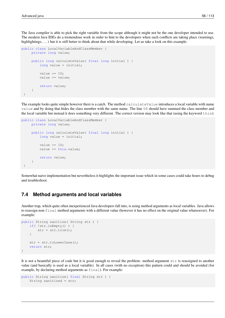The Java compiler is able to pick the right variable from the scope although it might not be the one developer intended to use. The modern Java IDEs do a tremendous work in order to hint to the developers when such conflicts are taking place (warnings, highlightings, ...) but it is still better to think about that while developing. Let us take a look on this example:

```
public class LocalVariableAndClassMember {
     private long value;
     public long calculateValue( final long initial ) {
         long value = initial;
         value *= 10;value += value;
         return value;
     }
 }
```
The example looks quite simple however there is a catch. The method calculateValue introduces a local variable with name value and by doing that hides the class member with the same name. The line 08 should have summed the class member and the local variable but instead it does something very different. The correct version may look like that (using the keyword this):

```
public class LocalVariableAndClassMember {
     private long value;
     public long calculateValue( final long initial ) {
         long value = initial;
         value *=10;value += this.value;
         return value;
     }
 }
```
Somewhat naive implementation but nevertheless it highlights the important issue which in some cases could take hours to debug and troubleshoot.

# **7.4 Method arguments and local variables**

Another trap, which quite often inexperienced Java developers fall into, is using method arguments as local variables. Java allows to reassign non-final method arguments with a different value (however it has no effect on the original value whatsoever). For example:

```
public String sanitize( String str ) {
    if( !str.isEmpty() ) {
        str = str.time();
    }
    str = str.toLowerCase();
    return str;
}
```
It is not a beautiful piece of code but it is good enough to reveal the problem: method argument str is reassigned to another value (and basically is used as a local variable). In all cases (with no exception) this pattern could and should be avoided (for example, by declaring method arguments as final). For example:

```
public String sanitize( final String str ) {
    String sanitized = str;
```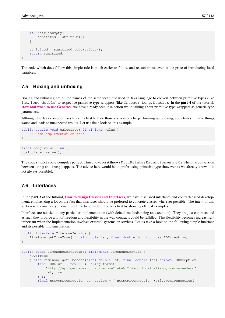}

```
if( !str.isEmpty() ) {
    sanitized = str.trim();
}
sanitized = sanitized.toLowerCase();
return sanitized;
```
The code which does follow this simple rule is much easier to follow and reason about, even at the price of introducing local variables.

# **7.5 Boxing and unboxing**

Boxing and unboxing are all the names of the same technique used in Java language to convert between primitive types (like int, long, double) to respective primitive type wrappers (like Integer, Long, Double). In the **part 4** of the tutorial, [How and when to use Generics](http://www.javacodegeeks.com/2015/09/how-and-when-to-use-generics/), we have already seen it in action while talking about primitive type wrappers as generic type parameters.

Although the Java compiler tries to do its best to hide those conversions by performing autoboxing, sometimes it make things worse and leads to unexpected results. Let us take a look on this example:

```
public static void calculate( final long value ) {
    // Some implementation here
}
```

```
final Long value = null;
calculate( value );
```
The code snippet above compiles perfectly fine, however it throws NullPointerException on line 02 when the conversion between Long and long happens. The advice here would be to prefer using primitive type (however as we already know, it is not always possible).

## **7.6 Interfaces**

In the **part 3** of the tutorial, **[How to design Classes and Interfaces](http://www.javacodegeeks.com/2015/09/how-to-design-classes-and-interfaces/)**, we have discussed interfaces and contract-based development, emphasizing a lot on the fact that interfaces should be preferred to concrete classes wherever possible. The intent of this section is to convince you one more time to consider interfaces first by showing off real examples.

Interfaces are not tied to any particular implementation (with default methods being an exception). They are just contracts and as such they provide a lot of freedom and flexibility in the way contracts could be fulfilled. This flexibility becomes increasingly important when the implementation involves external systems or services. Let us take a look on the following simple interface and its possible implementation:

```
public interface TimezoneService {
   TimeZone getTimeZone( final double lat, final double lon ) throws IOException;
}
public class TimezoneServiceImpl implements TimezoneService {
   @Override
   public TimeZone getTimeZone(final double lat, final double lon) throws IOException {
        final URL url = new URL( String.format(
            "http://api.geonames.org/timezone?lat=%.2f&lng=%.2f&username=demo",
           lat, lon
       ) );
        final HttpURLConnection connection = ( HttpURLConnection )url.openConnection();
```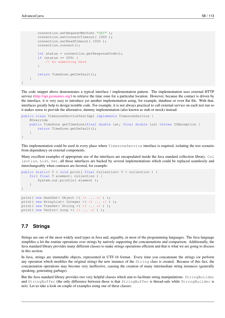```
connection.setRequestMethod( "GET" );
        connection.setConnectTimeout( 1000 );
        connection.setReadTimeout( 1000 );
        connection.connect();
        int status = connection.getResponseCode();
        if (status == 200) {
            // Do something here
        }
        return TimeZone.getDefault();
    }
}
```
The code snippet above demonstrates a typical interface / implementation pattern. The implementation uses external HTTP service [\(http://api.geonames.org/\)](http://api.geonames.org/) to retrieve the time zone for a particular location. However, because the contact is driven by the interface, it is very easy to introduce yet another implementation using, for example, database or even flat file. With that, interfaces greatly help to design testable code. For example, it is not always practical to call external service on each test run so it makes sense to provide the alternative, dummy implementation (also known as stub or mock) instead:

```
public class TimezoneServiceTestImpl implements TimezoneService {
    @Override
    public TimeZone getTimeZone(final double lat, final double lon) throws IOException {
        return TimeZone.getDefault();
    }
}
```
This implementation could be used in every place where TimezoneService interface is required, isolating the test scenario from dependency on external components.

Many excellent examples of appropriate use of the interfaces are encapsulated inside the Java standard collection library. Col lection, List, Set, all those interfaces are backed by several implementations which could be replaced seamlessly and interchangeably when contracts are favored, for example:

```
public static< T > void print( final Collection< T > collection ) {
    for( final T element: collection ) {
        System.out.println( element ) ;
    }
}
print( new HashSet< Object >( /* ... */ ) );
print( new ArrayList< Integer >( /* ... */ ) );
print( new TreeSet< String >( /* ... */ ) );
```
# **7.7 Strings**

print ( new Vector< Long > ( /\* ... \*/ ) );

Strings are one of the most widely used types in Java and, arguably, in most of the programming languages. The Java language simplifies a lot the routine operations over strings by natively supporting the concatenations and comparison. Additionally, the Java standard library provides many different classes to make strings operations efficient and that is what we are going to discuss in this section.

In Java, strings are immutable objects, represented in UTF-16 format. Every time you concatenate the strings (or perform any operation which modifies the original string) the new instance of the String class is created. Because of this fact, the concatenation operations may become very ineffective, causing the creation of many intermediate string instances (generally speaking, generating garbage).

But the Java standard library provides two very helpful classes which aim to facilitate string manipulations: StringBuilder and StringBuffer (the only difference between those is that StringBuffer is thread-safe while StringBuilder is not). Let us take a look on couple of examples using one of these classes: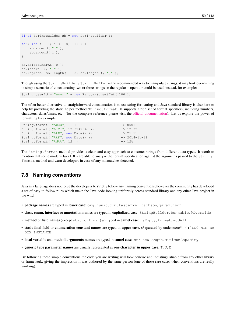```
final StringBuilder sb = new StringBuilder();
for( int i = 1; i <= 10; ++i ) {
   sb.append( " " );
    sb.append( i );
}
sb.deleteCharAt( 0 );
sb.insert( 0, "[" );
sb.replace(sb.length() - 3, sb.length(), "]");
```
Though using the StringBuilder / StringBuffer is the recommended way to manipulate strings, it may look over-killing in simple scenario of concatenating two or three strings so the regular + operator could be used instead, for example:

```
String userId = "user:" + new Random().nextInt( 100 );
```
The often better alternative to straightforward concatenation is to use string formatting and Java standard library is also here to help by providing the static helper method String.format. It supports a rich set of format specifiers, including numbers, characters, dates/times, etc. (for the complete reference please visit the [official documentation\)](https://docs.oracle.com/javase/7/docs/api/java/util/Formatter.html#syntax). Let us explore the power of formatting by example:

```
String.format(\sqrt{804d}, 1); -> 0001
String.format( "%.2f", 12.324234d ); -> 12.32
String.format( "%tR", new Date() ); \rightarrow 21:11
String.format( "%tF'', new Date() ); -> 2014-11-11
String.format( "%d%%", 12 ); -> 12%
```
The String.format method provides a clean and easy approach to construct strings from different data types. It worth to mention that some modern Java IDEs are able to analyze the format specification against the arguments passed to the  $String$ . format method and warn developers in case of any mismatches detected.

# **7.8 Naming conventions**

Java as a language does not force the developers to strictly follow any naming conventions, however the community has developed a set of easy to follow rules which make the Java code looking uniformly across standard library and any other Java project in the wild.

- package names are typed in lower case: org.junit, com.fasterxml.jackson, javax.json
- class, enum, interface or annotation names are typed in capitalized case: StringBuilder, Runnable, @Override
- method or field names (except static final) are typed in camel case: isEmpty, format, addAll
- static final field or enumeration constant names are typed in upper case, s\*eparated by underscore\* \_': `LOG, MIN\_RA DIX, INSTANCE
- local variable and method arguments names are typed in camel case: str, newLength, minimumCapacity
- generic type parameter names are usually represented as one character in upper case:  $T$ ,  $U$ ,  $E$

By following these simple conventions the code you are writing will look concise and indistinguishable from any other library or framework, giving the impression it was authored by the same person (one of those rare cases when conventions are really working).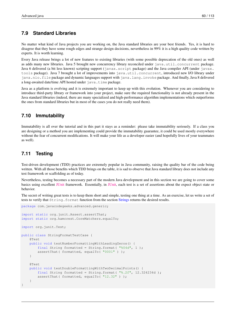# **7.9 Standard Libraries**

No matter what kind of Java projects you are working on, the Java standard libraries are your best friends. Yes, it is hard to disagree that they have some rough edges and strange design decisions, nevertheless in 99% it is a high quality code written by experts. It is worth learning.

Every Java release brings a lot of new features to existing libraries (with some possible deprecation of the old ones) as well as adds many new libraries. Java 5 brought new concurrency library reconciled under java.util.concurrent package. Java 6 delivered (a bit less known) scripting support (javax.script package) and the Java compiler API (under javax. tools package). Java 7 brought a lot of improvements into java.util.concurrent, introduced new I/O library under java.nio.file package and dynamic languages support with java.lang.invoke package. And finally, Java 8 delivered a long-awaited date/time API hosted under java.time package.

Java as a platform is evolving and it is extremely important to keep up with this evolution. Whenever you are considering to introduce third-party library or framework into your project, make sure the required functionality is not already present in the Java standard libraries (indeed, there are many specialized and high-performance algorithm implementations which outperforms the ones from standard libraries but in most of the cases you do not really need them).

# **7.10 Immutability**

Immutability is all over the tutorial and in this part it stays as a reminder: please take immutability seriously. If a class you are designing or a method you are implementing could provide the immutability guarantee, it could be used mostly everywhere without the fear of concurrent modifications. It will make your life as a developer easier (and hopefully lives of your teammates as well).

# **7.11 Testing**

Test-driven development (TDD) practices are extremely popular in Java community, raising the quality bar of the code being written. With all those benefits which TDD brings on the table, it is sad to observe that Java standard library does not include any test framework or scaffolding as of today.

Nevertheless, testing becomes a necessary part of the modern Java development and in this section we are going to cover some basics using excellent [JUnit](http://junit.org/) framework. Essentially, in [JUnit,](http://junit.org/) each test is a set of assertions about the expect object state or behavior.

The secret of writing great tests is to keep them short and simple, testing one thing at a time. As an exercise, let us write a set of tests to verify that  $String$ . format function from the section [Strings](#page-1-0) returns the desired results.

```
package com.javacodegeeks.advanced.generic;
import static org.junit.Assert.assertThat;
import static org.hamcrest.CoreMatchers.equalTo;
import org.junit.Test;
public class StringFormatTestCase {
    @Test
    public void testNumberFormattingWithLeadingZeros() {
        final String formatted = String.format( "%04d", 1 );
        assertThat( formatted, equalTo( "0001" ) );
    }
    @Test
    public void testDoubleFormattingWithTwoDecimalPoints() {
        final String formatted = String.format(\sqrt{8}.2f", 12.324234d);
        assertThat( formatted, equalTo( "12.32" ) );
    }
}
```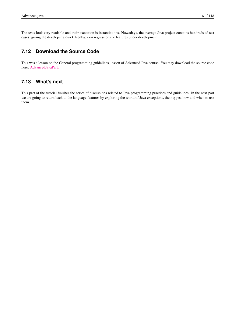The tests look very readable and their execution is instantiations. Nowadays, the average Java project contains hundreds of test cases, giving the developer a quick feedback on regressions or features under development.

# **7.12 Download the Source Code**

This was a lesson on the General programming guidelines, lesson of Advanced Java course. You may download the source code here: [AdvancedJavaPart7](http://www.javacodegeeks.com/wp-content/uploads/2015/09/advanced-java-part-7.zip)

# **7.13 What's next**

This part of the tutorial finishes the series of discussions related to Java programming practices and guidelines. In the next part we are going to return back to the language features by exploring the world of Java exceptions, their types, how and when to use them.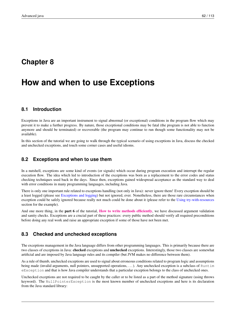### **Chapter 8**

# **How and when to use Exceptions**

#### **8.1 Introduction**

Exceptions in Java are an important instrument to signal abnormal (or exceptional) conditions in the program flow which may prevent it to make a further progress. By nature, those exceptional conditions may be fatal (the program is not able to function anymore and should be terminated) or recoverable (the program may continue to run though some functionality may not be available).

In this section of the tutorial we are going to walk through the typical scenario of using exceptions in Java, discuss the checked and unchecked exceptions, and touch some corner cases and useful idioms.

#### **8.2 Exceptions and when to use them**

In a nutshell, exceptions are some kind of events (or signals) which occur during program execution and interrupt the regular execution flow. The idea which led to introduction of the exceptions was born as a replacement to the error codes and status checking techniques used back in the days. Since then, exceptions gained widespread acceptance as the standard way to deal with error conditions in many programming languages, including Java.

There is only one important rule related to exceptions handling (not only in Java): never ignore them! Every exception should be a least logged (please see [Exceptions and logging\)](#page-1-0) but not ignored, ever. Nonetheless, there are those rare circumstances when exception could be safely ignored because really not much could be done about it (please refer to the [Using try-with-resources](#page-1-0) section for the example).

And one more thing, in the **part 6** of the tutorial, **[How to write methods efficiently](http://www.javacodegeeks.com/2015/09/how-to-write-methods-efficiently/)**, we have discussed argument validation and sanity checks. Exceptions are a crucial part of these practices: every public method should verify all required preconditions before doing any real work and raise an appropriate exception if some of those have not been met.

#### **8.3 Checked and unchecked exceptions**

The exceptions management in the Java language differs from other programming languages. This is primarily because there are two classes of exceptions in Java: checked exceptions and unchecked exceptions. Interestingly, those two classes are somewhat artificial and are imposed by Java language rules and its compiler (but JVM makes no difference between them).

As a rule of thumb, unchecked exceptions are used to signal about erroneous conditions related to program logic and assumptions being made (invalid arguments, null pointers, unsupported operations, ...). Any unchecked exception is a subclass of Runtim eException and that is how Java compiler understands that a particular exception belongs to the class of unchecked ones.

Unchecked exceptions are not required to be caught by the caller or to be listed as a part of the method signature (using throws keyword). The NullPointerException is the most known member of unchecked exceptions and here is its declaration from the Java standard library: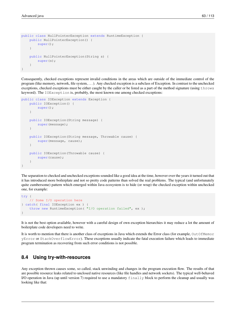```
public class NullPointerException extends RuntimeException {
    public NullPointerException() {
        super();
    }
    public NullPointerException(String s) {
        super(s);
    }
}
```
Consequently, checked exceptions represent invalid conditions in the areas which are outside of the immediate control of the program (like memory, network, file system, . . . ). Any checked exception is a subclass of Exception. In contrast to the unchecked exceptions, checked exceptions must be either caught by the caller or be listed as a part of the method signature (using throws keyword). The IOException is, probably, the most known one among checked exceptions:

```
public class IOException extends Exception {
    public IOException() {
        super();
    }
    public IOException(String message) {
        super(message);
    }
    public IOException(String message, Throwable cause) {
        super(message, cause);
    }
    public IOException(Throwable cause) {
        super(cause);
    }
}
```
The separation to checked and unchecked exceptions sounded like a good idea at the time, however over the years it turned out that it has introduced more boilerplate and not so pretty code patterns than solved the real problems. The typical (and unfortunately quite cumbersome) pattern which emerged within Java ecosystem is to hide (or wrap) the checked exception within unchecked one, for example:

```
try {
    // Some I/O operation here
} catch( final IOException ex ) {
    throw new RuntimeException( "I/O operation failed", ex );
}
```
It is not the best option available, however with a careful design of own exception hierarchies it may reduce a lot the amount of boilerplate code developers need to write.

It is worth to mention that there is another class of exceptions in Java which extends the Error class (for example, OutOfMemor yError or StackOverflowError). These exceptions usually indicate the fatal execution failure which leads to immediate program termination as recovering from such error conditions is not possible.

#### **8.4 Using try-with-resources**

Any exception thrown causes some, so called, stack unwinding and changes in the program execution flow. The results of that are possible resource leaks related to unclosed native resources (like file handles and network sockets). The typical well-behaved I/O operation in Java (up until version 7) required to use a mandatory  $\pm$  inally block to perform the cleanup and usually was looking like that: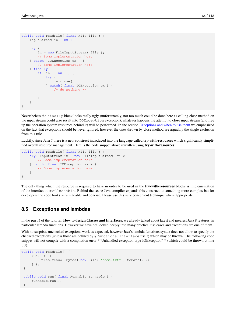```
public void readFile( final File file ) {
    InputStream in = null;
    try {
        in = new FileInputStream( file );
        // Some implementation here
    } catch( IOException ex ) {
        // Some implementation here
    } finally {
        if( in != null ) {
            try {
                in.close();
            } catch( final IOException ex ) {
                /* do nothing */}
        }
    }
}
```
Nevertheless the finally block looks really ugly (unfortunately, not too much could be done here as calling close method on the input stream could also result into IOException exception), whatever happens the attempt to close input stream (and free up the operation system resources behind it) will be performed. In the section [Exceptions and when to use them](#page-1-0) we emphasized on the fact that exceptions should be never ignored, however the ones thrown by close method are arguably the single exclusion from this rule.

Luckily, since Java 7 there is a new construct introduced into the language called **try-with-resources** which significantly simplified overall resource management. Here is the code snippet above rewritten using try-with-resources:

```
public void readFile( final File file ) {
    try( InputStream in = new FileInputStream( file ) ) {
        // Some implementation here
    } catch( final IOException ex ) {
        // Some implementation here
    }
}
```
The only thing which the resource is required to have in order to be used in the **try-with-resources** blocks is implementation of the interface AutoCloseable. Behind the scene Java compiler expands this construct to something more complex but for developers the code looks very readable and concise. Please use this very convenient technique where appropriate.

#### **8.5 Exceptions and lambdas**

In the part 3 of the tutorial, How to design Classes and Interfaces, we already talked about latest and greatest Java 8 features, in particular lambda functions. However we have not looked deeply into many practical use cases and exceptions are one of them.

With no surprise, unchecked exceptions work as expected, however Java's lambda functions syntax does not allow to specify the checked exceptions (unless those are defined by @FunctionalInterface itself) which may be thrown. The following code snippet will not compile with a compilation error \*"Unhandled exception type IOException" \* (which could be thrown at line 03):

```
public void readFile() {
     run( () \rightarrow {
         Files.readAllBytes( new File( "some.txt" ).toPath() );
     } );
 }
 public void run( final Runnable runnable ) {
     runnable.run();
 }
```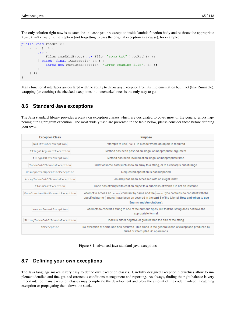The only solution right now is to catch the IOException exception inside lambda function body and re-throw the appropriate RuntimeException exception (not forgetting to pass the original exception as a cause), for example:

```
public void readFile() {
    run( () \rightarrow {
        try {
             Files.readAllBytes( new File( "some.txt" ).toPath() );
        } catch( final IOException ex ) {
             throw new RuntimeException( "Error reading file", ex );
        }
    } );
}
```
Many functional interfaces are declared with the ability to throw any Exception from its implementation but if not (like Runnable), wrapping (or catching) the checked exceptions into unchecked ones is the only way to go.

#### **8.6 Standard Java exceptions**

The Java standard library provides a plenty on exception classes which are designated to cover most of the generic errors happening during program execution. The most widely used are presented in the table below, please consider those before defining your own.

| <b>Exception Class</b>          | <b>Purpose</b>                                                                                                                                                                                                                |
|---------------------------------|-------------------------------------------------------------------------------------------------------------------------------------------------------------------------------------------------------------------------------|
| NullPointerException            | Attempts to use null in a case where an object is required.                                                                                                                                                                   |
| IllegalArgumentException        | Method has been passed an illegal or inappropriate argument.                                                                                                                                                                  |
| IllegalStateException           | Method has been invoked at an illegal or inappropriate time.                                                                                                                                                                  |
| IndexOutOfBoundsException       | Index of some sort (such as to an array, to a string, or to a vector) is out of range.                                                                                                                                        |
| UnsupportedOperationException   | Requested operation is not supported.                                                                                                                                                                                         |
| ArrayIndexOutOfBoundsException  | An array has been accessed with an illegal index.                                                                                                                                                                             |
| ClassCastException              | Code has attempted to cast an object to a subclass of which it is not an instance.                                                                                                                                            |
| EnumConstantNotPresentException | Attempt to access an enum constant by name and the enum type contains no constant with the<br>specified name (enums have been on covered in the part 5 of the tutorial, How and when to use<br><b>Enums and Annotations).</b> |
| NumberFormatException           | Attempts to convert a string to one of the numeric types, but that the string does not have the<br>appropriate format.                                                                                                        |
| StringIndexOutOfBoundsException | Index is either negative or greater than the size of the string.                                                                                                                                                              |
| <b>IOException</b>              | I/O exception of some sort has occurred. This class is the general class of exceptions produced by<br>failed or interrupted I/O operations.                                                                                   |

Figure 8.1: advanced-java-standard-java-exceptions

#### **8.7 Defining your own exceptions**

The Java language makes it very easy to define own exception classes. Carefully designed exception hierarchies allow to implement detailed and fine-grained erroneous conditions management and reporting. As always, finding the right balance is very important: too many exception classes may complicate the development and blow the amount of the code involved in catching exception or propagating them down the stack.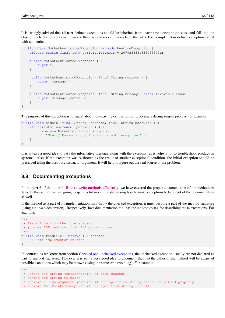It is strongly advised that all user-defined exceptions should be inherited from RuntimeException class and fall into the class of unchecked exceptions (however, there are always exclusions from the rule). For example, let us defined exception to dial with authentication:

```
public class NotAuthenticatedException extends RuntimeException {
    private static final long serialVersionUID = 2079235381336055509L;
    public NotAuthenticatedException() {
        super();
    }
    public NotAuthenticatedException( final String message ) {
        super( message );
    }
    public NotAuthenticatedException( final String message, final Throwable cause ) {
        super( message, cause );
    }
}
```
The purpose of this exception is to signal about non-existing or invalid user credentials during sing-in process, for example:

```
public void signin( final String username, final String password ) {
    if( !exists( username, password ) ) {
        throw new NotAuthenticatedException(
            "User / Password combination is not recognized" );
    }
}
```
It is always a good idea to pass the informative message along with the exception as it helps a lot to troubleshoot production systems. Also, if the exception was re-thrown as the result of another exceptional condition, the initial exception should be preserved using the cause constructor argument. It will help to figure out the real source of the problem.

#### **8.8 Documenting exceptions**

In the **part 6** of the tutorial, **[How to write methods efficiently](http://www.javacodegeeks.com/2015/09/how-to-write-methods-efficiently/)**, we have covered the proper documentation of the methods in Java. In this section we are going to spend a bit more time discussing how to make exceptions to be a part of the documentation as well.

If the method as a part of its implementation may throw the checked exception, it must become a part of the method signature (using throws declaration). Respectively, Java documentation tool has the @throws tag for describing those exceptions. For example:

```
/*** Reads file from the file system.
 * @throws IOException if an I/O error occurs.
\star/public void readFile() throws IOException {
   // Some implementation here
}
```
In contrast, as we know from section [Checked and unchecked exceptions,](#page-1-0) the unchecked exception usually are not declared as part of method signature. However it is still a very good idea to document them so the caller of the method will be aware of possible exceptions which may be thrown (using the same @throws tag). For example:

```
* Parses the string representation of some concept.
```

```
* @param str String to parse
```
 $/**$ 

```
* @throws IllegalArgumentException if the specified string cannot be parsed properly
```

```
* @throws NullPointerException if the specified string is null
```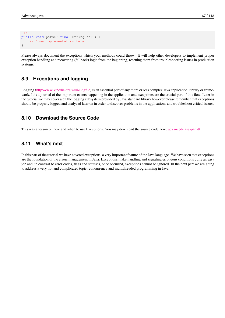```
\star/public void parse( final String str ) {
    // Some implementation here
}
```
Please always document the exceptions which your methods could throw. It will help other developers to implement proper exception handling and recovering (fallback) logic from the beginning, rescuing them from troubleshooting issues in production systems.

#### **8.9 Exceptions and logging**

Logging [\(http://en.wikipedia.org/wiki/Logfile\)](http://en.wikipedia.org/wiki/Logfile) is an essential part of any more or less complex Java application, library or framework. It is a journal of the important events happening in the application and exceptions are the crucial part of this flow. Later in the tutorial we may cover a bit the logging subsystem provided by Java standard library however please remember that exceptions should be properly logged and analyzed later on in order to discover problems in the applications and troubleshoot critical issues.

#### **8.10 Download the Source Code**

This was a lesson on how and when to use Exceptions. You may download the source code here: [advanced-java-part-8](http://www.javacodegeeks.com/wp-content/uploads/2015/09/advanced-java-part-8.zip)

#### **8.11 What's next**

In this part of the tutorial we have covered exceptions, a very important feature of the Java language. We have seen that exceptions are the foundation of the errors management in Java. Exceptions make handling and signaling erroneous conditions quite an easy job and, in contrast to error codes, flags and statuses, once occurred, exceptions cannot be ignored. In the next part we are going to address a very hot and complicated topic: concurrency and multithreaded programming in Java.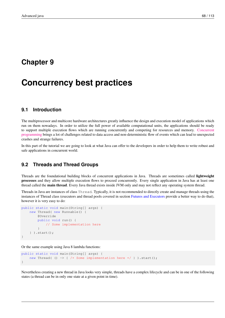### **Chapter 9**

# **Concurrency best practices**

#### **9.1 Introduction**

The multiprocessor and multicore hardware architectures greatly influence the design and execution model of applications which run on them nowadays. In order to utilize the full power of available computational units, the applications should be ready to support multiple execution flows which are running concurrently and competing for resources and memory. [Concurrent](http://www.javacodegeeks.com/2015/09/java-concurrency-essentials/) [programming](http://www.javacodegeeks.com/2015/09/java-concurrency-essentials/) brings a lot of challenges related to data access and non-deterministic flow of events which can lead to unexpected crashes and strange failures.

In this part of the tutorial we are going to look at what Java can offer to the developers in order to help them to write robust and safe applications in concurrent world.

#### **9.2 Threads and Thread Groups**

Threads are the foundational building blocks of concurrent applications in Java. Threads are sometimes called lightweight processes and they allow multiple execution flows to proceed concurrently. Every single application in Java has at least one thread called the main thread. Every Java thread exists inside JVM only and may not reflect any operating system thread.

Threads in Java are instances of class Thread. Typically, it is not recommended to directly create and manage threads using the instances of Thread class (executors and thread pools covered in section [Futures and Executors](#page-1-0) provide a better way to do that), however it is very easy to do:

```
public static void main(String[] args) {
   new Thread( new Runnable() {
        @Override
        public void run() {
           // Some implementation here
        }
    } ).start();
}
```
Or the same example using Java 8 lambda functions:

```
public static void main(String[] args) {
    new Thread( () \rightarrow { /* Some implementation here */ } ).start();
}
```
Nevertheless creating a new thread in Java looks very simple, threads have a complex lifecycle and can be in one of the following states (a thread can be in only one state at a given point in time).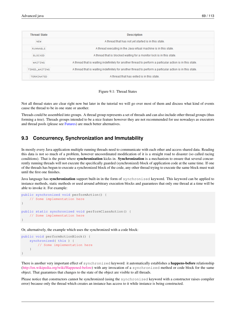| <b>Thread State</b> | <b>Description</b>                                                                                        |
|---------------------|-----------------------------------------------------------------------------------------------------------|
| <b>NEW</b>          | A thread that has not yet started is in this state.                                                       |
| <b>RUNNABLE</b>     | A thread executing in the Java virtual machine is in this state.                                          |
| <b>BLOCKED</b>      | A thread that is blocked waiting for a monitor lock is in this state.                                     |
| WAITING             | A thread that is waiting indefinitely for another thread to perform a particular action is in this state. |
| TIMED WAITING       | A thread that is waiting indefinitely for another thread to perform a particular action is in this state. |
| <b>TERMINATED</b>   | A thread that has exited is in this state.                                                                |



Not all thread states are clear right now but later in the tutorial we will go over most of them and discuss what kind of events cause the thread to be in one state or another.

Threads could be assembled into groups. A thread group represents a set of threads and can also include other thread groups (thus forming a tree). Threads groups intended to be a nice feature however they are not recommended for use nowadays as executors and thread pools (please see [Futures\)](#page-1-0) are much better alternatives.

#### **9.3 Concurrency, Synchronization and Immutability**

In mostly every Java application multiple running threads need to communicate with each other and access shared data. Reading this data is not so much of a problem, however uncoordinated modification of it is a straight road to disaster (so called racing conditions). That is the point where **synchronization** kicks in. **Synchronization** is a mechanism to ensure that several concurrently running threads will not execute the specifically guarded (synchronized) block of application code at the same time. If one of the threads has begun to execute a synchronized block of the code, any other thread trying to execute the same block must wait until the first one finishes.

Java language has **synchronization** support built-in in the form of synchronized keyword. This keyword can be applied to instance methods, static methods or used around arbitrary execution blocks and guarantees that only one thread at a time will be able to invoke it. For example:

```
public synchronized void performAction() {
    // Some implementation here
}
public static synchronized void performClassAction() {
   // Some implementation here
}
```
Or, alternatively, the example which uses the synchronized with a code block:

```
public void performActionBlock() {
    synchronized( this ) {
        // Some implementation here
    }
}
```
There is another very important effect of synchronized keyword: it automatically establishes a **happens-before** relationship [\(http://en.wikipedia.org/wiki/Happened-before\)](http://en.wikipedia.org/wiki/Happened-before) with any invocation of a synchronized method or code block for the same object. That guarantees that changes to the state of the object are visible to all threads.

Please notice that constructors cannot be synchronized (using the synchronized keyword with a constructor raises compiler error) because only the thread which creates an instance has access to it while instance is being constructed.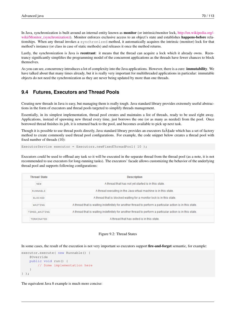In Java, synchronization is built around an internal entity known as monitor (or intrinsic/monitor lock, [http://en.wikipedia.org/](http://en.wikipedia.org/wiki/Monitor_(synchronization)) [wiki/Monitor\\_\(synchronization\)\)](http://en.wikipedia.org/wiki/Monitor_(synchronization)). Monitor enforces exclusive access to an object's state and establishes happens-before relationships. When any thread invokes a synchronized method, it automatically acquires the intrinsic (monitor) lock for that method's instance (or class in case of static methods) and releases it once the method returns.

Lastly, the synchronization is Java is reentrant: it means that the thread can acquire a lock which it already owns. Reentrancy significantly simplifies the programming model of the concurrent applications as the threads have fewer chances to block themselves.

As you can see, concurrency introduces a lot of complexity into the Java applications. However, there is a cure: **immutability**. We have talked about that many times already, but it is really very important for multithreaded applications in particular: immutable objects do not need the synchronization as they are never being updated by more than one threads.

#### **9.4 Futures, Executors and Thread Pools**

Creating new threads in Java is easy, but managing them is really tough. Java standard library provides extremely useful abstractions in the form of executors and thread pools targeted to simplify threads management.

Essentially, in its simplest implementation, thread pool creates and maintains a list of threads, ready to be used right away. Applications, instead of spawning new thread every time, just borrows the one (or as many as needed) from the pool. Once borrowed thread finishes its job, it is returned back to the pool, and becomes available to pick up next task.

Though it is possible to use thread pools directly, Java standard library provides an executors fa $\tilde{A} \$ ade which has a set of factory method to create commonly used thread pool configurations. For example, the code snippet below creates a thread pool with fixed number of threads (10):

ExecutorService executor = Executors.newFixedThreadPool( 10 );

Executors could be used to offload any task so it will be executed in the separate thread from the thread pool (as a note, it is not recommended to use executors for long-running tasks). The executors' facade allows customizing the behavior of the underlying thread pool and supports following configurations:

| <b>Thread State</b> | <b>Description</b>                                                                                        |
|---------------------|-----------------------------------------------------------------------------------------------------------|
| <b>NEW</b>          | A thread that has not vet started is in this state.                                                       |
| <b>RUNNABLE</b>     | A thread executing in the Java virtual machine is in this state.                                          |
| <b>BLOCKED</b>      | A thread that is blocked waiting for a monitor lock is in this state.                                     |
| WATTING             | A thread that is waiting indefinitely for another thread to perform a particular action is in this state. |
| TIMED WAITING       | A thread that is waiting indefinitely for another thread to perform a particular action is in this state. |
| <b>TERMINATED</b>   | A thread that has exited is in this state.                                                                |

#### Figure 9.2: Thread States

In some cases, the result of the execution is not very important so executors support fire-and-forget semantic, for example:

```
executor.execute( new Runnable() {
    @Override
    public void run() {
        // Some implementation here
    }
} );
```
The equivalent Java 8 example is much more concise: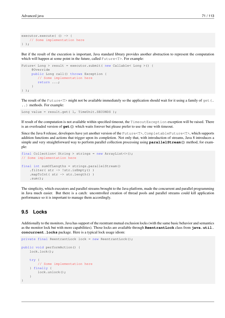```
executor.execute( () -> {
    // Some implementation here
} );
```
But if the result of the execution is important, Java standard library provides another abstraction to represent the computation which will happen at some point in the future, called Future  $\leq T$ . For example:

```
Future< Long > result = executor.submit( new Callable< Long >() {
     @Override
     public Long call() throws Exception {
        // Some implementation here
        return ...;
     }
} );
```
The result of the Future  $\leq$   $\geq$  might not be available immediately so the application should wait for it using a family of get (. ..) methods. For example:

Long value = result.get ( 1, TimeUnit.SECONDS );

If result of the computation is not available within specified timeout, the TimeoutException exception will be raised. There is an overloaded version of **get()** which waits forever but please prefer to use the one with timeout.

Since the Java 8 release, developers have yet another version of the Future<T>, CompletableFuture<T>, which supports addition functions and actions that trigger upon its completion. Not only that, with introduction of streams, Java 8 introduces a simple and very straightforward way to perform parallel collection processing using **parallelStream()** method, for example:

```
final Collection< String > strings = new ArrayList<>();
// Some implementation here
final int sumOfLengths = strings.parallelStream()
    .filter( str -> !str.isEmpty() )
    .mapToInt( str -> str.length() )
    .sum();
```
The simplicity, which executors and parallel streams brought to the Java platform, made the concurrent and parallel programming in Java much easier. But there is a catch: uncontrolled creation of thread pools and parallel streams could kill application performance so it is important to manage them accordingly.

#### **9.5 Locks**

Additionally to the monitors, Java has support of the reentrant mutual exclusion locks (with the same basic behavior and semantics as the monitor lock but with more capabilities). Those locks are available through **ReentrantLock** class from **java.util. concurrent.locks** package. Here is a typical lock usage idiom:

```
private final ReentrantLock lock = new ReentrantLock();
public void performAction() {
    lock.lock();
    try {
        // Some implementation here
    } finally {
        lock.unlock();
    }
}
```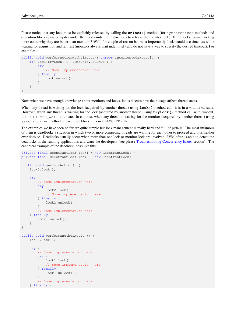Please notice that any lock must be explicitly released by calling the **unlock()** method (for synchronized methods and execution blocks Java compiler under the hood emits the instructions to release the monitor lock). If the locks require writing more code, why they are better than monitors? Well, for couple of reason but most importantly, locks could use timeouts while waiting for acquisition and fail fast (monitors always wait indefinitely and do not have a way to specify the desired timeout). For example:

```
public void performActionWithTimeout() throws InterruptedException {
    if( lock.tryLock( 1, TimeUnit.SECONDS ) ) {
        try {
            // Some implementation here
        } finally {
            lock.unlock();
        }
    }
}
```
Now, when we have enough knowledge about monitors and locks, let us discuss how their usage affects thread states.

When any thread is waiting for the lock (acquired by another thread) using **lock()** method call, it is in a WAITING state. However, when any thread is waiting for the lock (acquired by another thread) using **tryLock()** method call with timeout, it is in a TIMED\_WAITING state. In contrast, when any thread is waiting for the monitor (acquired by another thread) using synchronized method or execution block, it is in a BLOCKED state.

The examples we have seen so far are quite simple but lock management is really hard and full of pitfalls. The most infamous of them is deadlock: a situation in which two or more competing threads are waiting for each other to proceed and thus neither ever does so. Deadlocks usually occur when more than one lock or monitor lock are involved. JVM often is able to detect the deadlocks in the running applications and warn the developers (see please [Troubleshooting Concurrency Issues](#page-1-0) section). The canonical example of the deadlock looks like this:

```
private final ReentrantLock lock1 = new ReentrantLock();
private final ReentrantLock lock2 = new ReentrantLock();
public void performAction() {
    lock1.lock();
    try {
        // Some implementation here
        try {
            lock2.lock();
            // Some implementation here
        } finally {
            lock2.unlock();
        }
        // Some implementation here
    } finally {
        lock1.unlock();
    }
}
public void performAnotherAction() {
    lock2.lock();
    try {
        // Some implementation here
        try {
            lock1.lock();
            // Some implementation here
        } finally {
            lock1.unlock();
        }
        // Some implementation here
    } finally {
```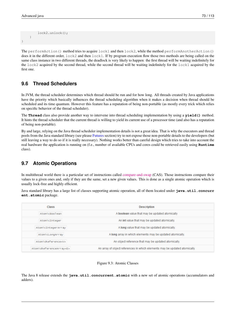```
lock2.unlock();
    }
}
```
The performAction() method tries to acquire lock1 and then lock2, while the method performAnotherAction() does it in the different order, lock2 and then lock1. If by program execution flow those two methods are being called on the same class instance in two different threads, the deadlock is very likely to happen: the first thread will be waiting indefinitely for the lock2 acquired by the second thread, while the second thread will be waiting indefinitely for the lock1 acquired by the first one.

#### **9.6 Thread Schedulers**

In JVM, the thread scheduler determines which thread should be run and for how long. All threads created by Java applications have the priority which basically influences the thread scheduling algorithm when it makes a decision when thread should be scheduled and its time quantum. However this feature has a reputation of being non-portable (as mostly every trick which relies on specific behavior of the thread scheduler).

The **Thread** class also provide another way to intervene into thread scheduling implementation by using a **yield()** method. It hints the thread scheduler that the current thread is willing to yield its current use of a processor time (and also has a reputation of being non-portable).

By and large, relying on the Java thread scheduler implementation details is not a great idea. That is why the executors and thread pools from the Java standard library (see please [Futures](#page-1-0) section) try to not expose those non-portable details to the developers (but still leaving a way to do so if it is really necessary). Nothing works better than careful design which tries to take into account the real hardware the application is running on (f.e., number of available CPUs and cores could be retrieved easily using **Runtime** class).

#### **9.7 Atomic Operations**

In multithread world there is a particular set of instructions called [compare-and-swap](http://en.wikipedia.org/wiki/Compare-and-swap) (CAS). Those instructions compare their values to a given ones and, only if they are the same, set a new given values. This is done as a single atomic operation which is usually lock-free and highly efficient.

Java standard library has a large list of classes supporting atomic operation, all of them located under **java.util.concurr ent.atomic** package.

| <b>Class</b>                 | <b>Description</b>                                                         |
|------------------------------|----------------------------------------------------------------------------|
| AtomicBoolean                | A boolean value that may be updated atomically                             |
| AtomicInteger                | An intivalue that may be updated atomically.                               |
| AtomicIntegerArray           | A long value that may be updated atomically.                               |
| AtomicLongArray              | A long array in which elements may be updated atomically.                  |
| AtomicReference <v></v>      | An object reference that may be updated atomically.                        |
| AtomicReferenceArray <e></e> | An array of object references in which elements may be updated atomically. |

Figure 9.3: Atomic Classes

The Java 8 release extends the **java.util.concurrent.atomic** with a new set of atomic operations (accumulators and adders).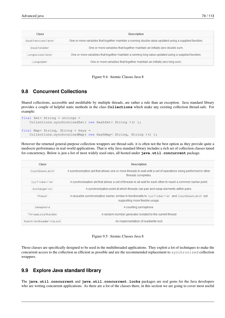| <b>Class</b>      | <b>Description</b>                                                                                     |
|-------------------|--------------------------------------------------------------------------------------------------------|
| DoubleAccumulator | One or more variables that together maintain a running double value updated using a supplied function. |
| DoubleAdder       | One or more variables that together maintain an initially zero double sum.                             |
| LongAccumulator   | One or more variables that together maintain a running long value updated using a supplied function.   |
| LongAdder         | One or more variables that together maintain an initially zero long sum.                               |

Figure 9.4: Atomic Classes Java 8

#### **9.8 Concurrent Collections**

Shared collections, accessible and modifiable by multiple threads, are rather a rule than an exception. Java standard library provides a couple of helpful static methods in the class **Collections** which make any existing collection thread-safe. For example:

```
final Set< String > strings =
   Collections.synchronizedSet( new HashSet< String >() );
final Map< String, String > keys =
   Collections.synchronizedMap( new HashMap< String, String >() );
```
However the returned general-purpose collection wrappers are thread-safe, it is often not the best option as they provide quite a mediocre performance in real-world applications. That is why Java standard library includes a rich set of collection classes tuned for concurrency. Below is just a list of most widely used ones, all hosted under **java.util.concurrent** package.

| Class                  | <b>Description</b>                                                                                                                      |
|------------------------|-----------------------------------------------------------------------------------------------------------------------------------------|
| CountDownLatch         | A synchronization aid that allows one or more threads to wait until a set of operations being performed in other<br>threads completes.  |
| CyclicBarrier          | A synchronization aid that allows a set of threads to all wait for each other to reach a common barrier point.                          |
| Exchanger <v></v>      | A synchronization point at which threads can pair and swap elements within pairs.                                                       |
| Phaser                 | A reusable synchronization barrier, similar in functionality to cyclicBarrier and countDownLatch but<br>supporting more flexible usage. |
| Semaphore              | A counting semaphore.                                                                                                                   |
| ThreadLocalRandom      | A random number generator isolated to the current thread                                                                                |
| ReentrantReadWriteLock | An implementation of read/write lock                                                                                                    |

Figure 9.5: Atomic Classes Java 8

Those classes are specifically designed to be used in the multithreaded applications. They exploit a lot of techniques to make the concurrent access to the collection as efficient as possible and are the recommended replacement to synchronized collection wrappers.

#### **9.9 Explore Java standard library**

The **java.util.concurrent** and **java.util.concurrent.locks** packages are real gems for the Java developers who are writing concurrent applications. As there are a lot of the classes there, in this section we are going to cover most useful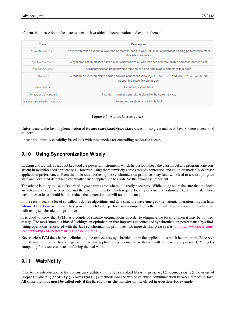of them, but please do not hesitate to consult Java official documentation and explore them all.

| <b>Class</b>           | <b>Description</b>                                                                                                                      |
|------------------------|-----------------------------------------------------------------------------------------------------------------------------------------|
| CountDownLatch         | A synchronization aid that allows one or more threads to wait until a set of operations being performed in other<br>threads completes.  |
| CyclicBarrier          | A synchronization aid that allows a set of threads to all wait for each other to reach a common barrier point.                          |
| Exchanger <v></v>      | A synchronization point at which threads can pair and swap elements within pairs.                                                       |
| Phaser                 | A reusable synchronization barrier, similar in functionality to cyclicBarrier and countDownLatch but<br>supporting more flexible usage. |
| Semaphore              | A counting semaphore.                                                                                                                   |
| ThreadLocalRandom      | A random number generator isolated to the current thread                                                                                |
| ReentrantReadWriteLock | An implementation of read/write lock                                                                                                    |

Figure 9.6: Atomic Classes Java 8

Unfortunately, the Java implementation of **ReentrantReadWriteLock** was not so great and as of Java 8, there is new kind of lock:

StampedLock: A capability-based lock with three modes for controlling read/write access.

#### **9.10 Using Synchronization Wisely**

Locking and synchronized keyword are powerful instruments which help a lot to keep the data model and program state consistent in multithreaded applications. However, using them unwisely causes threads contention and could dramatically decrease application performance. From the other side, not using the synchronization primitives may (and will) lead to a weird program state and corrupted data which eventually causes application to crash. So the balance is important.

The advice is to try to use locks or/and synchronized where it is really necessary. While doing so, make sure that the locks are released as soon as possible, and the execution blocks which require locking or synchronization are kept minimal. Those techniques at least should help to reduce the contention but will not eliminate it.

In the recent years, a lot of so called lock-free algorithms and data structure have emerged (f.e., atomic operations in Java from [Atomic Operations](#page-1-0) section). They provide much better performance comparing to the equivalent implementations which are built using synchronization primitives.

It is good to know that JVM has a couple of runtime optimizations in order to eliminate the locking when it may be not necessary. The most known is biased locking: an optimization that improves uncontended synchronization performance by eliminating operations associated with the Java synchronization primitives (for more details, please refer to [http://www.oracle.com/](http://www.oracle.com/technetwork/java/6-performance-137236.html#2.1.1) [technetwork/java/6-performance-137236.html#2.1.1\)](http://www.oracle.com/technetwork/java/6-performance-137236.html#2.1.1).

Nevertheless JVM does its best, eliminating the unnecessary synchronization in the application is much better option. Excessive use of synchronization has a negative impact on application performance as threads will be wasting expensive CPU cycles competing for resources instead of doing the real work.

#### **9.11 Wait/Notify**

Prior to the introduction of the concurrency utilities in the Java standard library (**java.util.concurrent**), the usage of **Object**'s **wait()/notify()/notifyAll()** methods was the way to establish communication between threads in Java. All those methods must be called only if the thread owns the monitor on the object in question. For example: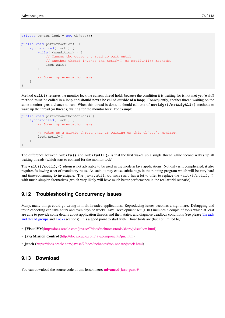```
private Object lock = new Object();
public void performAction() {
    synchronized( lock ) {
        while( <condition> ) {
            // Causes the current thread to wait until
            // another thread invokes the notify() or notifyAll() methods.
            lock.wait();
        }
        // Some implementation here
    }
}
```
Method wait () releases the monitor lock the current thread holds because the condition it is waiting for is not met yet (wait() method must be called in a loop and should never be called outside of a loop). Consequently, another thread waiting on the same monitor gets a chance to run. When this thread is done, it should call one of **notify()/notifyAll()** methods to wake up the thread (or threads) waiting for the monitor lock. For example:

```
public void performAnotherAction() {
    synchronized( lock ) {
        // Some implementation here
        // Wakes up a single thread that is waiting on this object's monitor.
        lock.notify();
    }
}
```
The difference between **notify()** and **notifyAll()** is that the first wakes up a single thread while second wakes up all waiting threads (which start to contend for the monitor lock).

The **wait ()** *(notify ()* idiom is not advisable to be used in the modern Java applications. Not only is it complicated, it also requires following a set of mandatory rules. As such, it may cause subtle bugs in the running program which will be very hard and time-consuming to investigate. The java.util.concurrent has a lot to offer to replace the wait()/notify() with much simpler alternatives (which very likely will have much better performance in the real-world scenario).

#### **9.12 Troubleshooting Concurrency Issues**

Many, many things could go wrong in multithreaded applications. Reproducing issues becomes a nightmare. Debugging and troubleshooting can take hours and even days or weeks. Java Development Kit (JDK) includes a couple of tools which at least are able to provide some details about application threads and their states, and diagnose deadlock conditions (see please [Threads](#page-1-0) [and thread groups](#page-1-0) and [Locks](#page-1-0) sections). It is a good point to start with. Those tools are (but not limited to):

- JVisualVM[\(http://docs.oracle.com/javase/7/docs/technotes/tools/share/jvisualvm.html\)](http://docs.oracle.com/javase/7/docs/technotes/tools/share/jvisualvm.html)
- Java Mission Control [\(http://docs.oracle.com/javacomponents/jmc.htm\)](http://docs.oracle.com/javacomponents/jmc.htm)
- jstack [\(https://docs.oracle.com/javase/7/docs/technotes/tools/share/jstack.html\)](https://docs.oracle.com/javase/7/docs/technotes/tools/share/jstack.html)

#### **9.13 Download**

You can download the source code of this lesson here: **[advanced-java-part-9](http://www.javacodegeeks.com/wp-content/uploads/2015/09/advanced-java-part-9.zip)**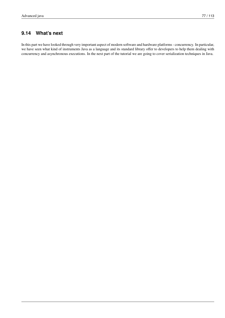#### **9.14 What's next**

In this part we have looked through very important aspect of modern software and hardware platforms - concurrency. In particular, we have seen what kind of instruments Java as a language and its standard library offer to developers to help them dealing with concurrency and asynchronous executions. In the next part of the tutorial we are going to cover serialization techniques in Java.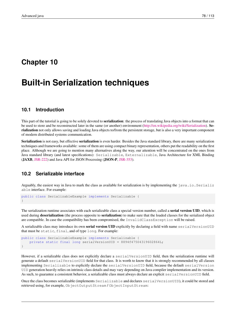### **Chapter 10**

# **Built-in Serialization techniques**

#### **10.1 Introduction**

This part of the tutorial is going to be solely devoted to serialization: the process of translating Java objects into a format that can be used to store and be reconstructed later in the same (or another) environment [\(http://en.wikipedia.org/wiki/Serialization\)](http://en.wikipedia.org/wiki/Serialization). Serialization not only allows saving and loading Java objects to/from the persistent storage, but is also a very important component of modern distributed systems communication.

Serialization is not easy, but effective serialization is even harder. Besides the Java standard library, there are many serialization techniques and frameworks available: some of them are using compact binary representation, others put the readability on the first place. Although we are going to mention many alternatives along the way, our attention will be concentrated on the ones from Java standard library (and latest specifications): Serializable, Externalizable, Java Architecture for XML Binding (JAXB, [JSR-222\)](https://jcp.org/en/jsr/detail?id=222) and Java API for JSON Processing (JSON-P, [JSR-353\)](https://jcp.org/en/jsr/detail?id=353).

#### **10.2 Serializable interface**

Arguably, the easiest way in Java to mark the class as available for serialization is by implementing the  $java.io.Serializ$ able interface. For example:

public class SerializableExample implements Serializable { }

The serialization runtime associates with each serializable class a special version number, called a **serial version UID**, which is used during **deserialization** (the process opposite to **serialization**) to make sure that the loaded classes for the serialized object are compatible. In case the compatibility has been compromised, the InvalidClassException will be raised.

A serializable class may introduce its own **serial version UID** explicitly by declaring a field with name serialVersionUID that must be static, final, and of type long. For example:

```
public class SerializableExample implements Serializable {
   private static final long serialVersionUID = 8894f47504319602864L;
}
```
However, if a serializable class does not explicitly declare a serialVersionUID field, then the serialization runtime will generate a default serialVersionUID field for that class. It is worth to know that it is strongly recommended by all classes implementing Serializable to explicitly declare the serialVersionUID field, because the default serialVersion UID generation heavily relies on intrinsic class details and may vary depending on Java compiler implementation and its version. As such, to guarantee a consistent behavior, a serializable class must always declare an explicit serialVersionUID field.

Once the class becomes serializable (implements Serializable and declares serialVersionUID), it could be stored and retrieved using, for example, ObjectOutputStream / ObjectInputStream: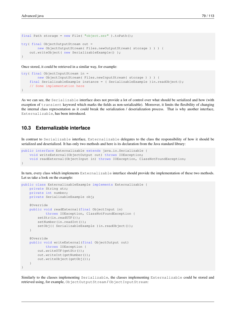```
final Path storage = new File( "object.ser" ).toPath();
try( final ObjectOutputStream out =
        new ObjectOutputStream( Files.newOutputStream( storage ) ) ) {
   out.writeObject( new SerializableExample() );
}
```
Once stored, it could be retrieved in a similar way, for example:

```
try( final ObjectInputStream in =
       new ObjectInputStream( Files.newInputStream( storage ) ) ) {
    final SerializableExample instance = ( SerializableExample ) in.readObject();
   // Some implementation here
}
```
As we can see, the Serializable interface does not provide a lot of control over what should be serialized and how (with exception of transient keyword which marks the fields as non-serializable). Moreover, it limits the flexibility of changing the internal class representation as it could break the serialization / deserialization process. That is why another interface, Externalizable, has been introduced.

#### **10.3 Externalizable interface**

In contrast to Serializable interface, Externalizable delegates to the class the responsibility of how it should be serialized and deserialized. It has only two methods and here is its declaration from the Java standard library:

```
public interface Externalizable extends java.io.Serializable {
    void writeExternal(ObjectOutput out) throws IOException;
    void readExternal(ObjectInput in) throws IOException, ClassNotFoundException;
}
```
In turn, every class which implements Externalizable interface should provide the implementation of these two methods. Let us take a look on the example:

```
public class ExternalizableExample implements Externalizable {
    private String str;
    private int number;
    private SerializableExample obj;
    @Override
    public void readExternal(final ObjectInput in)
            throws IOException, ClassNotFoundException {
        setStr(in.readUTF());
        setNumber(in.readInt());
        setObj(( SerializableExample ) in.readObject());
    }
    @Override
    public void writeExternal(final ObjectOutput out)
           throws IOException {
        out.writeUTF(getStr());
        out.writeInt(getNumber());
        out.writeObject(getObj());
    }
}
```
Similarly to the classes implementing Serializable, the classes implementing Externalizable could be stored and retrieved using, for example, ObjectOutputStream / ObjectInputStream: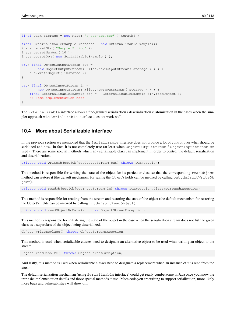```
final Path storage = new File( "extobject.ser" ).toPath();
final ExternalizableExample instance = new ExternalizableExample();
instance.setStr( "Sample String" );
instance.setNumber( 10 );
instance.setObj( new SerializableExample() );
try( final ObjectOutputStream out =
       new ObjectOutputStream( Files.newOutputStream( storage ) ) ) {
   out.writeObject( instance );
}
try( final ObjectInputStream in =
       new ObjectInputStream( Files.newInputStream( storage ) ) ) {
   final ExternalizableExample obj = ( ExternalizableExample )in.readObject();
   // Some implementation here
}
```
The Externalizable interface allows a fine-grained serialization / deserialization customization in the cases when the simpler approach with Serializable interface does not work well.

#### **10.4 More about Serializable interface**

In the previous section we mentioned that the Serializable interface does not provide a lot of control over what should be serialized and how. In fact, it is not completely true (at least when ObjectOutputStream / ObjectInputStream are used). There are some special methods which any serializable class can implement in order to control the default serialization and deserialization.

private void writeObject(ObjectOutputStream out) throws IOException;

This method is responsible for writing the state of the object for its particular class so that the corresponding readObject method can restore it (the default mechanism for saving the Object's fields can be invoked by calling out.defaultWriteOb ject).

private void readObject(ObjectInputStream in) throws IOException,ClassNotFoundException;

This method is responsible for reading from the stream and restoring the state of the object (the default mechanism for restoring the Object's fields can be invoked by calling in.defaultReadObject).

private void readObjectNoData() throws ObjectStreamException;

This method is responsible for initializing the state of the object in the case when the serialization stream does not list the given class as a superclass of the object being deserialized.

Object writeReplace() throws ObjectStreamException;

This method is used when serializable classes need to designate an alternative object to be used when writing an object to the stream.

Object readResolve() throws ObjectStreamException;

And lastly, this method is used when serializable classes need to designate a replacement when an instance of it is read from the stream.

The default serialization mechanism (using Serializable interface) could get really cumbersome in Java once you know the intrinsic implementation details and those special methods to use. More code you are writing to support serialization, more likely more bugs and vulnerabilities will show off.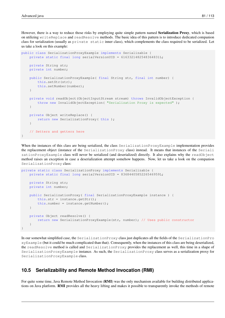However, there is a way to reduce those risks by employing quite simple pattern named Serialization Proxy, which is based on utilizing writeReplace and readResolve methods. The basic idea of this pattern is to introduce dedicated companion class for serialization (usually as private static inner class), which complements the class required to be serialized. Let us take a look on this example:

```
public class SerializationProxyExample implements Serializable {
    private static final long serialVersionUID = 6163321482548364831L;
    private String str;
    private int number;
    public SerializationProxyExample( final String str, final int number) {
        this.setStr(str);
        this.setNumber(number);
    }
    private void readObject(ObjectInputStream stream) throws InvalidObjectException {
        throw new InvalidObjectException( "Serialization Proxy is expected" );
    }
    private Object writeReplace() {
       return new SerializationProxy( this );
    }
    // Setters and getters here
}
```
When the instances of this class are being serialized, the class SerializationProxyExample implementation provides the replacement object (instance of the SerializationProxy class) instead. It means that instances of the Seriali zationProxyExample class will never be serialized (and deserialized) directly. It also explains why the readObject method raises an exception in case a deserialization attempt somehow happens. Now, let us take a look on the companion SerializationProxy class:

```
private static class SerializationProxy implements Serializable {
   private static final long serialVersionUID = 8368440585226546959L;
   private String str;
   private int number;
   public SerializationProxy( final SerializationProxyExample instance ) {
        this.str = instance.getStr();
        this.number = instance.getNumber();
    }
   private Object readResolve() {
        return new SerializationProxyExample(str, number); // Uses public constructor
    }
}
```
In our somewhat simplified case, the SerializationProxy class just duplicates all the fields of the SerializationPro xyExample (but it could be much complicated than that). Consequently, when the instances of this class are being deserialized, the readResolve method is called and SerializationProxy provides the replacement as well, this time in a shape of SerializationProxyExample instance. As such, the SerializationProxy class serves as a serialization proxy for SerializationProxyExample class.

#### **10.5 Serializability and Remote Method Invocation (RMI)**

For quite some time, Java Remote Method Invocation (RMI) was the only mechanism available for building distributed applications on Java platform. RMI provides all the heavy lifting and makes it possible to transparently invoke the methods of remote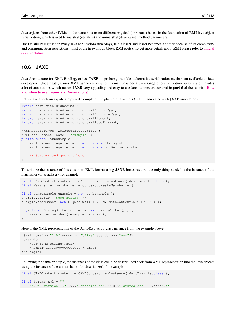Java objects from other JVMs on the same host or on different physical (or virtual) hosts. In the foundation of RMI lays object serialization, which is used to marshal (serialize) and unmarshal (deserialize) method parameters.

RMI is still being used in many Java applications nowadays, but it lesser and lesser becomes a choice because of its complexity and communication restrictions (most of the firewalls do block RMI ports). To get more details about RMI please refer to [official](http://www.oracle.com/technetwork/java/javase/tech/index-jsp-136424.html) [documentation.](http://www.oracle.com/technetwork/java/javase/tech/index-jsp-136424.html)

#### **10.6 JAXB**

Java Architecture for XML Binding, or just JAXB, is probably the oldest alternative serialization mechanism available to Java developers. Underneath, it uses XML as the serialization format, provides a wide range of customization options and includes a lot of annotations which makes JAXB very appealing and easy to use (annotations are covered in part 5 of the tutorial, [How](http://www.javacodegeeks.com/2015/09/how-and-when-to-use-enums-and-annotations/) [and when to use Enums and Annotations](http://www.javacodegeeks.com/2015/09/how-and-when-to-use-enums-and-annotations/)).

Let us take a look on a quite simplified example of the plain old Java class (POJO) annotated with **JAXB** annotations:

```
import java.math.BigDecimal;
import javax.xml.bind.annotation.XmlAccessType;
import javax.xml.bind.annotation.XmlAccessorType;
import javax.xml.bind.annotation.XmlElement;
import javax.xml.bind.annotation.XmlRootElement;
@XmlAccessorType( XmlAccessType.FIELD )
@XmlRootElement( name = "example" )
public class JaxbExample {
    @XmlElement(required = true) private String str;
    @XmlElement(required = true) private BigDecimal number;
    // Setters and getters here
}
```
To serialize the instance of this class into XML format using JAXB infrastructure, the only thing needed is the instance of the marshaller (or serializer), for example:

```
final JAXBContext context = JAXBContext.newInstance( JaxbExample.class );
final Marshaller marshaller = context.createMarshaller();
final JaxbExample example = new JaxbExample();
example.setStr( "Some string" );
example.setNumber( new BigDecimal( 12.33d, MathContext.DECIMAL64 ) );
try( final StringWriter writer = new StringWriter() ) {
   marshaller.marshal( example, writer );
}
```
Here is the XML representation of the JaxbExample class instance from the example above:

```
<?xml version="1.0" encoding="UTF-8" standalone="yes"?>
<example>
    <str>Some string</str>
    <number>12.33000000000000</number>
</example>
```
Following the same principle, the instances of the class could be deserialized back from XML representation into the Java objects using the instance of the unmarshaller (or deserializer), for example:

```
final JAXBContext context = JAXBContext.newInstance( JaxbExample.class );
final String xml = " " +"<?xml version=\\"1.0\\" encoding=\\"UTF-8\\" standalone=\\"yes\\"?>" +
```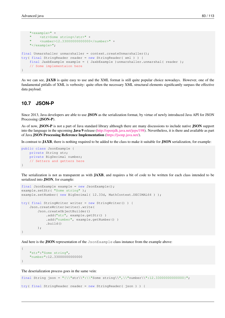```
"<example>" +
    " <str>Some string</str>" +
    " <number>12.33000000000000</number>" +
    "</example>";
final Unmarshaller unmarshaller = context.createUnmarshaller();
try( final StringReader reader = new StringReader( xml ) ) {
    final JaxbExample example = ( JaxbExample )unmarshaller.unmarshal( reader );
    // Some implementaion here
}
```
As we can see, JAXB is quite easy to use and the XML format is still quite popular choice nowadays. However, one of the fundamental pitfalls of XML is verbosity: quite often the necessary XML structural elements significantly surpass the effective data payload.

#### **10.7 JSON-P**

Since 2013, Java developers are able to use JSON as the serialization format, by virtue of newly introduced Java API for JSON Processing (JSON-P).

As of now, JSON-P is not a part of Java standard library although there are many discussions to include native JSON support into the language in the upcoming Java 9 release [\(http://openjdk.java.net/jeps/198\)](http://openjdk.java.net/jeps/198). Nevertheless, it is there and available as part of Java JSON Processing Reference Implementation [\(https://jsonp.java.net/\)](https://jsonp.java.net/).

In contrast to JAXB, there is nothing required to be added to the class to make it suitable for JSON serialization, for example:

```
public class JsonExample {
   private String str;
    private BigDecimal number;
    // Setters and getters here
}
```
The serialization is not as transparent as with JAXB, and requires a bit of code to be written for each class intended to be serialized into JSON, for example:

```
final JsonExample example = new JsonExample();
example.setStr( "Some string" );
example.setNumber( new BigDecimal( 12.33d, MathContext.DECIMAL64 ) );
try( final StringWriter writer = new StringWriter() ) {
   Json.createWriter(writer).write(
        Json.createObjectBuilder()
            .add("str", example.getStr() )
            .add("number", example.getNumber() )
            .build());
}
```
And here is the JSON representation of the JsonExample class instance from the example above:

```
{
    "str":"Some string",
    "number":12.33000000000000
}
```
The deserialization process goes in the same vein:

```
final String json = "\{\\\"str\'\'':\\\"Some string\\",\\\"number\\``:12.3300000000000\}"try( final StringReader reader = new StringReader( json ) ) {
```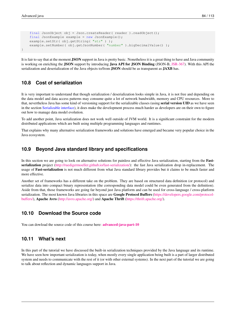```
final JsonObject obj = Json.createReader( reader ).readObject();
   final JsonExample example = new JsonExample();
   example.setStr( obj.getString( "str" ) );
   example.setNumber( obj.getJsonNumber( "number" ).bigDecimalValue() );
}
```
It is fair to say that at the moment JSON support in Java is pretty basic. Nonetheless it is a great thing to have and Java community is working on enriching the JSON support by introducing Java API for JSON Binding (JSON-B, [JSR-367\)](https://jcp.org/en/jsr/detail?id=367). With this API the serialization and deserialization of the Java objects to/from **JSON** should be as transparent as **JAXB** has.

#### **10.8 Cost of serialization**

It is very important to understand that though serialization / deserialization looks simple in Java, it is not free and depending on the data model and data access patterns may consume quite a lot of network bandwidth, memory and CPU resources. More to that, nevertheless Java has some kind of versioning support for the serializable classes (using **serial version UID** as we have seen in the section [Serializable interface\)](#page-1-0), it does make the development process much harder as developers are on their own to figure out how to manage data model evolution.

To add another point, Java serialization does not work well outside of JVM world. It is a significant constraint for the modern distributed applications which are built using multiple programming languages and runtimes.

That explains why many alternative serialization frameworks and solutions have emerged and became very popular choice in the Java ecosystem.

#### **10.9 Beyond Java standard library and specifications**

In this section we are going to look on alternative solutions for painless and effective Java serialization, starting from the **Fast**serialization project [\(http://ruedigermoeller.github.io/fast-serialization/\)](http://ruedigermoeller.github.io/fast-serialization/): the fast Java serialization drop in-replacement. The usage of Fast-serialization is not much different from what Java standard library provides but it claims to be much faster and more effective.

Another set of frameworks has a different take on the problem. They are based on structured data definition (or protocol) and serialize data into compact binary representation (the corresponding data model could be even generated from the definition). Aside from that, those frameworks are going far beyond just Java platform and can be used for cross-language / cross-platform serialization. The most known Java libraries in this space are **Google Protocol Buffers** [\(https://developers.google.com/protocol](https://developers.google.com/protocol-buffers/)[buffers/\)](https://developers.google.com/protocol-buffers/), Apache Avro [\(http://avro.apache.org/\)](http://avro.apache.org/) and Apache Thrift [\(https://thrift.apache.org/\)](https://thrift.apache.org/).

#### **10.10 Download the Source code**

You can dowload the source code of this course here: [advanced-java-part-10](http://www.javacodegeeks.com/wp-content/uploads/2015/09/advanced-java-part-10.zip)

#### **10.11 What's next**

In this part of the tutorial we have discussed the built-in serialization techniques provided by the Java language and its runtime. We have seen how important serialization is today, when mostly every single application being built is a part of larger distributed system and needs to communicate with the rest of it (or with other external systems). In the next part of the tutorial we are going to talk about reflection and dynamic languages support in Java.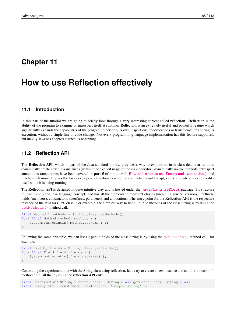### **Chapter 11**

# **How to use Reflection effectively**

#### **11.1 Introduction**

In this part of the tutorial we are going to briefly look through a very interesting subject called reflection. Reflection is the ability of the program to examine or introspect itself at runtime. Reflection is an extremely useful and powerful feature which significantly expands the capabilities of the program to perform its own inspections, modifications or transformations during its execution, without a single line of code change. Not every programming language implementation has this feature supported, but luckily Java has adopted it since its beginning.

#### **11.2 Reflection API**

The Reflection API, which is part of the Java standard library, provides a way to explore intrinsic class details at runtime, dynamically create new class instances (without the explicit usage of the new operator), dynamically invoke methods, introspect annotations (annotations have been covered in part 5 of the tutorial, [How and when to use Enums and Annotations](http://www.javacodegeeks.com/2015/09/how-and-when-to-use-enums-and-annotations/)), and much, much more. It gives the Java developers a freedom to write the code which could adapt, verify, execute and even modify itself while it is being running.

The Reflection API is designed in quite intuitive way and is hosted under the **[java.lang.reflect](http://docs.oracle.com/javase/7/docs/api/java/lang/reflect/package-summary.html)** package. Its structure follows closely the Java language concepts and has all the elements to represent classes (including generic versions), methods, fields (members), constructors, interfaces, parameters and annotations. The entry point for the Reflection API is the respective instance of the **Class< ?>** class. For example, the simplest way to list all public methods of the class String is by using the [getMethods\(\)](http://docs.oracle.com/javase/7/docs/api/java/lang/Class.html#getMethods%28%29) method call:

```
final Method[] methods = String.class.getMethods();
for( final Method method: methods ) {
    System.out.println( method.getName() );
}
```
Following the same principle, we can list all public fields of the class String is by using the [getFields\(\)](http://docs.oracle.com/javase/7/docs/api/java/lang/Class.html#getFields%28%29) method call, for example:

```
final Field[] fields = String.class.getFields();
for( final Field field: fields ) {
    System.out.println( field.getName() );
}
```
Continuing the experimentation with the String class using reflection, let us try to create a new instance and call the length() method on it, all that by using the reflection API only.

```
final Constructor< String > constructor = String.class.getConstructor( String.class );
final String str = constructor.newInstance( "sample string" );
```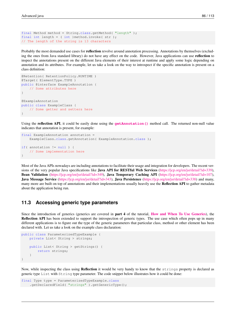```
final Method method = String.class.getMethod( "length" );
final int length = (int)method.invoke(str);
// The length of the string is 13 characters
```
Probably the most demanded use cases for reflection revolve around annotation processing. Annotations by themselves (excluding the ones from Java standard library) do not have any effect on the code. However, Java applications can use reflection to inspect the annotations present on the different Java elements of their interest at runtime and apply some logic depending on annotation and its attributes. For example, let us take a look on the way to introspect if the specific annotation is present on a class definition:

```
@Retention( RetentionPolicy.RUNTIME )
@Target( ElementType.TYPE )
public @interface ExampleAnnotation {
    // Some attributes here
}
@ExampleAnnotation
public class ExampleClass {
    // Some getter and setters here
}
```
Using the reflection API, it could be easily done using the **[getAnnotation\(\)](http://docs.oracle.com/javase/7/docs/api/java/lang/Class.html#getAnnotation%28java.lang.Class%29)** method call. The returned non-null value indicates that annotation is present, for example:

```
final ExampleAnnotation annotation =
   ExampleClass.class.getAnnotation( ExampleAnnotation.class );
if( annotation != null ) {
    // Some implementation here
}
```
Most of the Java APIs nowadays are including annotations to facilitate their usage and integration for developers. The recent versions of the very popular Java specifications like Java API for RESTful Web Services [\(https://jcp.org/en/jsr/detail?id=339\)](https://jcp.org/en/jsr/detail?id=339), Bean Validation [\(https://jcp.org/en/jsr/detail?id=349\)](https://jcp.org/en/jsr/detail?id=349), Java Temporary Caching API [\(https://jcp.org/en/jsr/detail?id=107\)](https://jcp.org/en/jsr/detail?id=107), Java Message Service [\(https://jcp.org/en/jsr/detail?id=343\)](https://jcp.org/en/jsr/detail?id=343), Java Persistence [\(https://jcp.org/en/jsr/detail?id=338\)](https://jcp.org/en/jsr/detail?id=338) and many, many more are built on top of annotations and their implementations usually heavily use the Reflection API to gather metadata about the application being run.

#### **11.3 Accessing generic type parameters**

Since the introduction of generics (generics are covered in part 4 of the tutorial, [How and When To Use Generics](http://www.javacodegeeks.com/2015/09/how-and-when-to-use-generics/)), the Reflection API has been extended to support the introspection of generic types. The use case which often pops up in many different applications is to figure out the type of the generic parameters that particular class, method or other element has been declared with. Let us take a look on the example class declaration:

```
public class ParameterizedTypeExample {
    private List< String > strings;
    public List< String > getStrings() {
        return strings;
    }
}
```
Now, while inspecting the class using Reflection it would be very handy to know that the strings property is declared as generic type List with String type parameter. The code snippet below illustrates how it could be done:

```
final Type type = ParameterizedTypeExample.class
    .getDeclaredField( "strings" ).getGenericType();
```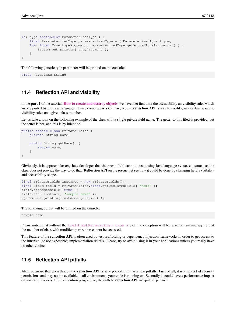```
if( type instanceof ParameterizedType ) {
    final ParameterizedType parameterizedType = ( ParameterizedType )type;
    for( final Type typeArgument: parameterizedType.getActualTypeArguments() ) {
        System.out.println( typeArgument );
    }
}
```
The following generic type parameter will be printed on the console:

class java.lang.String

#### **11.4 Reflection API and visibility**

In the **part 1** of the tutorial, **[How to create and destroy objects](http://www.javacodegeeks.com/2015/09/how-to-create-and-destroy-objects/)**, we have met first time the accessibility an visibility rules which are supported by the Java language. It may come up as a surprise, but the **reflection API** is able to modify, in a certain way, the visibility rules on a given class member.

Let us take a look on the following example of the class with a single private field name. The getter to this filed is provided, but the setter is not, and this is by intention.

```
public static class PrivateFields {
   private String name;
    public String getName() {
        return name;
    }
}
```
Obviously, it is apparent for any Java developer that the name field cannot be set using Java language syntax constructs as the class does not provide the way to do that. Reflection API on the rescue, let see how it could be done by changing field's visibility and accessibility scope.

```
final PrivateFields instance = new PrivateFields();
final Field field = PrivateFields.class.getDeclaredField( "name" );
field.setAccessible( true );
field.set( instance, "sample name" );
System.out.println( instance.getName() );
```
The following output will be printed on the console:

sample name

Please notice that without the [field.setAccessible\( true \)](http://docs.oracle.com/javase/7/docs/api/java/lang/reflect/AccessibleObject.html#setAccessible%28boolean%29) call, the exception will be raised at runtime saying that the member of class with modifiers private cannot be accessed.

This feature of the reflection API is often used by test scaffolding or dependency injection frameworks in order to get access to the intrinsic (or not exposable) implementation details. Please, try to avoid using it in your applications unless you really have no other choice.

#### **11.5 Reflection API pitfalls**

Also, be aware that even though the **reflection API** is very powerful, it has a few pitfalls. First of all, it is a subject of security permissions and may not be available in all environments your code is running on. Secondly, it could have a performance impact on your applications. From execution prospective, the calls to reflection API are quite expensive.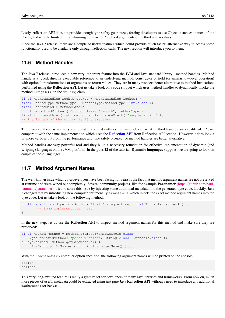Lastly, reflection API does not provide enough type safety guarantees, forcing developers to use Object instances in most of the places, and is quite limited in transforming constructor / method arguments or method return values.

Since the Java 7 release, there are a couple of useful features which could provide much faster, alternative way to access some functionality used to be available only through reflection calls. The next section will introduce you to them.

#### **11.6 Method Handles**

The Java 7 release introduced a new very important feature into the JVM and Java standard library - method handles. Method handle is a typed, directly executable reference to an underlying method, constructor or field (or similar low-level operation) with optional transformations of arguments or return values. They are in many respects better alternative to method invocations performed using the Reflection API. Let us take a look on a code snippet which uses method handles to dynamically invoke the method length() on the String class.

```
final MethodHandles.Lookup lookup = MethodHandles.lookup();
final MethodType methodType = MethodType.methodType( int.class );
final MethodHandle methodHandle =
   lookup.findVirtual( String.class, "length", methodType );
final int length = ( int )methodHandle.invokeExact( "sample string" );
// The length of the string is 13 characters
```
The example above is not very complicated and just outlines the basic idea of what method handles are capable of. Please compare it with the same implementation which uses the [Reflection API](#page-1-0) from Reflection API section. However it does look a bit more verbose but from the performance and type safety prospective method handles are better alternative.

Method handles are very powerful tool and they build a necessary foundation for effective implementation of dynamic (and scripting) languages on the JVM platform. In the **part 12** of the tutorial, **Dynamic languages support**, we are going to look on couple of those languages.

#### **11.7 Method Argument Names**

The well-known issue which Java developers have been facing for years is the fact that method argument names are not preserved at runtime and were wiped out completely. Several community projects, like for example Paranamer [\(https://github.com/paul](https://github.com/paul-hammant/paranamer)[hammant/paranamer\)](https://github.com/paul-hammant/paranamer), tried to solve this issue by injecting some additional metadata into the generated byte code. Luckily, Java 8 changed that by introducing new compiler argument -parameters which injects the exact method argument names into the byte code. Let us take a look on the following method:

```
public static void performAction( final String action, final Runnable callback ) {
        // Some implementation here
}
```
In the next step, let us use the **Reflection API** to inspect method argument names for this method and make sure they are preserved:

```
final Method method = MethodParameterNamesExample.class
    .getDeclaredMethod( "performAction", String.class, Runnable.class );
Arrays.stream( method.getParameters() )
    .forEach( p -> System.out.println( p.getName() ) );
```
With the  $-pa$  rameters compiler option specified, the following argument names will be printed on the console:

action callback

This very long-awaited feature is really a great relief for developers of many Java libraries and frameworks. From now on, much more pieces of useful metadata could be extracted using just pure Java Reflection API without a need to introduce any additional workarounds (or hacks).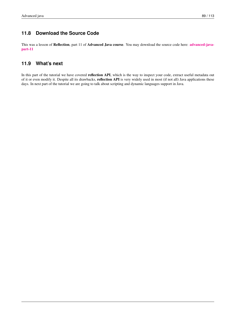#### **11.8 Download the Source Code**

This was a lesson of Reflection, part 11 of Advanced Java course. You may download the source code here: [advanced-java](http://www.javacodegeeks.com/wp-content/uploads/2015/09/advanced-java-part-11.zip)[part-11](http://www.javacodegeeks.com/wp-content/uploads/2015/09/advanced-java-part-11.zip)

#### **11.9 What's next**

In this part of the tutorial we have covered reflection API, which is the way to inspect your code, extract useful metadata out of it or even modify it. Despite all its drawbacks, reflection API is very widely used in most (if not all) Java applications these days. In next part of the tutorial we are going to talk about scripting and dynamic languages support in Java.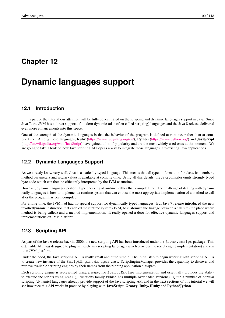## **Chapter 12**

# **Dynamic languages support**

#### **12.1 Introduction**

In this part of the tutorial our attention will be fully concentrated on the scripting and dynamic languages support in Java. Since Java 7, the JVM has a direct support of modern dynamic (also often called scripting) languages and the Java 8 release delivered even more enhancements into this space.

One of the strength of the dynamic languages is that the behavior of the program is defined at runtime, rather than at compile time. Among those languages, Ruby [\(https://www.ruby-lang.org/en/\)](https://www.ruby-lang.org/en/), Python [\(https://www.python.org/\)](https://www.python.org/) and JavaScript [\(http://en.wikipedia.org/wiki/JavaScript\)](http://en.wikipedia.org/wiki/JavaScript) have gained a lot of popularity and are the most widely used ones at the moment. We are going to take a look on how Java scripting API opens a way to integrate those languages into existing Java applications.

#### **12.2 Dynamic Languages Support**

As we already know very well, Java is a statically typed language. This means that all typed information for class, its members, method parameters and return values is available at compile time. Using all this details, the Java compiler emits strongly typed byte code which can then be efficiently interpreted by the JVM at runtime.

However, dynamic languages perform type checking at runtime, rather than compile time. The challenge of dealing with dynamically languages is how to implement a runtime system that can choose the most appropriate implementation of a method to call after the program has been compiled.

For a long time, the JVM had had no special support for dynamically typed languages. But Java 7 release introduced the new invokedynamic instruction that enabled the runtime system (JVM) to customize the linkage between a call site (the place where method is being called) and a method implementation. It really opened a door for effective dynamic languages support and implementations on JVM platform.

#### **12.3 Scripting API**

As part of the Java 6 release back in 2006, the new scripting API has been introduced under the javax.script package. This extensible API was designed to plug in mostly any scripting language (which provides the script engine implementation) and run it on JVM platform.

Under the hood, the Java scripting API is really small and quite simple. The initial step to begin working with scripting API is to create new instance of the ScriptEngineManager class. ScriptEngineManager provides the capability to discover and retrieve available scripting engines by their names from the running application classpath.

Each scripting engine is represented using a respective ScriptEngine implementation and essentially provides the ability to execute the scripts using eval() functions family (which has multiple overloaded versions). Quite a number of popular scripting (dynamic) languages already provide support of the Java scripting API and in the next sections of this tutorial we will see how nice this API works in practice by playing with **JavaScript**, Groovy, Ruby/JRuby and Python/Jython.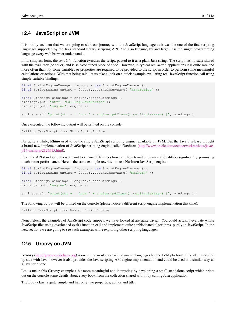#### **12.4 JavaScript on JVM**

It is not by accident that we are going to start our journey with the JavaScript language as it was the one of the first scripting languages supported by the Java standard library scripting API. And also because, by and large, it is the single programming language every web browser understands.

In its simplest form, the eval() function executes the script, passed to it as a plain Java string. The script has no state shared with the evaluator (or caller) and is self-contained piece of code. However, in typical real-world applications it is quite rare and more often than not some variables or properties are required to be provided to the script in order to perform some meaningful calculations or actions. With that being said, let us take a look on a quick example evaluating real JavaScript function call using simple variable bindings:

```
final ScriptEngineManager factory = new ScriptEngineManager();
final ScriptEngine engine = factory.getEngineByName( "JavaScript" );
final Bindings bindings = engine.createBindings();
bindings.put( "str", "Calling JavaScript" );
bindings.put( "engine", engine );
engine.eval( "print(str + ' from ' + engine.getClass().getSimpleName() )", bindings );
```
Once executed, the following output will be printed on the console:

Calling JavaScript from RhinoScriptEngine

For quite a while, Rhino used to be the single JavaScript scripting engine, available on JVM. But the Java 8 release brought a brand-new implementation of JavaScript scripting engine called Nashorn [\(http://www.oracle.com/technetwork/articles/java/](http://www.oracle.com/technetwork/articles/java/jf14-nashorn-2126515.html) [jf14-nashorn-2126515.html\)](http://www.oracle.com/technetwork/articles/java/jf14-nashorn-2126515.html).

From the API standpoint, there are not too many differences however the internal implementation differs significantly, promising much better performance. Here is the same example rewritten to use Nashorn JavaScript engine:

```
final ScriptEngineManager factory = new ScriptEngineManager();
final ScriptEngine engine = factory.getEngineByName( "Nashorn" );
final Bindings bindings = engine.createBindings();
bindings.put( "engine", engine );
engine.eval( "print(str + ' from ' + engine.getClass().getSimpleName() )", bindings );
```
The following output will be printed on the console (please notice a different script engine implementation this time):

Calling JavaScript from NashornScriptEngine

Nonetheless, the examples of JavaScript code snippets we have looked at are quite trivial. You could actually evaluate whole JavaScript files using overloaded eval() function call and implement quite sophisticated algorithms, purely in JavaScript. In the next sections we are going to see such examples while exploring other scripting languages.

#### **12.5 Groovy on JVM**

Groovy [\(http://groovy.codehaus.org\)](http://groovy.codehaus.org) is one of the most successful dynamic languages for the JVM platform. It is often used side by side with Java, however it also provides the Java scripting API engine implementation and could be used in a similar way as a JavaScript one.

Let us make this Groovy example a bit more meaningful and interesting by developing a small standalone script which prints out on the console some details about every book from the collection shared with it by calling Java application.

The Book class is quite simple and has only two properties, author and title: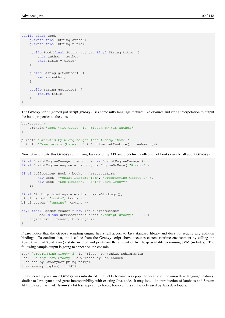```
public class Book {
    private final String author;
    private final String title;
    public Book(final String author, final String title) {
       this.author = author;
        this.title = title;
    }
    public String getAuthor() {
       return author;
    }
    public String getTitle() {
       return title;
    }
}
```
The Groovy script (named just script.groovy) uses some nifty language features like closures and string interpolation to output the book properties to the console:

```
books.each {
   println "Book '$it.title' is written by $it.author"
}
println "Executed by ${engine.getClass().simpleName}"
println "Free memory (bytes): " + Runtime.getRuntime().freeMemory()
```
Now let us execute this Groovy script using Java scripting API and predefined collection of books (surely, all about Groovy):

```
final ScriptEngineManager factory = new ScriptEngineManager();
final ScriptEngine engine = factory.getEngineByName( "Groovy" );
final Collection< Book > books = Arrays.asList(
       new Book( "Venkat Subramaniam", "Programming Groovy 2" ),
        new Book( "Ken Kousen", "Making Java Groovy" )
   );
final Bindings bindings = engine.createBindings();
bindings.put( "books", books );
bindings.put( "engine", engine );
try( final Reader reader = new InputStreamReader(
       Book.class.getResourceAsStream("/script.groovy" ) ) ) {
    engine.eval( reader, bindings );
}
```
Please notice that the Groovy scripting engine has a full access to Java standard library and does not require any addition bindings. To confirm that, the last line from the Groovy script above accesses current runtime environment by calling the Runtime.getRuntime() static method and prints out the amount of free heap available to running JVM (in bytes). The following sample output is going to appear on the console:

```
Book 'Programming Groovy 2' is written by Venkat Subramaniam
Book 'Making Java Groovy' is written by Ken Kousen
Executed by GroovyScriptEngineImpl
Free memory (bytes): 153427528
```
It has been 10 years since Groovy was introduced. It quickly became very popular because of the innovative language features, similar to Java syntax and great interoperability with existing Java code. It may look like introduction of lambdas and Stream API in Java 8 has made Groovy a bit less appealing choice, however it is still widely used by Java developers.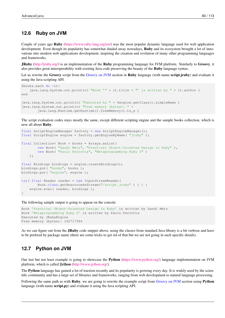#### **12.6 Ruby on JVM**

Couple of years ago Ruby [\(https://www.ruby-lang.org/en/\)](https://www.ruby-lang.org/en/) was the most popular dynamic language used for web application development. Even though its popularity has somewhat shaded away nowadays, **Ruby** and its ecosystem brought a lot of innovations into modern web applications development, inspiring the creation and evolution of many other programming languages and frameworks.

JRuby [\(http://jruby.org/\)](http://jruby.org/) is an implementation of the Ruby programming language for JVM platform. Similarly to Groovy, it also provides great interoperability with existing Java code preserving the beauty of the Ruby language syntax.

Let us rewrite the Groovy script from the [Groovy on JVM](#page-1-0) section in Ruby language (with name script.jruby) and evaluate it using the Java scripting API.

```
$books.each do |it|
    java.lang.System.out.println( "Book '" + it.title + "' is written by " + it.author )
end
java.lang.System.out.println( "Executed by " + $engine.getClass().simpleName )
java.lang.System.out.println( "Free memory (bytes): " +
        java.lang.Runtime.getRuntime().freeMemory().to_s )
```
The script evaluation codes stays mostly the same, except different scripting engine and the sample books collection, which is now all about Ruby.

```
final ScriptEngineManager factory = new ScriptEngineManager();
final ScriptEngine engine = factory.getEngineByName( "jruby" );
final Collection< Book > books = Arrays.asList(
       new Book( "Sandi Metz", "Practical Object-Oriented Design in Ruby" ),
        new Book( "Paolo Perrotta", "Metaprogramming Ruby 2" )
   );
final Bindings bindings = engine.createBindings();
bindings.put( "books", books );
bindings.put( "engine", engine );
try( final Reader reader = new InputStreamReader(
        Book.class.getResourceAsStream("/script.jruby" ) ) ) {
    engine.eval( reader, bindings );
}
```
The following sample output is going to appear on the console:

```
Book 'Practical Object-Oriented Design in Ruby' is written by Sandi Metz
Book 'Metaprogramming Ruby 2' is written by Paolo Perrotta
Executed by JRubyEngine
Free memory (bytes): 142717584
```
As we can figure out from the **JRuby** code snippet above, using the classes from standard Java library is a bit verbose and have to be prefixed by package name (there are some tricks to get rid of that but we are not going in such specific details).

#### **12.7 Python on JVM**

Our last but not least example is going to showcase the Python [\(https://www.python.org/\)](https://www.python.org/) language implementation on JVM platform, which is called Jython [\(http://www.jython.org/\)](http://www.jython.org/).

The Python language has gained a lot of traction recently and its popularity is growing every day. It is widely used by the scientific community and has a large set of libraries and frameworks, ranging from web development to natural language processing.

Following the same path as with **Ruby**, we are going to rewrite the example script from [Groovy on JVM](#page-1-0) section using **Python** language (with name script.py) and evaluate it using the Java scripting API.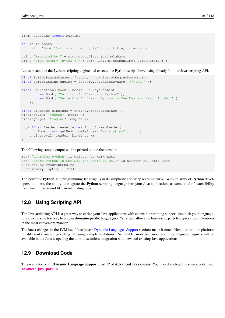```
from java.lang import Runtime
for it in books:
   print "Book '%s' is written by %s" % (it.title, it.author)
print "Executed by " + engine.getClass().simpleName
print "Free memory (bytes): " + str( Runtime.getRuntime().freeMemory() )
```
Let us instantiate the **Jython** scripting engine and execute the **Python** script above using already familiar Java scripting API.

```
final ScriptEngineManager factory = new ScriptEngineManager();
final ScriptEngine engine = factory.getEngineByName( "jython" );
final Collection< Book > books = Arrays.asList(
        new Book( "Mark Lutz", "Learning Python" ),
        new Book( "Jamie Chan", "Learn Python in One Day and Learn It Well" )
   );
final Bindings bindings = engine.createBindings();
bindings.put( "books", books );
bindings.put( "engine", engine );
try( final Reader reader = new InputStreamReader(
        Book.class.getResourceAsStream("/script.py" ) ) ) {
    engine.eval( reader, bindings );
}
```
The following sample output will be printed out on the console:

```
Book 'Learning Python' is written by Mark Lutz
Book 'Learn Python in One Day and Learn It Well' is written by Jamie Chan
Executed by PyScriptEngine
Free memory (bytes): 132743352
```
The power of **Python** as a programming language is in its simplicity and steep learning curve. With an army of **Python** developers out there, the ability to integrate the Python scripting language into your Java applications as some kind of extensibility mechanism may sound like an interesting idea.

#### **12.8 Using Scripting API**

The Java scripting API is a great way to enrich your Java applications with extensible scripting support, just pick your language. It is also the simplest way to plug in domain-specific languages (DSLs) and allows the business experts to express their intentions in the most convenient manner.

The latest changes in the JVM itself (see please [Dynamic Languages Support](#page-1-0) section) made it much friendlier runtime platform for different dynamic (scripting) languages implementations. No doubts, more and more scripting language engines will be available in the future, opening the door to seamless integration with new and existing Java applications.

#### **12.9 Download Code**

This was a lesson of **Dynamic Language Support**, part 12 of **Advanced Java course**. You may download the source code here: [advanced-java-part-12](http://www.javacodegeeks.com/wp-content/uploads/2015/09/advanced-java-part-12.zip)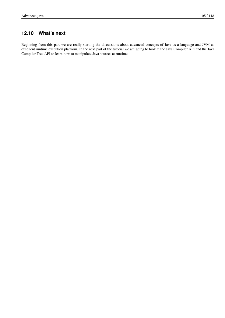### **12.10 What's next**

Beginning from this part we are really starting the discussions about advanced concepts of Java as a language and JVM as excellent runtime execution platform. In the next part of the tutorial we are going to look at the Java Compiler API and the Java Compiler Tree API to learn how to manipulate Java sources at runtime.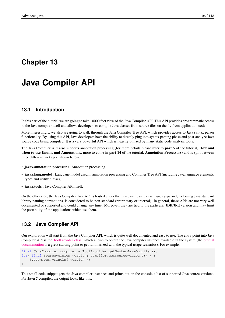### **Chapter 13**

# **Java Compiler API**

#### **13.1 Introduction**

In this part of the tutorial we are going to take 10000 feet view of the Java Compiler API. This API provides programmatic access to the Java compiler itself and allows developers to compile Java classes from source files on the fly from application code.

More interestingly, we also are going to walk through the Java Compiler Tree API, which provides access to Java syntax parser functionality. By using this API, Java developers have the ability to directly plug into syntax parsing phase and post-analyze Java source code being compiled. It is a very powerful API which is heavily utilized by many static code analysis tools.

The Java Compiler API also supports annotation processing (for more details please refer to **part 5** of the tutorial, **How and** when to use Enums and Annotations, more to come in part 14 of the tutorial, Annotation Processors) and is split between three different packages, shown below.

- javax.annotation.processing :Annotation processing.
- javax.lang.model : Language model used in annotation processing and Compiler Tree API (including Java language elements, types and utility classes).
- javax.tools : Java Compiler API itself.

On the other side, the Java Compiler Tree API is hosted under the com.sun.source package and, following Java standard library naming conventions, is considered to be non-standard (proprietary or internal). In general, these APIs are not very well documented or supported and could change any time. Moreover, they are tied to the particular JDK/JRE version and may limit the portability of the applications which use them.

#### **13.2 Java Compiler API**

Our exploration will start from the Java Compiler API, which is quite well documented and easy to use. The entry point into Java Compiler API is the [ToolProvider class,](http://docs.oracle.com/javase/7/docs/api/javax/tools/ToolProvider.html) which allows to obtain the Java compiler instance available in the system (the [official](http://docs.oracle.com/javase/7/docs/api/javax/tools/JavaCompiler.html) [documentation](http://docs.oracle.com/javase/7/docs/api/javax/tools/JavaCompiler.html) is a great starting point to get familiarized with the typical usage scenarios). For example:

```
final JavaCompiler compiler = ToolProvider.getSystemJavaCompiler();
for( final SourceVersion version: compiler.getSourceVersions() ) {
   System.out.println( version );
}
```
This small code snippet gets the Java compiler instances and prints out on the console a list of supported Java source versions. For Java 7 compiler, the output looks like this: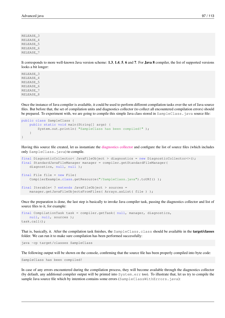RELEASE\_3 RELEASE\_4 RELEASE\_5 RELEASE\_6 RELEASE\_7

It corresponds to more well-known Java version scheme: 1.3, 1.4, 5, 6 and 7. For Java 8 compiler, the list of supported versions looks a bit longer:

RELEASE\_3 RELEASE\_4 RELEASE\_5 RELEASE\_6 RELEASE\_7 RELEASE\_8

Once the instance of Java compiler is available, it could be used to perform different compilation tasks over the set of Java source files. But before that, the set of compilation units and diagnostics collector (to collect all encountered compilation errors) should be prepared. To experiment with, we are going to compile this simple Java class stored in SampleClass. java source file:

```
public class SampleClass {
    public static void main(String[] args) {
        System.out.println( "SampleClass has been compiled!" );
    }
}
```
Having this source file created, let us instantiate the [diagnostics collector](http://docs.oracle.com/javase/7/docs/api/javax/tools/DiagnosticCollector.html) and configure the list of source files (which includes only SampleClass.java) to compile.

```
final DiagnosticCollector< JavaFileObject > diagnostics = new DiagnosticCollector<>();
final StandardJavaFileManager manager = compiler.getStandardFileManager(
   diagnostics, null, null );
final File file = new File(
   CompilerExample.class.getResource("/SampleClass.java").toURI() );
final Iterable< ? extends JavaFileObject > sources =
   manager.getJavaFileObjectsFromFiles( Arrays.asList( file ) );
```
Once the preparation is done, the last step is basically to invoke Java compiler task, passing the diagnostics collector and list of source files to it, for example:

```
final CompilationTask task = compiler.getTask( null, manager, diagnostics,
   null, null, sources );
task.call();
```
That is, basically, it. After the compilation task finishes, the SampleClass.class should be available in the **target/classes** folder. We can run it to make sure compilation has been performed successfully:

```
java -cp target/classes SampleClass
```
The following output will be shown on the console, confirming that the source file has been properly compiled into byte code:

SampleClass has been compiled!

In case of any errors encountered during the compilation process, they will become available through the diagnostics collector (by default, any additional compiler output will be printed into System.err too). To illustrate that, let us try to compile the sample Java source file which by intention contains some errors (SampleClassWithErrors.java):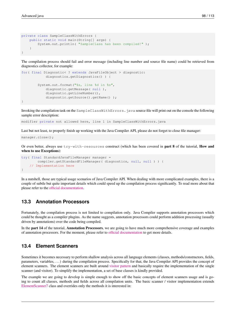```
private class SampleClassWithErrors {
    public static void main(String[] args) {
        System.out.println( "SampleClass has been compiled!" );
    }
}
```
The compilation process should fail and error message (including line number and source file name) could be retrieved from diagnostics collector, for example:

```
for( final Diagnostic< ? extends JavaFileObject > diagnostic:
            diagnostics.getDiagnostics() ) {
        System.out.format("%s, line %d in %s",
            diagnostic.getMessage( null ),
            diagnostic.getLineNumber(),
            diagnostic.getSource().getName());
}
```
Invoking the compilation task on the SampleClassWithErrors. java source file will print out on the console the following sample error description:

modifier private not allowed here, line 1 in SampleClassWithErrors.java

Last but not least, to properly finish up working with the Java Compiler API, please do not forget to close file manager:

```
manager.close();
```
Or even better, always use  $try-with-resources$  construct (which has been covered in part 8 of the tutorial, How and when to use Exceptions):

```
try( final StandardJavaFileManager manager =
        compiler.getStandardFileManager( diagnostics, null, null ) ) {
    // Implementation here
}
```
In a nutshell, those are typical usage scenarios of Java Compiler API. When dealing with more complicated examples, there is a couple of subtle but quite important details which could speed up the compilation process significantly. To read more about that please refer to the [official documentation.](http://docs.oracle.com/javase/7/docs/api/javax/tools/JavaCompiler.html)

#### **13.3 Annotation Processors**

Fortunately, the compilation process is not limited to compilation only. Java Compiler supports annotation processors which could be thought as a compiler plugins. As the name suggests, annotation processors could perform addition processing (usually driven by annotations) over the code being compiled.

In the part 14 of the tutorial, Annotation Processors, we are going to have much more comprehensive coverage and examples of annotation processors. For the moment, please refer to [official documentation](http://docs.oracle.com/javase/7/docs/api/javax/annotation/processing/package-summary.html) to get more details.

# **13.4 Element Scanners**

Sometimes it becomes necessary to perform shallow analysis across all language elements (classes, methods/constructors, fields, parameters, variables, . . . ) during the compilation process. Specifically for that, the Java Compiler API provides the concept of element scanners. The element scanners are built around [visitor pattern](http://en.wikipedia.org/wiki/Visitor_pattern) and basically require the implementation of the single scanner (and visitor). To simplify the implementation, a set of base classes is kindly provided.

The example we are going to develop is simple enough to show off the basic concepts of element scanners usage and is going to count all classes, methods and fields across all compilation units. The basic scanner / visitor implementation extends [ElementScanner7](https://docs.oracle.com/javase/7/docs/api/javax/lang/model/util/ElementScanner7.html) class and overrides only the methods it is interested in: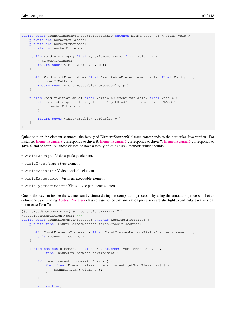```
public class CountClassesMethodsFieldsScanner extends ElementScanner7< Void, Void > {
   private int numberOfClasses;
   private int numberOfMethods;
   private int numberOfFields;
   public Void visitType( final TypeElement type, final Void p ) {
        ++numberOfClasses;
        return super.visitType( type, p );
    }
   public Void visitExecutable( final ExecutableElement executable, final Void p ) {
        ++numberOfMethods;
        return super.visitExecutable( executable, p );
    }
   public Void visitVariable( final VariableElement variable, final Void p ) {
        if ( variable.getEnclosingElement().getKind() == ElementKind.CLASS ) {
           ++numberOfFields;
        }
        return super.visitVariable( variable, p );
    }
}
```
Quick note on the element scanners: the family of **ElementScannerX** classes corresponds to the particular Java version. For instance, [ElementScanner8](http://docs.oracle.com/javase/8/docs/api/javax/lang/model/util/ElementScanner8.html) corresponds to Java 8, [ElementScanner7](http://docs.oracle.com/javase/7/docs/api/javax/lang/model/util/ElementScanner7.html) corresponds to Java 7, [ElementScanner6](http://docs.oracle.com/javase/6/docs/api/javax/lang/model/util/ElementScanner6.html) corresponds to **Java 6,** and so forth. All those classes do have a family of  $\forall$  is  $\forall$  it Xxx methods which include:

- visitPackage : Visits a package element.
- visitType : Visits a type element.
- visitVariable : Visits a variable element.
- visitExecutable : Visits an executable element.
- visitTypeParameter : Visits a type parameter element.

One of the ways to invoke the scanner (and visitors) during the compilation process is by using the annotation processor. Let us define one by extending [AbstractProcessor](http://docs.oracle.com/javase/7/docs/api/javax/annotation/processing/AbstractProcessor.html) class (please notice that annotation processors are also tight to particular Java version, in our case Java 7):

```
@SupportedSourceVersion( SourceVersion.RELEASE_7 )
@SupportedAnnotationTypes( "*" )
public class CountElementsProcessor extends AbstractProcessor {
    private final CountClassesMethodsFieldsScanner scanner;
    public CountElementsProcessor( final CountClassesMethodsFieldsScanner scanner ) {
        this.scanner = scanner;
    }
    public boolean process( final Set< ? extends TypeElement > types,
            final RoundEnvironment environment ) {
        if( !environment.processingOver() ) {
            for( final Element element: environment.getRootElements() ) {
                scanner.scan( element );
            }
        }
        return true;
```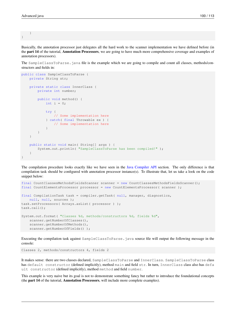}

}

Basically, the annotation processor just delegates all the hard work to the scanner implementation we have defined before (in the part 14 of the tutorial, Annotation Processors, we are going to have much more comprehensive coverage and examples of annotation processors).

The SampleClassToParse.java file is the example which we are going to compile and count all classes, methods/constructors and fields in:

```
public class SampleClassToParse {
    private String str;
    private static class InnerClass {
        private int number;
        public void method() {
            int i = 0;
            try {
                // Some implementation here
            } catch( final Throwable ex ) {
                // Some implementation here
            }
        }
    }
    public static void main( String[] args ) {
        System.out.println( "SampleClassToParse has been compiled!" );
    }
}
```
The compilation procedure looks exactly like we have seen in the [Java Compiler API](#page-1-0) section. The only difference is that compilation task should be configured with annotation processor instance(s). To illustrate that, let us take a look on the code snippet below:

```
final CountClassesMethodsFieldsScanner scanner = new CountClassesMethodsFieldsScanner();
final CountElementsProcessor processor = new CountElementsProcessor( scanner );
final CompilationTask task = compiler.getTask( null, manager, diagnostics,
   null, null, sources );
task.setProcessors( Arrays.asList( processor ) );
task.call();
System.out.format( "Classes %d, methods/constructors %d, fields %d",
   scanner.getNumberOfClasses(),
   scanner.getNumberOfMethods(),
   scanner.getNumberOfFields() );
```
Executing the compilation task against SampleClassToParse.java source file will output the following message in the console:

Classes 2, methods/constructors 4, fields 2

It makes sense: there are two classes declared, SampleClassToParse and InnerClass. SampleClassToParse class has default constructor (defined implicitly), method main and field str. In turn, InnerClass class also has defa ult constructor (defined implicitly), method method and field number.

This example is very naive but its goal is not to demonstrate something fancy but rather to introduce the foundational concepts (the part 14 of the tutorial, Annotation Processors, will include more complete examples).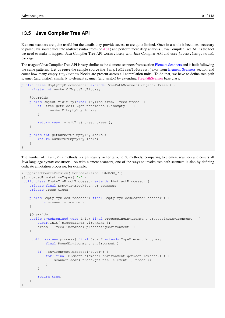#### **13.5 Java Compiler Tree API**

Element scanners are quite useful but the details they provide access to are quite limited. Once in a while it becomes necessary to parse Java source files into abstract syntax trees (or [AST\)](http://en.wikipedia.org/wiki/Abstract_syntax_tree) and perform more deep analysis. Java Compiler Tree API is the tool we need to make it happen. Java Compiler Tree API works closely with Java Compiler API and uses javax.lang.model package.

The usage of Java Compiler Tree API is very similar to the element scanners from section [Element Scanners](#page-1-0) and is built following the same patterns. Let us reuse the sample source file SampleClassToParse.java from [Element Scanners](#page-1-0) section and count how many empty try/catch blocks are present across all compilation units. To do that, we have to define tree path scanner (and visitor), similarly to element scanner (and visitor) by extending [TreePathScanner](http://docs.oracle.com/javase/7/docs/jdk/api/javac/tree/com/sun/source/util/TreePathScanner.html) base class.

```
public class EmptyTryBlockScanner extends TreePathScanner< Object, Trees > {
    private int numberOfEmptyTryBlocks;
    @Override
    public Object visitTry(final TryTree tree, Trees trees) {
        if( tree.getBlock().getStatements().isEmpty() ){
            ++numberOfEmptyTryBlocks;
        }
        return super.visitTry( tree, trees );
    }
    public int getNumberOfEmptyTryBlocks() {
        return numberOfEmptyTryBlocks;
    }
}
```
The number of visitXxx methods is significantly richer (around 50 methods) comparing to element scanners and covers all Java language syntax constructs. As with element scanners, one of the ways to invoke tree path scanners is also by defining dedicate annotation processor, for example:

```
@SupportedSourceVersion( SourceVersion.RELEASE_7 )
@SupportedAnnotationTypes( "*" )
public class EmptyTryBlockProcessor extends AbstractProcessor {
    private final EmptyTryBlockScanner scanner;
    private Trees trees;
    public EmptyTryBlockProcessor( final EmptyTryBlockScanner scanner ) {
        this.scanner = scanner;
    }
    @Override
    public synchronized void init( final ProcessingEnvironment processingEnvironment ) {
        super.init( processingEnvironment );
        trees = Trees.instance( processingEnvironment);
    }
    public boolean process( final Set< ? extends TypeElement > types,
            final RoundEnvironment environment ) {
        if( !environment.processingOver() ) {
            for( final Element element: environment.getRootElements() ) {
                scanner.scan( trees.getPath( element ), trees );
            }
        }
        return true;
    }
}
```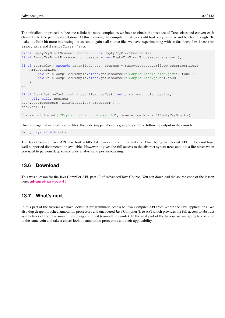The initialization procedure became a little bit more complex as we have to obtain the instance of Trees class and convert each element into tree path representation. At this moment, the compilation steps should look very familiar and be clear enough. To make it a little bit more interesting, let us run it against all source files we have experimenting with so far: SampleClassToP arse.java and SampleClass.java.

```
final EmptyTryBlockScanner scanner = new EmptyTryBlockScanner();
final EmptyTryBlockProcessor processor = new EmptyTryBlockProcessor( scanner );
final Iterable<? extends JavaFileObject> sources = manager.getJavaFileObjectsFromFiles(
    Arrays.asList(
        new File(CompilerExample.class.getResource("/SampleClassToParse.java").toURI()),
        new File(CompilerExample.class.getResource("/SampleClass.java").toURI())
    )
);
final CompilationTask task = compiler.getTask( null, manager, diagnostics,
   null, null, sources );
task.setProcessors( Arrays.asList( processor ) );
task.call();
System.out.format( "Empty try/catch blocks: %d", scanner.getNumberOfEmptyTryBlocks() );
```
Once run against multiple source files, the code snippet above is going to print the following output in the console:

Empty try/catch blocks: 1

The Java Compiler Tree API may look a little bit low-level and it certainly is. Plus, being an internal API, it does not have well-supported documentation available. However, it gives the full access to the abstract syntax trees and it is a life-saver when you need to perform deep source code analysis and post-processing.

# **13.6 Download**

This was a lesson for the Java Compiler API, part 13 of Advanced Java Course. You can download the source code of the lesson here: [advanced-java-part-13](http://www.javacodegeeks.com/wp-content/uploads/2015/09/advanced-java-part-13.zip)

# **13.7 What's next**

In this part of the tutorial we have looked at programmatic access to Java Compiler API from within the Java applications. We also dug deeper, touched annotation processors and uncovered Java Compiler Tree API which provides the full access to abstract syntax trees of the Java source files being compiled (compilation units). In the next part of the tutorial we are going to continue in the same vein and take a closer look on annotation processors and their applicability.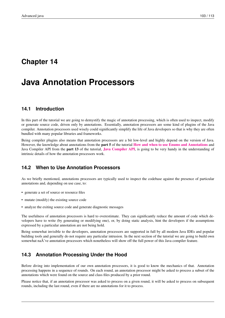# **Chapter 14**

# **Java Annotation Processors**

# **14.1 Introduction**

In this part of the tutorial we are going to demystify the magic of annotation processing, which is often used to inspect, modify or generate source code, driven only by annotations. Essentially, annotation processors are some kind of plugins of the Java compiler. Annotation processors used wisely could significantly simplify the life of Java developers so that is why they are often bundled with many popular libraries and frameworks.

Being compiler plugins also means that annotation processors are a bit low-level and highly depend on the version of Java. However, the knowledge about annotations from the **part 5** of the tutorial **[How and when to use Enums and Annotations](http://www.javacodegeeks.com/2015/09/how-and-when-to-use-enums-and-annotations/)** and [Java Compiler API](http://www.javacodegeeks.com/2015/09/java-compiler-api/) from the **part 13** of the tutorial, **Java Compiler API**, is going to be very handy in the understanding of intrinsic details of how the annotation processors work.

# **14.2 When to Use Annotation Processors**

As we briefly mentioned, annotations processors are typically used to inspect the codebase against the presence of particular annotations and, depending on use case, to:

- generate a set of source or resource files
- mutate (modify) the existing source code
- analyze the exiting source code and generate diagnostic messages

The usefulness of annotation processors is hard to overestimate. They can significantly reduce the amount of code which developers have to write (by generating or modifying one), or, by doing static analysis, hint the developers if the assumptions expressed by a particular annotation are not being hold.

Being somewhat invisible to the developers, annotation processors are supported in full by all modern Java IDEs and popular building tools and generally do not require any particular intrusion. In the next section of the tutorial we are going to build own somewhat na $\tilde{A}$  ve annotation processors which nonetheless will show off the full power of this Java compiler feature.

# **14.3 Annotation Processing Under the Hood**

Before diving into implementation of our own annotation processors, it is good to know the mechanics of that. Annotation processing happens in a sequence of rounds. On each round, an annotation processor might be asked to process a subset of the annotations which were found on the source and class files produced by a prior round.

Please notice that, if an annotation processor was asked to process on a given round, it will be asked to process on subsequent rounds, including the last round, even if there are no annotations for it to process.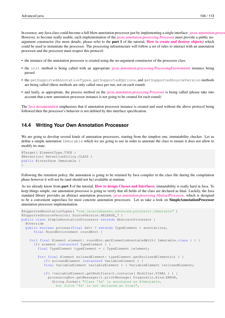In essence, any Java class could become a full-blow annotation processor just by implementing a single interface: javax.annotation.proces However, to become really usable, each implementation of the [javax.annotation.processing.Processor](http://docs.oracle.com/javase/7/docs/api/javax/annotation/processing/Processor.html) must provide a public noargument constructor (for more details, please refer to the part 1 of the tutorial, [How to create and destroy objects](http://www.javacodegeeks.com/2015/09/how-to-create-and-destroy-objects/)) which could be used to instantiate the processor. The processing infrastructure will follow a set of rules to interact with an annotation processor and the processor must respect this protocol:

- the instance of the annotation processor is created using the no-argument constructor of the processor class
- the init method is being called with an appropriate [javax.annotation.processing.ProcessingEnvironment](http://docs.oracle.com/javase/7/docs/api/javax/annotation/processing/ProcessingEnvironment.html) instance being passed
- the getSupportedAnnotationTypes, getSupportedOptions, and getSupportedSourceVersion methods are being called (these methods are only called once per run, not on each round)
- and lastly, as appropriate, the process method on the [javax.annotation.processing.Processor](http://docs.oracle.com/javase/7/docs/api/javax/annotation/processing/Processor.html) is being called (please take into account that a new annotation processor instance is not going to be created for each round)

The [Java documentation](http://docs.oracle.com/javase/7/docs/api/javax/annotation/processing/Processor.html) emphasizes that if annotation processor instance is created and used without the above protocol being followed then the processor's behavior is not defined by this interface specification.

# **14.4 Writing Your Own Annotation Processor**

We are going to develop several kinds of annotation processors, starting from the simplest one, immutability checker. Let us define a simple annotation Immutable which we are going to use in order to annotate the class to ensure it does not allow to modify its state.

```
@Target( ElementType.TYPE )
@Retention( RetentionPolicy.CLASS )
public @interface Immutable {
}
```
Following the retention policy, the annotation is going to be retained by Java compiler in the class file during the compilation phase however it will not be (and should not be) available at runtime.

As we already know from **part 3** of the tutorial, **[How to design Classes and Interfaces](http://www.javacodegeeks.com/2015/09/how-to-design-classes-and-interfaces/)**, immutability is really hard in Java. To keep things simple, our annotation processor is going to verify that all fields of the class are declared as final. Luckily, the Java standard library provides an abstract annotation processor, [javax.annotation.processing.AbstractProcessor,](http://docs.oracle.com/javase/7/docs/api/javax/annotation/processing/AbstractProcessor.html) which is designed to be a convenient superclass for most concrete annotation processors. Let us take a look on SimpleAnnotationProcessor annotation processor implementation.

```
@SupportedAnnotationTypes( "com.javacodegeeks.advanced.processor.Immutable" )
@SupportedSourceVersion( SourceVersion.RELEASE_7 )
public class SimpleAnnotationProcessor extends AbstractProcessor {
  @Override
  public boolean process(final Set< ? extends TypeElement > annotations,
      final RoundEnvironment roundEnv) {
    for( final Element element: roundEnv.getElementsAnnotatedWith( Immutable.class ) ) {
      if( element instanceof TypeElement ) {
        final TypeElement typeElement = ( TypeElement )element;
        for( final Element eclosedElement: typeElement.getEnclosedElements() ) {
           if( eclosedElement instanceof VariableElement ) {
           final VariableElement variableElement = ( VariableElement )eclosedElement;
           if( !variableElement.getModifiers().contains( Modifier.FINAL ) ) {
             processingEnv.getMessager().printMessage( Diagnostic.Kind.ERROR,
               String.format( "Class '%s' is annotated as @Immutable,
                 but field '%s' is not declared as final",
```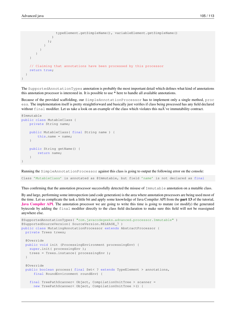```
typeElement.getSimpleName(), variableElement.getSimpleName()
               )
             );
          }
        }
       }
    }
   // Claiming that annotations have been processed by this processor
   return true;
  }
}
```
The SupportedAnnotationTypes annotation is probably the most important detail which defines what kind of annotations this annotation processor is interested in. It is possible to use \* here to handle all available annotations.

Because of the provided scaffolding, our SimpleAnnotationProcessor has to implement only a single method, proc ess. The implementation itself is pretty straightforward and basically just verifies if class being processed has any field declared without final modifier. Let us take a look on an example of the class which violates this na $\tilde{A}$  ve immutability contract.

```
@Immutable
public class MutableClass {
    private String name;
    public MutableClass( final String name ) {
        this.name = name;
    }
    public String getName() {
        return name;
    }
}
```
Running the SimpleAnnotationProcessor against this class is going to output the following error on the console:

Class 'MutableClass' is annotated as @Immutable, but field 'name' is not declared as final

Thus confirming that the annotation processor successfully detected the misuse of Immutable annotation on a mutable class.

By and large, performing some introspection (and code generation) is the area where annotation processors are being used most of the time. Let us complicate the task a little bit and apply some knowledge of Java Compiler API from the part 13 of the tutorial, [Java Compiler API](http://www.javacodegeeks.com/2015/09/java-compiler-api/). The annotation processor we are going to write this time is going to mutate (or modify) the generated bytecode by adding the final modifier directly to the class field declaration to make sure this field will not be reassigned anywhere else.

```
@SupportedAnnotationTypes( "com.javacodegeeks.advanced.processor.Immutable" )
@SupportedSourceVersion( SourceVersion.RELEASE_7 )
public class MutatingAnnotationProcessor extends AbstractProcessor {
 private Trees trees;
  @Override
  public void init (ProcessingEnvironment processingEnv) {
   super.init( processingEnv );
    trees = Trees.instance( processingEnv );
  }
  @Override
  public boolean process( final Set< ? extends TypeElement > annotations,
      final RoundEnvironment roundEnv) {
    final TreePathScanner< Object, CompilationUnitTree > scanner =
      new TreePathScanner< Object, CompilationUnitTree >() {
```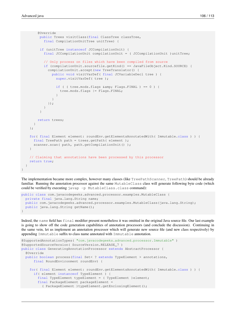}

```
@Override
       public Trees visitClass(final ClassTree classTree,
         final CompilationUnitTree unitTree) {
       if (unitTree instanceof JCCompilationUnit) {
         final JCCompilationUnit compilationUnit = ( JCCompilationUnit )unitTree;
         // Only process on files which have been compiled from source
         if (compilationUnit.sourcefile.getKind() == JavaFileObject.Kind.SOURCE) {
           compilationUnit.accept(new TreeTranslator() {
             public void visitVarDef( final JCVariableDecl tree ) {
               super.visitVarDef(tree);
               if ( ( tree.mods.flags \&;Flags.FINAL ) == 0 ) {
                 tree.mods.flags |= Flags.FINAL;
               }
             }
           });
         }
       }
      return trees;
    }
 };
 for( final Element element: roundEnv.getElementsAnnotatedWith( Immutable.class ) ) {
   final TreePath path = trees.getPath( element );
    scanner.scan( path, path.getCompilationUnit() );
  }
 // Claiming that annotations have been processed by this processor
 return true;
}
```
The implementation became more complex, however many classes (like TreePathScanner, TreePath) should be already familiar. Running the annotation processor against the same MutableClass class will generate following byte code (which could be verified by executing javap -p MutableClass.class command):

```
public class com.javacodegeeks.advanced.processor.examples.MutableClass {
 private final java.lang.String name;
 public com.javacodegeeks.advanced.processor.examples.MutableClass(java.lang.String);
 public java.lang.String getName();
}
```
Indeed, the name field has final modifier present nonetheless it was omitted in the original Java source file. Our last example is going to show off the code generation capabilities of annotation processors (and conclude the discussion). Continuing in the same vein, let us implement an annotation processor which will generate new source file (and new class respectively) by appending Immutable suffix to class name annotated with Immutable annotation.

```
@SupportedAnnotationTypes( "com.javacodegeeks.advanced.processor.Immutable" )
@SupportedSourceVersion( SourceVersion.RELEASE_7 )
public class GeneratingAnnotationProcessor extends AbstractProcessor {
 @Override
 public boolean process(final Set< ? extends TypeElement > annotations,
      final RoundEnvironment roundEnv) {
   for( final Element element: roundEnv.getElementsAnnotatedWith( Immutable.class ) ) {
      if( element instanceof TypeElement ) {
        final TypeElement typeElement = ( TypeElement )element;
        final PackageElement packageElement =
          ( PackageElement )typeElement.getEnclosingElement();
```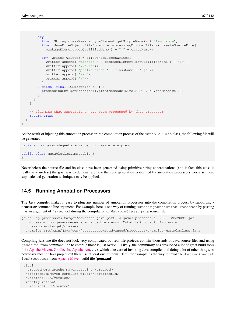```
try {
          final String className = typeElement.getSimpleName() + "Immutable";
          final JavaFileObject fileObject = processingEnv.getFiler().createSourceFile(
           packageElement.getQualifiedName() + "." + className);
          try( Writer writter = fileObject.openWriter() ) {
            writter.append( "package " + packageElement.getQualifiedName() + ";" );
            writter.append("\\\n\\n\\n");
            writter.append( "public class " + className + " {" );
            writter.append( "\\n");
            writter.append( "}");
          }
        } catch( final IOException ex ) {
         processingEnv.getMessager().printMessage(Kind.ERROR, ex.getMessage());
        }
      }
    }
   // Claiming that annotations have been processed by this processor
   return true;
 }
}
```
As the result of injecting this annotation processor into compilation process of the MutableClass class, the following file will be generated:

```
package com.javacodegeeks.advanced.processor.examples;
public class MutableClassImmutable {
}
```
Nevertheless the source file and its class have been generated using primitive string concatenations (and it fact, this class is really very useless) the goal was to demonstrate how the code generation performed by annotation processors works so more sophisticated generation techniques may be applied.

# **14.5 Running Annotation Processors**

The Java compiler makes it easy to plug any number of annotation processors into the compilation process by supporting processor command line argument. For example, here is one way of running MutatingAnnotationProcessor by passing it as an argument of javac tool during the compilation of MutableClass.java source file:

```
javac -cp processors/target/advanced-java-part-14-java7.processors-0.0.1-SNAPSHOT.jar
  -processor com.javacodegeeks.advanced.processor.MutatingAnnotationProcessor
  -d examples/target/classes
 examples/src/main/java/com/javacodegeeks/advanced/processor/examples/MutableClass.java
```
Compiling just one file does not look very complicated but real-life projects contain thousands of Java source files and using javac tool from command line to compile those is just overkill. Likely, the community has developed a lot of great build tools (like [Apache Maven,](https://maven.apache.org/) [Gradle,](https://gradle.org/) [sbt,](http://www.scala-sbt.org/) [Apache Ant,](http://ant.apache.org/) . . . ), which take care of invoking Java compiler and doing a lot of other things, so nowadays most of Java project out there use at least one of them. Here, for example, is the way to invoke MutatingAnnotat ionProcessor from [Apache Maven](https://maven.apache.org/) build file (pom.xml):

```
<plugin>
 <groupId>org.apache.maven.plugins</groupId>
 <artifactId>maven-compiler-plugin</artifactId>
 <version>3.1</version>
  <configuration>
    <source>1.7</source>
```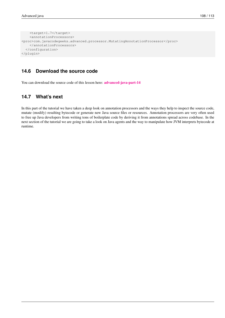```
<target>1.7</target>
   <annotationProcessors>
<proc>com.javacodegeeks.advanced.processor.MutatingAnnotationProcessor</proc>
   </annotationProcessors>
 </configuration>
</plugin>
```
# **14.6 Download the source code**

You can download the source code of this lesson here: **[advanced-java-part-14](http://www.javacodegeeks.com/wp-content/uploads/2015/09/advanced-java-part-14.zip)** 

# **14.7 What's next**

In this part of the tutorial we have taken a deep look on annotation processors and the ways they help to inspect the source code, mutate (modify) resulting bytecode or generate new Java source files or resources. Annotation processors are very often used to free up Java developers from writing tons of boilerplate code by deriving it from annotations spread across codebase. In the next section of the tutorial we are going to take a look on Java agents and the way to manipulate how JVM interprets bytecode at runtime.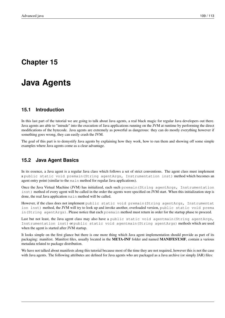# **Chapter 15**

# **Java Agents**

# **15.1 Introduction**

In this last part of the tutorial we are going to talk about Java agents, a real black magic for regular Java developers out there. Java agents are able to "intrude" into the execution of Java applications running on the JVM at runtime by performing the direct modifications of the bytecode. Java agents are extremely as powerful as dangerous: they can do mostly everything however if something goes wrong, they can easily crash the JVM.

The goal of this part is to demystify Java agents by explaining how they work, how to run them and showing off some simple examples where Java agents come as a clear advantage.

# **15.2 Java Agent Basics**

In its essence, a Java agent is a regular Java class which follows a set of strict conventions. The agent class must implement a public static void premain(String agentArgs, Instrumentation inst) method which becomes an agent entry point (similar to the main method for regular Java applications).

Once the Java Virtual Machine (JVM) has initialized, each such premain(String agentArgs, Instrumentation inst) method of every agent will be called in the order the agents were specified on JVM start. When this initialization step is done, the real Java application main method will be called.

However, if the class does not implement public static void premain (String agentArgs, Instrumentat ion inst) method, the JVM will try to look up and invoke another, overloaded version, public static void prema in(String agentArgs). Please notice that each premain method must return in order for the startup phase to proceed.

Last but not least, the Java agent class may also have a public static void agentmain (String agentArgs, Instrumentation inst) or public static void agentmain(String agentArgs) methods which are used when the agent is started after JVM startup.

It looks simple on the first glance but there is one more thing which Java agent implementation should provide as part of its packaging: manifest. Manifest files, usually located in the META-INF folder and named MANIFEST.MF, contain a various metadata related to package distribution.

We have not talked about manifests along this tutorial because most of the time they are not required, however this is not the case with Java agents. The following attributes are defined for Java agents who are packaged as a Java archive (or simply JAR) files: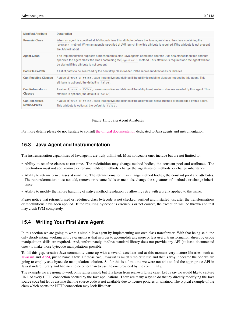| <b>Manifest Attribute</b>               | <b>Description</b>                                                                                                                                                                                                                                                                               |
|-----------------------------------------|--------------------------------------------------------------------------------------------------------------------------------------------------------------------------------------------------------------------------------------------------------------------------------------------------|
| <b>Premain-Class</b>                    | When an agent is specified at JVM launch time this attribute defines the Java agent class: the class containing the<br>premain method. When an agent is specified at JVM launch time this attribute is required. If the attribute is not present<br>the JVM will abort.                          |
| <b>Agent-Class</b>                      | If an implementation supports a mechanism to start Java agents sometime after the JVM has started then this attribute<br>specifies the agent class: the class containing the agentmain method. This attribute is required and the agent will not<br>be started if this attribute is not present. |
| Boot-Class-Path                         | A list of paths to be searched by the bootstrap class loader. Paths represent directories or libraries.                                                                                                                                                                                          |
| <b>Can-Redefine-Classes</b>             | A value of true or false, case-insensitive and defines if the ability to redefine classes needed by this agent. This<br>attribute is optional, the default is   false.                                                                                                                           |
| Can-Retransform-<br><b>Classes</b>      | A value of true or false, case-insensitive and defines if the ability to retransform classes needed by this agent. This<br>attribute is optional, the default is   false.                                                                                                                        |
| Can-Set-Native-<br><b>Method-Prefix</b> | A value of true or false, case-insensitive and defines if the ability to set native method prefix needed by this agent.<br>This attribute is optional, the default is   false.                                                                                                                   |

Figure 15.1: Java Agent Attributes

For more details please do not hesitate to consult [the official documentation](https://docs.oracle.com/javase/7/docs/api/java/lang/instrument/package-summary.html) dedicated to Java agents and instrumentation.

# **15.3 Java Agent and Instrumentation**

The instrumentation capabilities of Java agents are truly unlimited. Most noticeable ones include but are not limited to:

- Ability to redefine classes at run-time. The redefinition may change method bodies, the constant pool and attributes. The redefinition must not add, remove or rename fields or methods, change the signatures of methods, or change inheritance.
- Ability to retransform classes at run-time. The retransformation may change method bodies, the constant pool and attributes. The retransformation must not add, remove or rename fields or methods, change the signatures of methods, or change inheritance.
- Ability to modify the failure handling of native method resolution by allowing retry with a prefix applied to the name.

Please notice that retransformed or redefined class bytecode is not checked, verified and installed just after the transformations or redefinitions have been applied. If the resulting bytecode is erroneous or not correct, the exception will be thrown and that may crash JVM completely.

# **15.4 Writing Your First Java Agent**

In this section we are going to write a simple Java agent by implementing our own class transformer. With that being said, the only disadvantage working with Java agents is that in order to accomplish any more or less useful transformation, direct bytecode manipulation skills are required. And, unfortunately, theJava standard library does not provide any API (at least, documented ones) to make those bytecode manipulations possible.

To fill this gap, creative Java community came up with a several excellent and at this moment very mature libraries, such as [Javassist](http://jboss-javassist.github.io/javassist/) and [ASM,](http://asm.ow2.org/) just to name a few. Of those two, Javassist is much simpler to use and that is why it became the one we are going to employ as a bytecode manipulation solution. So far this is a first time we were not able to find the appropriate API in Java standard library and had no choice other than to use the one provided by the community.

The example we are going to work on is rather simple but it is taken from real-world use case. Let us say we would like to capture URL of every HTTP connection opened by the Java applications. There are many ways to do that by directly modifying the Java source code but let us assume that the source code is not available due to license policies or whatnot. The typical example of the class which opens the HTTP connection may look like that: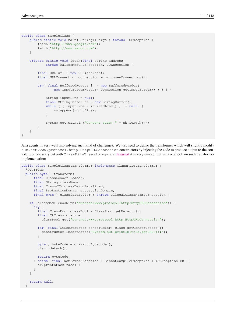```
public class SampleClass {
    public static void main( String[] args ) throws IOException {
        fetch("http://www.google.com");
        fetch("http://www.yahoo.com");
    }
    private static void fetch(final String address)
            throws MalformedURLException, IOException {
        final URL url = new URL(address);
        final URLConnection connection = url.openConnection();
        try( final BufferedReader in = new BufferedReader(
                new InputStreamReader( connection.getInputStream() ) ) ) {
            String inputLine = null;
            final StringBuffer sb = new StringBuffer();
            while ( ( inputLine = in.readLine() ) != null) {
                sb.append(inputLine);
            }
            System.out.println("Content size: " + sb.length());
        }
    }
}
```
Java agents fit very well into solving such kind of challenges. We just need to define the transformer which will slightly modify sun.net.www.protocol.http.HttpURLConnection constructors by injecting the code to produce output to the console. Sounds scary but with ClassFileTransformer and [Javassist](http://jboss-javassist.github.io/javassist/) it is very simple. Let us take a look on such transformer implementation:

```
public class SimpleClassTransformer implements ClassFileTransformer {
  @Override
  public byte[] transform(
      final ClassLoader loader,
      final String className,
      final Class<?> classBeingRedefined,
      final ProtectionDomain protectionDomain,
      final byte[] classfileBuffer ) throws IllegalClassFormatException {
    if (className.endsWith("sun/net/www/protocol/http/HttpURLConnection")) {
      try {
        final ClassPool classPool = ClassPool.getDefault();
        final CtClass clazz =
          classPool.get("sun.net.www.protocol.http.HttpURLConnection");
        for (final CtConstructor constructor: clazz.getConstructors()) {
          constructor.insertAfter("System.out.println(this.getURL());");
        }
        byte[] byteCode = clazz.toBytecode();
        clazz.detach();
        return byteCode;
      } catch (final NotFoundException | CannotCompileException | IOException ex) {
        ex.printStackTrace();
      }
    }
    return null;
  }
```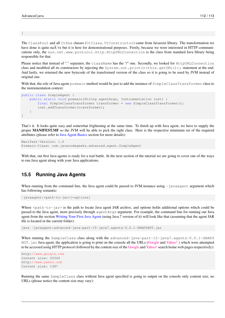}

The ClassPool and all CtXxx classes (CtClass, CtConstructor) came from Javassist library. The transformation we have done is quite na $\tilde{A}$  ve but it is here for demonstrational purposes. Firstly, because we were interested in HTTP communications only, the sun.net.www.protocol.http.HttpURLConnection is the class from standard Java library being responsible for that.

Please notice that instead of "." separator, the className has the "/" one. Secondly, we looked for HttpURLConnection class and modified all its constructors by injecting the System.out.println(this.getURL()); statement at the end. And lastly, we returned the new bytecode of the transformed version of the class so it is going to be used by JVM instead of original one.

With that, the role of Java agent premain method would be just to add the instance of SimpleClassTransformer class to the instrumentation context:

```
public class SimpleAgent {
    public static void premain(String agentArgs, Instrumentation inst) {
        final SimpleClassTransformer transformer = new SimpleClassTransformer();
        inst.addTransformer(transformer);
    }
}
```
That's it. It looks quite easy and somewhat frightening at the same time. To finish up with Java agent, we have to supply the proper MANIFEST.MF so the JVM will be able to pick the right class. Here is the respective minimum set of the required attributes (please refer to [Java Agent Basics](#page-1-0) section for more details):

```
Manifest-Version: 1.0
Premain-Class: com.javacodegeeks.advanced.agent.SimpleAgent
```
With that, out first Java agents is ready for a real battle. In the next section of the tutorial we are going to cover one of the ways to run Java agent along with your Java applications.

# **15.5 Running Java Agents**

When running from the command line, the Java agent could be passed to JVM instance using  $-\frac{1}{2}$  javaagent argument which has following semantic:

-javaagent:<path-to-jar>[=options]

Where <path-to-jar> is the path to locate Java agent JAR archive, and options holds additional options which could be passed to the Java agent, more precisely through agentArgs argument. For example, the command line for running our Java agent from the section [Writing Your First Java Agent](#page-1-0) (using Java 7 version of it) will look like that (assuming that the agent JAR file is located in the current folder):

java -javaagent:advanced-java-part-15-java7.agents-0.0.1-SNAPSHOT.jar

When running the SampleClass class along with the advanced-java-part-15-java7.agents-0.0.1-SNAPS HOT. jar Java agent, the application is going to print on the console all the URLs [\(Google](http://www.google.com) and [Yahoo!](http://www.yahoo.com)) which were attempted to be accessed using HTTP protocol (followed by the content size of the [Google](http://www.google.com) and [Yahoo!](http://www.yahoo.com) search home web pages respectively):

```
http://www.google.com
Content size: 20349
http://www.yahoo.com
Content size: 1387
```
Running the same SampleClass class without Java agent specified is going to output on the console only content size, no URLs (please notice the content size may vary):